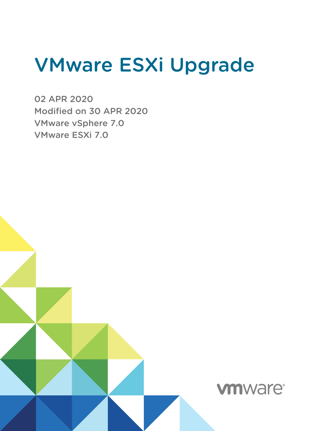# VMware ESXi Upgrade

02 APR 2020 Modified on 30 APR 2020 VMware vSphere 7.0 VMware ESXi 7.0

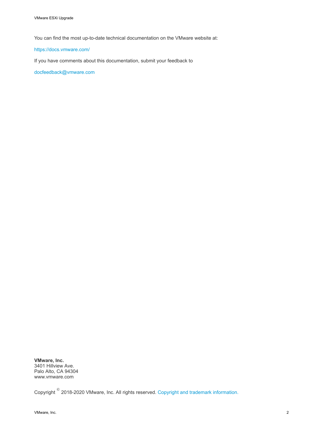You can find the most up-to-date technical documentation on the VMware website at:

#### <https://docs.vmware.com/>

If you have comments about this documentation, submit your feedback to

[docfeedback@vmware.com](mailto:docfeedback@vmware.com)

**VMware, Inc.** 3401 Hillview Ave. Palo Alto, CA 94304 www.vmware.com

Copyright <sup>©</sup> 2018-2020 VMware, Inc. All rights reserved. [Copyright and trademark information.](http://pubs.vmware.com/copyright-trademark.html)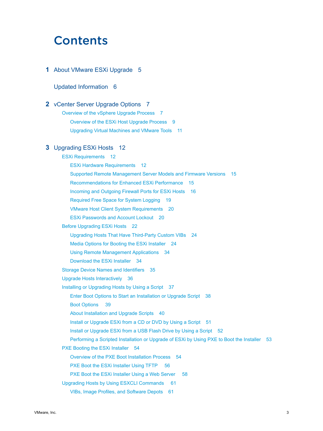## **Contents**

#### **1** [About VMware ESXi Upgrade](#page-4-0) 5

#### [Updated Information](#page-5-0) 6

#### **2** [vCenter Server Upgrade Options](#page-6-0) 7

[Overview of the vSphere Upgrade Process](#page-6-0) 7 [Overview of the ESXi Host Upgrade Process](#page-8-0) 9 [Upgrading Virtual Machines and VMware Tools](#page-10-0) 11

#### **3** [Upgrading ESXi Hosts](#page-11-0) 12

[ESXi Requirements](#page-11-0) 12 [ESXi Hardware Requirements](#page-11-0) 12 [Supported Remote Management Server Models and Firmware Versions](#page-14-0) 15 [Recommendations for Enhanced ESXi Performance](#page-14-0) 15 [Incoming and Outgoing Firewall Ports for ESXi Hosts](#page-15-0) 16 [Required Free Space for System Logging](#page-18-0) 19 [VMware Host Client System Requirements](#page-19-0) 20 [ESXi Passwords and Account Lockout](#page-19-0) 20 [Before Upgrading ESXi Hosts](#page-21-0) 22 [Upgrading Hosts That Have Third-Party Custom VIBs](#page-23-0) 24 [Media Options for Booting the ESXi Installer](#page-23-0) 24 [Using Remote Management Applications](#page-33-0) 34 [Download the ESXi Installer](#page-33-0) 34 [Storage Device Names and Identifiers](#page-34-0) 35 [Upgrade Hosts Interactively](#page-35-0) 36 [Installing or Upgrading Hosts by Using a Script](#page-36-0) 37 [Enter Boot Options to Start an Installation or Upgrade Script](#page-37-0) 38 [Boot Options 39](#page-38-0) [About Installation and Upgrade Scripts](#page-39-0) 40 [Install or Upgrade ESXi from a CD or DVD by Using a Script](#page-50-0) 51 [Install or Upgrade ESXi from a USB Flash Drive by Using a Script](#page-51-0) 52 [Performing a Scripted Installation or Upgrade of ESXi by Using PXE to Boot the Installer](#page-52-0) 53 [PXE Booting the ESXi Installer](#page-53-0) 54 [Overview of the PXE Boot Installation Process](#page-53-0) 54 [PXE Boot the ESXi Installer Using TFTP 56](#page-55-0) [PXE Boot the ESXi Installer Using a Web Server 58](#page-57-0) [Upgrading Hosts by Using ESXCLI Commands 61](#page-60-0) [VIBs, Image Profiles, and Software Depots](#page-60-0) 61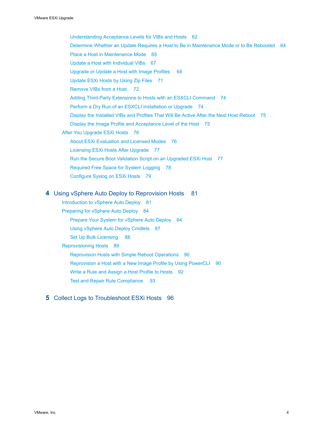[Understanding Acceptance Levels for VIBs and Hosts](#page-61-0) 62 [Determine Whether an Update Requires a Host to Be in Maintenance Mode or to Be Rebooted](#page-63-0) 64 [Place a Host in Maintenance Mode](#page-64-0) 65 [Update a Host with Individual VIBs](#page-66-0) 67 [Upgrade or Update a Host with Image Profiles 68](#page-67-0) [Update ESXi Hosts by Using Zip Files](#page-70-0) 71 [Remove VIBs from a Host 72](#page-71-0) [Adding Third-Party Extensions to Hosts with an ESXCLI Command](#page-73-0) 74 [Perform a Dry Run of an ESXCLI Installation or Upgrade](#page-73-0) 74 [Display the Installed VIBs and Profiles That Will Be Active After the Next Host Reboot](#page-74-0) 75 [Display the Image Profile and Acceptance Level of the Host](#page-74-0) 75 [After You Upgrade ESXi Hosts](#page-75-0) 76 [About ESXi Evaluation and Licensed Modes](#page-75-0) 76 [Licensing ESXi Hosts After Upgrade](#page-76-0) 77 [Run the Secure Boot Validation Script on an Upgraded ESXi Host](#page-76-0) 77 [Required Free Space for System Logging](#page-77-0) 78 [Configure Syslog on ESXi Hosts](#page-78-0) 79

#### **4** [Using vSphere Auto Deploy to Reprovision Hosts 81](#page-80-0)

[Introduction to vSphere Auto Deploy](#page-80-0) 81 [Preparing for vSphere Auto Deploy](#page-83-0) 84 [Prepare Your System for vSphere Auto Deploy](#page-83-0) 84 [Using vSphere Auto Deploy Cmdlets](#page-86-0) 87 [Set Up Bulk Licensing 88](#page-87-0) [Reprovisioning Hosts](#page-88-0) 89 [Reprovision Hosts with Simple Reboot Operations](#page-89-0) 90 [Reprovision a Host with a New Image Profile by Using PowerCLI](#page-89-0) 90 [Write a Rule and Assign a Host Profile to Hosts](#page-91-0) 92 [Test and Repair Rule Compliance 93](#page-92-0)

#### **5** [Collect Logs to Troubleshoot ESXi Hosts](#page-95-0) 96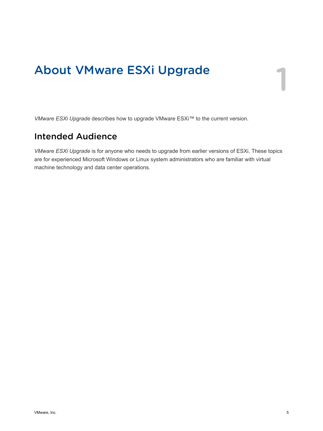# <span id="page-4-0"></span>About VMware ESXi Upgrade 1

*VMware ESXi Upgrade* describes how to upgrade VMware ESXi™ to the current version.

## Intended Audience

*VMware ESXi Upgrade* is for anyone who needs to upgrade from earlier versions of ESXi. These topics are for experienced Microsoft Windows or Linux system administrators who are familiar with virtual machine technology and data center operations.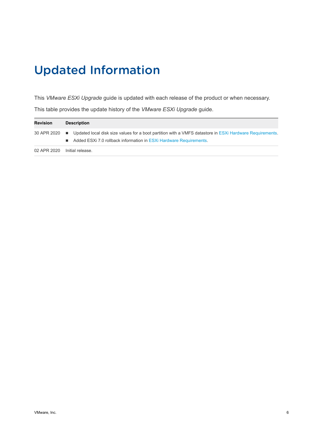# <span id="page-5-0"></span>Updated Information

This *VMware ESXi Upgrade* guide is updated with each release of the product or when necessary.

This table provides the update history of the *VMware ESXi Upgrade* guide.

| <b>Revision</b> | <b>Description</b> |                                                                                                                                                                                              |  |
|-----------------|--------------------|----------------------------------------------------------------------------------------------------------------------------------------------------------------------------------------------|--|
|                 |                    | 30 APR 2020 ■ Updated local disk size values for a boot partition with a VMFS datastore in ESXi Hardware Requirements.<br>Added ESXi 7.0 rollback information in ESXi Hardware Requirements. |  |
| 02 APR 2020     | Initial release.   |                                                                                                                                                                                              |  |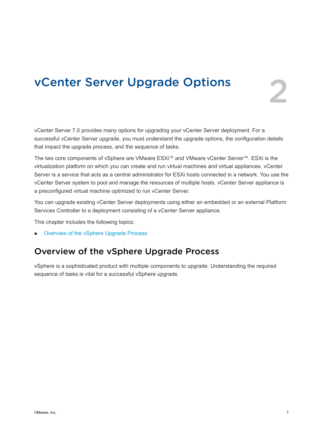## <span id="page-6-0"></span>vCenter Server Upgrade Options

vCenter Server 7.0 provides many options for upgrading your vCenter Server deployment. For a successful vCenter Server upgrade, you must understand the upgrade options, the configuration details that impact the upgrade process, and the sequence of tasks.

The two core components of vSphere are VMware ESXi™ and VMware vCenter Server™. ESXi is the virtualization platform on which you can create and run virtual machines and virtual appliances. vCenter Server is a service that acts as a central administrator for ESXi hosts connected in a network. You use the vCenter Server system to pool and manage the resources of multiple hosts. vCenter Server appliance is a preconfigured virtual machine optimized to run vCenter Server.

You can upgrade existing vCenter Server deployments using either an embedded or an external Platform Services Controller to a deployment consisting of a vCenter Server appliance.

This chapter includes the following topics:

**n** Overview of the vSphere Upgrade Process

## Overview of the vSphere Upgrade Process

vSphere is a sophisticated product with multiple components to upgrade. Understanding the required sequence of tasks is vital for a successful vSphere upgrade.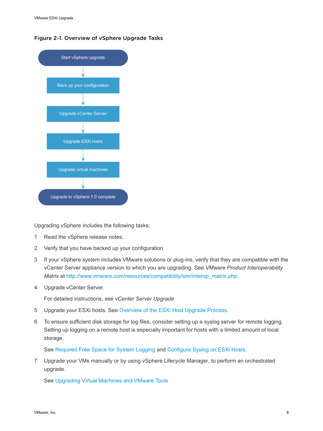



Upgrading vSphere includes the following tasks:

- 1 Read the vSphere release notes.
- 2 Verify that you have backed up your configuration.
- 3 If your vSphere system includes VMware solutions or plug-ins, verify that they are compatible with the vCenter Server appliance version to which you are upgrading. See *VMware Product Interoperability Matrix* at [http://www.vmware.com/resources/compatibility/sim/interop\\_matrix.php](http://www.vmware.com/resources/compatibility/sim/interop_matrix.php).
- 4 Upgrade vCenter Server.

For detailed instructions, see *vCenter Server Upgrade*

- 5 Upgrade your ESXi hosts. See [Overview of the ESXi Host Upgrade Process](#page-8-0).
- 6 To ensure sufficient disk storage for log files, consider setting up a syslog server for remote logging. Setting up logging on a remote host is especially important for hosts with a limited amount of local storage.

See [Required Free Space for System Logging](#page-18-0) and [Configure Syslog on ESXi Hosts](#page-78-0).

7 Upgrade your VMs manually or by using vSphere Lifecycle Manager, to perform an orchestrated upgrade.

See [Upgrading Virtual Machines and VMware Tools](#page-10-0)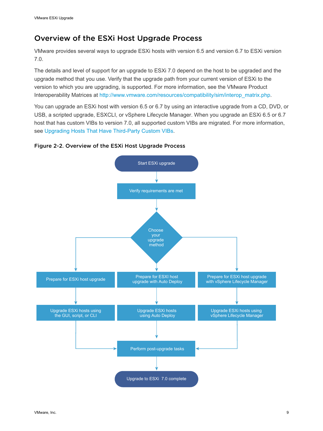## <span id="page-8-0"></span>Overview of the ESXi Host Upgrade Process

VMware provides several ways to upgrade ESXi hosts with version 6.5 and version 6.7 to ESXi version 7.0.

The details and level of support for an upgrade to ESXi 7.0 depend on the host to be upgraded and the upgrade method that you use. Verify that the upgrade path from your current version of ESXi to the version to which you are upgrading, is supported. For more information, see the VMware Product Interoperability Matrices at [http://www.vmware.com/resources/compatibility/sim/interop\\_matrix.php](http://www.vmware.com/resources/compatibility/sim/interop_matrix.php).

You can upgrade an ESXi host with version 6.5 or 6.7 by using an interactive upgrade from a CD, DVD, or USB, a scripted upgrade, ESXCLI, or vSphere Lifecycle Manager. When you upgrade an ESXi 6.5 or 6.7 host that has custom VIBs to version 7.0, all supported custom VIBs are migrated. For more information, see [Upgrading Hosts That Have Third-Party Custom VIBs.](#page-23-0)

#### Figure 2-2. Overview of the ESXi Host Upgrade Process

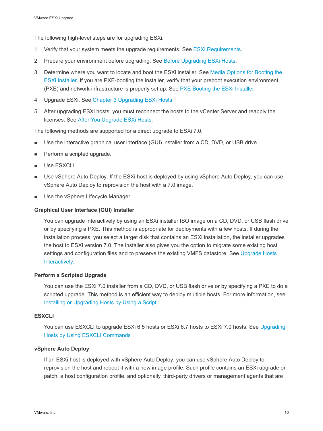The following high-level steps are for upgrading ESXi.

- 1 Verify that your system meets the upgrade requirements. See [ESXi Requirements.](#page-11-0)
- 2 Prepare your environment before upgrading. See [Before Upgrading ESXi Hosts.](#page-21-0)
- 3 Determine where you want to locate and boot the ESXi installer. See [Media Options for Booting the](#page-23-0) [ESXi Installer](#page-23-0). If you are PXE-booting the installer, verify that your preboot execution environment (PXE) and network infrastructure is properly set up. See [PXE Booting the ESXi Installer](#page-28-0).
- 4 Upgrade ESXi. See [Chapter 3 Upgrading ESXi Hosts](#page-11-0)
- 5 After upgrading ESXi hosts, you must reconnect the hosts to the vCenter Server and reapply the licenses. See [After You Upgrade ESXi Hosts.](#page-75-0)

The following methods are supported for a direct upgrade to ESXi 7.0.

- Use the interactive graphical user interface (GUI) installer from a CD, DVD, or USB drive.
- Perform a scripted upgrade.
- **No. Use ESXCLI.**
- Use vSphere Auto Deploy. If the ESXi host is deployed by using vSphere Auto Deploy, you can use vSphere Auto Deploy to reprovision the host with a 7.0 image.
- Use the vSphere Lifecycle Manager.

#### **Graphical User Interface (GUI) Installer**

You can upgrade interactively by using an ESXi installer ISO image on a CD, DVD, or USB flash drive or by specifying a PXE. This method is appropriate for deployments with a few hosts. If during the installation process, you select a target disk that contains an ESXi installation, the installer upgrades the host to ESXi version 7.0. The installer also gives you the option to migrate some existing host settings and configuration files and to preserve the existing VMFS datastore. See [Upgrade Hosts](#page-35-0) [Interactively](#page-35-0).

#### **Perform a Scripted Upgrade**

You can use the ESXi 7.0 installer from a CD, DVD, or USB flash drive or by specifying a PXE to do a scripted upgrade. This method is an efficient way to deploy multiple hosts. For more information, see [Installing or Upgrading Hosts by Using a Script.](#page-36-0)

#### **ESXCLI**

You can use ESXCLI to upgrade ESXi 6.5 hosts or ESXi 6.7 hosts to ESXi 7.0 hosts. See Upgrading [Hosts by Using ESXCLI Commands](#page-60-0) .

#### **vSphere Auto Deploy**

If an ESXi host is deployed with vSphere Auto Deploy, you can use vSphere Auto Deploy to reprovision the host and reboot it with a new image profile. Such profile contains an ESXi upgrade or patch, a host configuration profile, and optionally, third-party drivers or management agents that are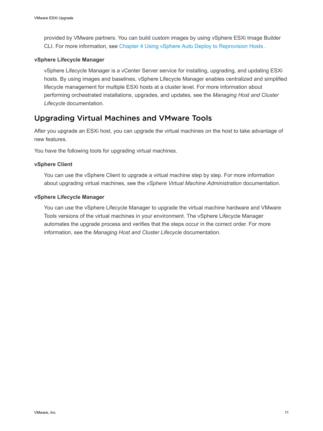<span id="page-10-0"></span>provided by VMware partners. You can build custom images by using vSphere ESXi Image Builder CLI. For more information, see [Chapter 4 Using vSphere Auto Deploy to Reprovision Hosts .](#page-80-0)

#### **vSphere Lifecycle Manager**

vSphere Lifecycle Manager is a vCenter Server service for installing, upgrading, and updating ESXi hosts. By using images and baselines, vSphere Lifecycle Manager enables centralized and simplified lifecycle management for multiple ESXi hosts at a cluster level. For more information about performing orchestrated installations, upgrades, and updates, see the *Managing Host and Cluster Lifecycle* documentation.

## Upgrading Virtual Machines and VMware Tools

After you upgrade an ESXi host, you can upgrade the virtual machines on the host to take advantage of new features.

You have the following tools for upgrading virtual machines.

#### **vSphere Client**

You can use the vSphere Client to upgrade a virtual machine step by step. For more information about upgrading virtual machines, see the *vSphere Virtual Machine Administration* documentation.

#### **vSphere Lifecycle Manager**

You can use the vSphere Lifecycle Manager to upgrade the virtual machine hardware and VMware Tools versions of the virtual machines in your environment. The vSphere Lifecycle Manager automates the upgrade process and verifies that the steps occur in the correct order. For more information, see the *Managing Host and Cluster Lifecycle* documentation.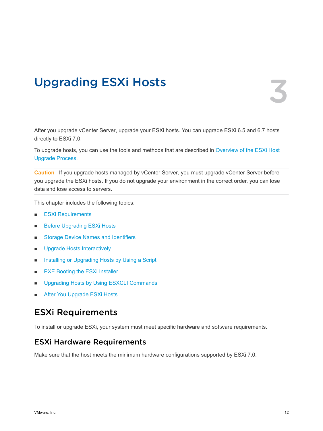# <span id="page-11-0"></span>Upgrading ESXi Hosts 3

After you upgrade vCenter Server, upgrade your ESXi hosts. You can upgrade ESXi 6.5 and 6.7 hosts directly to ESXi 7.0.

To upgrade hosts, you can use the tools and methods that are described in [Overview of the ESXi Host](#page-8-0) [Upgrade Process](#page-8-0).

**Caution** If you upgrade hosts managed by vCenter Server, you must upgrade vCenter Server before you upgrade the ESXi hosts. If you do not upgrade your environment in the correct order, you can lose data and lose access to servers.

This chapter includes the following topics:

- **ESXi Requirements**
- **[Before Upgrading ESXi Hosts](#page-21-0)**
- **n** [Storage Device Names and Identifiers](#page-34-0)
- **n** [Upgrade Hosts Interactively](#page-35-0)
- **n [Installing or Upgrading Hosts by Using a Script](#page-36-0)**
- [PXE Booting the ESXi Installer](#page-53-0)
- [Upgrading Hosts by Using ESXCLI Commands](#page-60-0)
- [After You Upgrade ESXi Hosts](#page-75-0)

## ESXi Requirements

To install or upgrade ESXi, your system must meet specific hardware and software requirements.

## ESXi Hardware Requirements

Make sure that the host meets the minimum hardware configurations supported by ESXi 7.0.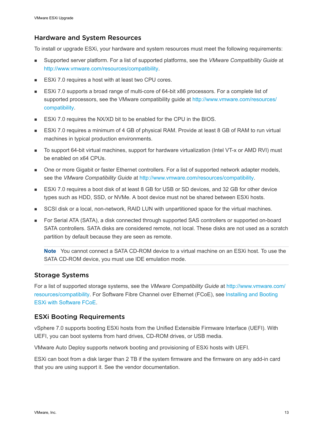### Hardware and System Resources

To install or upgrade ESXi, your hardware and system resources must meet the following requirements:

- Supported server platform. For a list of supported platforms, see the *VMware Compatibility Guide* at <http://www.vmware.com/resources/compatibility>.
- ESXi 7.0 requires a host with at least two CPU cores.
- ESXi 7.0 supports a broad range of multi-core of 64-bit x86 processors. For a complete list of supported processors, see the VMware compatibility guide at [http://www.vmware.com/resources/](http://www.vmware.com/resources/compatibility) [compatibility](http://www.vmware.com/resources/compatibility).
- ESXi 7.0 requires the NX/XD bit to be enabled for the CPU in the BIOS.
- ESXi 7.0 requires a minimum of 4 GB of physical RAM. Provide at least 8 GB of RAM to run virtual machines in typical production environments.
- To support 64-bit virtual machines, support for hardware virtualization (Intel VT-x or AMD RVI) must be enabled on x64 CPUs.
- n One or more Gigabit or faster Ethernet controllers. For a list of supported network adapter models, see the *VMware Compatibility Guide* at [http://www.vmware.com/resources/compatibility.](http://www.vmware.com/resources/compatibility)
- ESXi 7.0 requires a boot disk of at least 8 GB for USB or SD devices, and 32 GB for other device types such as HDD, SSD, or NVMe. A boot device must not be shared between ESXi hosts.
- **n** SCSI disk or a local, non-network, RAID LUN with unpartitioned space for the virtual machines.
- For Serial ATA (SATA), a disk connected through supported SAS controllers or supported on-board SATA controllers. SATA disks are considered remote, not local. These disks are not used as a scratch partition by default because they are seen as remote.

**Note** You cannot connect a SATA CD-ROM device to a virtual machine on an ESXi host. To use the SATA CD-ROM device, you must use IDE emulation mode.

## Storage Systems

For a list of supported storage systems, see the *VMware Compatibility Guide* at [http://www.vmware.com/](http://www.vmware.com/resources/compatibility) [resources/compatibility.](http://www.vmware.com/resources/compatibility) For Software Fibre Channel over Ethernet (FCoE), see [Installing and Booting](#page-33-0)  [ESXi with Software FCoE](#page-33-0).

## ESXi Booting Requirements

vSphere 7.0 supports booting ESXi hosts from the Unified Extensible Firmware Interface (UEFI). With UEFI, you can boot systems from hard drives, CD-ROM drives, or USB media.

VMware Auto Deploy supports network booting and provisioning of ESXi hosts with UEFI.

ESXi can boot from a disk larger than 2 TB if the system firmware and the firmware on any add-in card that you are using support it. See the vendor documentation.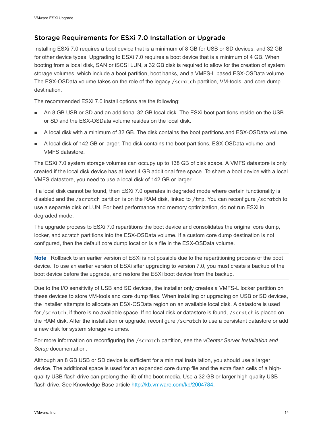## Storage Requirements for ESXi 7.0 Installation or Upgrade

Installing ESXi 7.0 requires a boot device that is a minimum of 8 GB for USB or SD devices, and 32 GB for other device types. Upgrading to ESXi 7.0 requires a boot device that is a minimum of 4 GB. When booting from a local disk, SAN or iSCSI LUN, a 32 GB disk is required to allow for the creation of system storage volumes, which include a boot partition, boot banks, and a VMFS-L based ESX-OSData volume. The ESX-OSData volume takes on the role of the legacy /scratch partition, VM-tools, and core dump destination.

The recommended ESXi 7.0 install options are the following:

- n An 8 GB USB or SD and an additional 32 GB local disk. The ESXi boot partitions reside on the USB or SD and the ESX-OSData volume resides on the local disk.
- <sup>n</sup> A local disk with a minimum of 32 GB. The disk contains the boot partitions and ESX-OSData volume.
- <sup>n</sup> A local disk of 142 GB or larger. The disk contains the boot partitions, ESX-OSData volume, and VMFS datastore.

The ESXi 7.0 system storage volumes can occupy up to 138 GB of disk space. A VMFS datastore is only created if the local disk device has at least 4 GB additional free space. To share a boot device with a local VMFS datastore, you need to use a local disk of 142 GB or larger.

If a local disk cannot be found, then ESXi 7.0 operates in degraded mode where certain functionality is disabled and the /scratch partition is on the RAM disk, linked to /tmp. You can reconfigure /scratch to use a separate disk or LUN. For best performance and memory optimization, do not run ESXi in degraded mode.

The upgrade process to ESXi 7.0 repartitions the boot device and consolidates the original core dump, locker, and scratch partitions into the ESX-OSData volume. If a custom core dump destination is not configured, then the default core dump location is a file in the ESX-OSData volume.

**Note** Rollback to an earlier version of ESXi is not possible due to the repartitioning process of the boot device. To use an earlier version of ESXi after upgrading to version 7.0, you must create a backup of the boot device before the upgrade, and restore the ESXi boot device from the backup.

Due to the I/O sensitivity of USB and SD devices, the installer only creates a VMFS-L locker partition on these devices to store VM-tools and core dump files. When installing or upgrading on USB or SD devices, the installer attempts to allocate an ESX-OSData region on an available local disk. A datastore is used for /scratch, if there is no available space. If no local disk or datastore is found, /scratch is placed on the RAM disk. After the installation or upgrade, reconfigure /scratch to use a persistent datastore or add a new disk for system storage volumes.

For more information on reconfiguring the /scratch partition, see the *vCenter Server Installation and Setup* documentation.

Although an 8 GB USB or SD device is sufficient for a minimal installation, you should use a larger device. The additional space is used for an expanded core dump file and the extra flash cells of a highquality USB flash drive can prolong the life of the boot media. Use a 32 GB or larger high-quality USB flash drive. See Knowledge Base article <http://kb.vmware.com/kb/2004784>.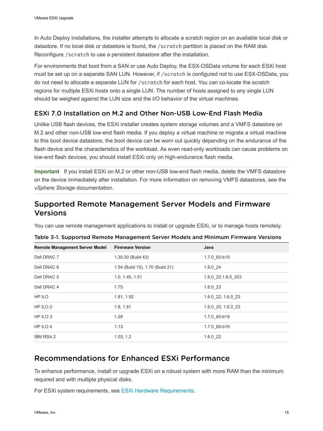<span id="page-14-0"></span>In Auto Deploy installations, the installer attempts to allocate a scratch region on an available local disk or datastore. If no local disk or datastore is found, the /scratch partition is placed on the RAM disk. Reconfigure /scratch to use a persistent datastore after the installation.

For environments that boot from a SAN or use Auto Deploy, the ESX-OSData volume for each ESXi host must be set up on a separate SAN LUN. However, if /scratch is configured not to use ESX-OSData, you do not need to allocate a separate LUN for /scratch for each host. You can co-locate the scratch regions for multiple ESXi hosts onto a single LUN. The number of hosts assigned to any single LUN should be weighed against the LUN size and the I/O behavior of the virtual machines.

## ESXi 7.0 Installation on M.2 and Other Non-USB Low-End Flash Media

Unlike USB flash devices, the ESXi installer creates system storage volumes and a VMFS datastore on M.2 and other non-USB low-end flash media. If you deploy a virtual machine or migrate a virtual machine to this boot device datastore, the boot device can be worn out quickly depending on the endurance of the flash device and the characteristics of the workload. As even read-only workloads can cause problems on low-end flash devices, you should install ESXi only on high-endurance flash media.

**Important** If you install ESXi on M.2 or other non-USB low-end flash media, delete the VMFS datastore on the device immediately after installation. For more information on removing VMFS datastores, see the *vSphere Storage* documentation.

## Supported Remote Management Server Models and Firmware Versions

You can use remote management applications to install or upgrade ESXi, or to manage hosts remotely.

| <b>Remote Management Server Model</b> | <b>Firmware Version</b>          | Java               |
|---------------------------------------|----------------------------------|--------------------|
| Dell DRAC 7                           | 1.30.30 (Build 43)               | 1.7.0 60-b19       |
| Dell DRAC 6                           | 1.54 (Build 15), 1.70 (Build 21) | 1.6.024            |
| Dell DRAC 5                           | 1.0, 1.45, 1.51                  | 1.6.0 20,1.6.0 203 |
| Dell DRAC 4                           | 1.75                             | $1.6.0$ 23         |
| HP ILO                                | 1.81, 1.92                       | 1.6.0 22, 1.6.0 23 |
| HP ILO 2                              | 1.8, 1.81                        | 1.6.0 20, 1.6.0 23 |
| HP ILO <sub>3</sub>                   | 1.28                             | 1.7.0 60-b19       |
| HP ILO 4                              | 1.13                             | 1.7.0 60-b19       |
| <b>IBM RSA 2</b>                      | 1.03, 1.2                        | 1.6.022            |

Table 3-1. Supported Remote Management Server Models and Minimum Firmware Versions

## Recommendations for Enhanced ESXi Performance

To enhance performance, install or upgrade ESXi on a robust system with more RAM than the minimum required and with multiple physical disks.

For ESXi system requirements, see [ESXi Hardware Requirements](#page-11-0).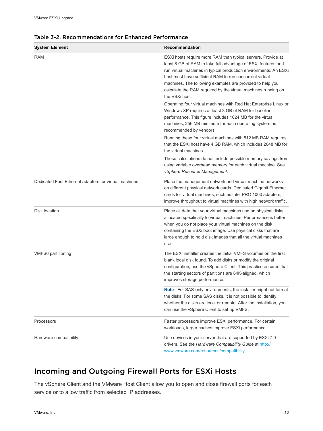| <b>System Element</b>                                 | Recommendation                                                                                                                                                                                                                                                                                                                                                                                               |
|-------------------------------------------------------|--------------------------------------------------------------------------------------------------------------------------------------------------------------------------------------------------------------------------------------------------------------------------------------------------------------------------------------------------------------------------------------------------------------|
| <b>RAM</b>                                            | ESXi hosts require more RAM than typical servers. Provide at<br>least 8 GB of RAM to take full advantage of ESXi features and<br>run virtual machines in typical production environments. An ESXi<br>host must have sufficient RAM to run concurrent virtual<br>machines. The following examples are provided to help you<br>calculate the RAM required by the virtual machines running on<br>the ESXi host. |
|                                                       | Operating four virtual machines with Red Hat Enterprise Linux or<br>Windows XP requires at least 3 GB of RAM for baseline<br>performance. This figure includes 1024 MB for the virtual<br>machines, 256 MB minimum for each operating system as<br>recommended by vendors.                                                                                                                                   |
|                                                       | Running these four virtual machines with 512 MB RAM requires<br>that the ESXi host have 4 GB RAM, which includes 2048 MB for<br>the virtual machines.                                                                                                                                                                                                                                                        |
|                                                       | These calculations do not include possible memory savings from<br>using variable overhead memory for each virtual machine. See<br>vSphere Resource Management.                                                                                                                                                                                                                                               |
| Dedicated Fast Ethernet adapters for virtual machines | Place the management network and virtual machine networks<br>on different physical network cards. Dedicated Gigabit Ethernet<br>cards for virtual machines, such as Intel PRO 1000 adapters,<br>improve throughput to virtual machines with high network traffic.                                                                                                                                            |
| Disk location                                         | Place all data that your virtual machines use on physical disks<br>allocated specifically to virtual machines. Performance is better<br>when you do not place your virtual machines on the disk<br>containing the ESXi boot image. Use physical disks that are<br>large enough to hold disk images that all the virtual machines<br>use.                                                                     |
| <b>VMFS6 partitioning</b>                             | The ESXi installer creates the initial VMFS volumes on the first<br>blank local disk found. To add disks or modify the original<br>configuration, use the vSphere Client. This practice ensures that<br>the starting sectors of partitions are 64K-aligned, which<br>improves storage performance.                                                                                                           |
|                                                       | <b>Note</b> For SAS-only environments, the installer might not format<br>the disks. For some SAS disks, it is not possible to identify<br>whether the disks are local or remote. After the installation, you<br>can use the vSphere Client to set up VMFS.                                                                                                                                                   |
| Processors                                            | Faster processors improve ESXi performance. For certain<br>workloads, larger caches improve ESXi performance.                                                                                                                                                                                                                                                                                                |
| Hardware compatibility                                | Use devices in your server that are supported by ESXi 7.0<br>drivers. See the Hardware Compatibility Guide at http://<br>www.vmware.com/resources/compatibility.                                                                                                                                                                                                                                             |

#### <span id="page-15-0"></span>Table 3-2. Recommendations for Enhanced Performance

## Incoming and Outgoing Firewall Ports for ESXi Hosts

The vSphere Client and the VMware Host Client allow you to open and close firewall ports for each service or to allow traffic from selected IP addresses.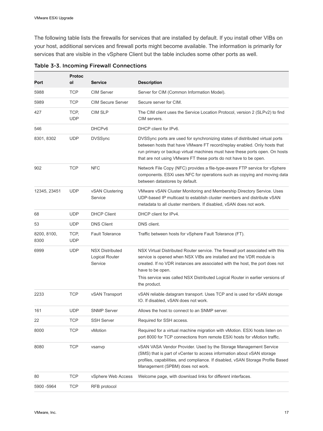The following table lists the firewalls for services that are installed by default. If you install other VIBs on your host, additional services and firewall ports might become available. The information is primarily for services that are visible in the vSphere Client but the table includes some other ports as well.

|                     | <b>Protoc</b>      |                                                     |                                                                                                                                                                                                                                                                                                                                                            |
|---------------------|--------------------|-----------------------------------------------------|------------------------------------------------------------------------------------------------------------------------------------------------------------------------------------------------------------------------------------------------------------------------------------------------------------------------------------------------------------|
| Port                | ol                 | <b>Service</b>                                      | <b>Description</b>                                                                                                                                                                                                                                                                                                                                         |
| 5988                | <b>TCP</b>         | <b>CIM Server</b>                                   | Server for CIM (Common Information Model).                                                                                                                                                                                                                                                                                                                 |
| 5989                | <b>TCP</b>         | <b>CIM Secure Server</b>                            | Secure server for CIM.                                                                                                                                                                                                                                                                                                                                     |
| 427                 | TCP,<br><b>UDP</b> | <b>CIM SLP</b>                                      | The CIM client uses the Service Location Protocol, version 2 (SLPv2) to find<br>CIM servers.                                                                                                                                                                                                                                                               |
| 546                 |                    | DHCP <sub>v6</sub>                                  | DHCP client for IPv6.                                                                                                                                                                                                                                                                                                                                      |
| 8301, 8302          | <b>UDP</b>         | <b>DVSSync</b>                                      | DVSSync ports are used for synchronizing states of distributed virtual ports<br>between hosts that have VMware FT record/replay enabled. Only hosts that<br>run primary or backup virtual machines must have these ports open. On hosts<br>that are not using VMware FT these ports do not have to be open.                                                |
| 902                 | <b>TCP</b>         | <b>NFC</b>                                          | Network File Copy (NFC) provides a file-type-aware FTP service for vSphere<br>components. ESXi uses NFC for operations such as copying and moving data<br>between datastores by default.                                                                                                                                                                   |
| 12345, 23451        | <b>UDP</b>         | vSAN Clustering<br>Service                          | VMware vSAN Cluster Monitoring and Membership Directory Service. Uses<br>UDP-based IP multicast to establish cluster members and distribute vSAN<br>metadata to all cluster members. If disabled, vSAN does not work.                                                                                                                                      |
| 68                  | <b>UDP</b>         | <b>DHCP Client</b>                                  | DHCP client for IPv4.                                                                                                                                                                                                                                                                                                                                      |
| 53                  | <b>UDP</b>         | <b>DNS Client</b>                                   | DNS client.                                                                                                                                                                                                                                                                                                                                                |
| 8200, 8100,<br>8300 | TCP,<br><b>UDP</b> | <b>Fault Tolerance</b>                              | Traffic between hosts for vSphere Fault Tolerance (FT).                                                                                                                                                                                                                                                                                                    |
| 6999                | <b>UDP</b>         | <b>NSX Distributed</b><br>Logical Router<br>Service | NSX Virtual Distributed Router service. The firewall port associated with this<br>service is opened when NSX VIBs are installed and the VDR module is<br>created. If no VDR instances are associated with the host, the port does not<br>have to be open.<br>This service was called NSX Distributed Logical Router in earlier versions of<br>the product. |
| 2233                | <b>TCP</b>         | vSAN Transport                                      | vSAN reliable datagram transport. Uses TCP and is used for vSAN storage<br>IO. If disabled, vSAN does not work.                                                                                                                                                                                                                                            |
| 161                 | <b>UDP</b>         | <b>SNMP Server</b>                                  | Allows the host to connect to an SNMP server.                                                                                                                                                                                                                                                                                                              |
| 22                  | <b>TCP</b>         | <b>SSH Server</b>                                   | Required for SSH access.                                                                                                                                                                                                                                                                                                                                   |
| 8000                | <b>TCP</b>         | vMotion                                             | Required for a virtual machine migration with vMotion. ESXi hosts listen on<br>port 8000 for TCP connections from remote ESXi hosts for vMotion traffic.                                                                                                                                                                                                   |
| 8080                | <b>TCP</b>         | vsanvp                                              | vSAN VASA Vendor Provider. Used by the Storage Management Service<br>(SMS) that is part of vCenter to access information about vSAN storage<br>profiles, capabilities, and compliance. If disabled, vSAN Storage Profile Based<br>Management (SPBM) does not work.                                                                                         |
| 80                  | <b>TCP</b>         | vSphere Web Access                                  | Welcome page, with download links for different interfaces.                                                                                                                                                                                                                                                                                                |
| 5900 -5964          | <b>TCP</b>         | RFB protocol                                        |                                                                                                                                                                                                                                                                                                                                                            |

Table 3-3. Incoming Firewall Connections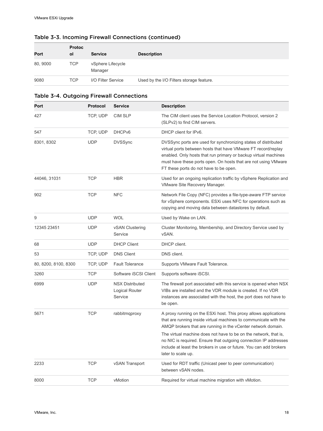| Port     | <b>Protoc</b><br>οl | <b>Service</b>               | <b>Description</b>                       |
|----------|---------------------|------------------------------|------------------------------------------|
| 80, 9000 | <b>TCP</b>          | vSphere Lifecycle<br>Manager |                                          |
| 9080     | <b>TCP</b>          | I/O Filter Service           | Used by the I/O Filters storage feature. |

### Table 3-3. Incoming Firewall Connections (continued)

#### Table 3-4. Outgoing Firewall Connections

| Port                 | Protocol   | <b>Service</b>                                      | <b>Description</b>                                                                                                                                                                                                                                                                                                                                                                                                                       |
|----------------------|------------|-----------------------------------------------------|------------------------------------------------------------------------------------------------------------------------------------------------------------------------------------------------------------------------------------------------------------------------------------------------------------------------------------------------------------------------------------------------------------------------------------------|
| 427                  | TCP, UDP   | <b>CIM SLP</b>                                      | The CIM client uses the Service Location Protocol, version 2<br>(SLPv2) to find CIM servers.                                                                                                                                                                                                                                                                                                                                             |
| 547                  | TCP, UDP   | DHCP <sub>v6</sub>                                  | DHCP client for IPv6.                                                                                                                                                                                                                                                                                                                                                                                                                    |
| 8301, 8302           | <b>UDP</b> | <b>DVSSync</b>                                      | DVSSync ports are used for synchronizing states of distributed<br>virtual ports between hosts that have VMware FT record/replay<br>enabled. Only hosts that run primary or backup virtual machines<br>must have these ports open. On hosts that are not using VMware<br>FT these ports do not have to be open.                                                                                                                           |
| 44046, 31031         | <b>TCP</b> | <b>HBR</b>                                          | Used for an ongoing replication traffic by vSphere Replication and<br>VMware Site Recovery Manager.                                                                                                                                                                                                                                                                                                                                      |
| 902                  | <b>TCP</b> | <b>NFC</b>                                          | Network File Copy (NFC) provides a file-type-aware FTP service<br>for vSphere components. ESXi uses NFC for operations such as<br>copying and moving data between datastores by default.                                                                                                                                                                                                                                                 |
| 9                    | <b>UDP</b> | <b>WOL</b>                                          | Used by Wake on LAN.                                                                                                                                                                                                                                                                                                                                                                                                                     |
| 12345 23451          | <b>UDP</b> | vSAN Clustering<br>Service                          | Cluster Monitoring, Membership, and Directory Service used by<br>vSAN.                                                                                                                                                                                                                                                                                                                                                                   |
| 68                   | <b>UDP</b> | <b>DHCP Client</b>                                  | DHCP client.                                                                                                                                                                                                                                                                                                                                                                                                                             |
| 53                   | TCP, UDP   | <b>DNS Client</b>                                   | DNS client.                                                                                                                                                                                                                                                                                                                                                                                                                              |
| 80, 8200, 8100, 8300 | TCP, UDP   | <b>Fault Tolerance</b>                              | Supports VMware Fault Tolerance.                                                                                                                                                                                                                                                                                                                                                                                                         |
| 3260                 | <b>TCP</b> | Software iSCSI Client                               | Supports software iSCSI.                                                                                                                                                                                                                                                                                                                                                                                                                 |
| 6999                 | <b>UDP</b> | <b>NSX Distributed</b><br>Logical Router<br>Service | The firewall port associated with this service is opened when NSX<br>VIBs are installed and the VDR module is created. If no VDR<br>instances are associated with the host, the port does not have to<br>be open.                                                                                                                                                                                                                        |
| 5671                 | <b>TCP</b> | rabbitmqproxy                                       | A proxy running on the ESXi host. This proxy allows applications<br>that are running inside virtual machines to communicate with the<br>AMQP brokers that are running in the vCenter network domain.<br>The virtual machine does not have to be on the network, that is,<br>no NIC is required. Ensure that outgoing connection IP addresses<br>include at least the brokers in use or future. You can add brokers<br>later to scale up. |
| 2233                 | <b>TCP</b> | vSAN Transport                                      | Used for RDT traffic (Unicast peer to peer communication)<br>between vSAN nodes.                                                                                                                                                                                                                                                                                                                                                         |
| 8000                 | <b>TCP</b> | vMotion                                             | Required for virtual machine migration with vMotion.                                                                                                                                                                                                                                                                                                                                                                                     |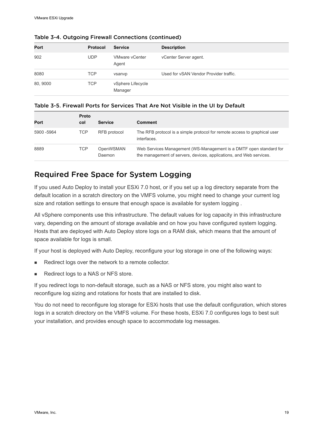| Port     | <b>Protocol</b> | <b>Service</b>                 | <b>Description</b>                     |
|----------|-----------------|--------------------------------|----------------------------------------|
| 902      | UDP             | <b>VMware vCenter</b><br>Agent | vCenter Server agent.                  |
| 8080     | TCP             | vsanvp                         | Used for vSAN Vendor Provider traffic. |
| 80, 9000 | TCP             | vSphere Lifecycle<br>Manager   |                                        |

#### <span id="page-18-0"></span>Table 3-4. Outgoing Firewall Connections (continued)

#### Table 3-5. Firewall Ports for Services That Are Not Visible in the UI by Default

| Port        | Proto<br>col | <b>Service</b>      | <b>Comment</b>                                                                                                                            |
|-------------|--------------|---------------------|-------------------------------------------------------------------------------------------------------------------------------------------|
| 5900 - 5964 | TCP          | RFB protocol        | The RFB protocol is a simple protocol for remote access to graphical user<br>interfaces.                                                  |
| 8889        | <b>TCP</b>   | OpenWSMAN<br>Daemon | Web Services Management (WS-Management is a DMTF open standard for<br>the management of servers, devices, applications, and Web services. |

## Required Free Space for System Logging

If you used Auto Deploy to install your ESXi 7.0 host, or if you set up a log directory separate from the default location in a scratch directory on the VMFS volume, you might need to change your current log size and rotation settings to ensure that enough space is available for system logging .

All vSphere components use this infrastructure. The default values for log capacity in this infrastructure vary, depending on the amount of storage available and on how you have configured system logging. Hosts that are deployed with Auto Deploy store logs on a RAM disk, which means that the amount of space available for logs is small.

If your host is deployed with Auto Deploy, reconfigure your log storage in one of the following ways:

- Redirect logs over the network to a remote collector.
- Redirect logs to a NAS or NFS store.

If you redirect logs to non-default storage, such as a NAS or NFS store, you might also want to reconfigure log sizing and rotations for hosts that are installed to disk.

You do not need to reconfigure log storage for ESXi hosts that use the default configuration, which stores logs in a scratch directory on the VMFS volume. For these hosts, ESXi 7.0 configures logs to best suit your installation, and provides enough space to accommodate log messages.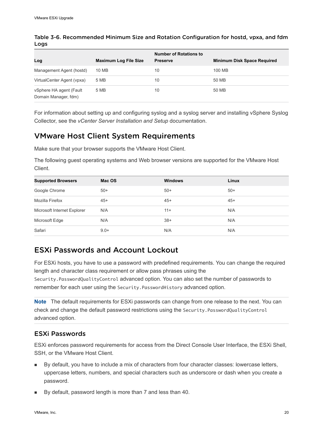| Log                                             | <b>Maximum Log File Size</b> | <b>Number of Rotations to</b><br><b>Preserve</b> | <b>Minimum Disk Space Required</b> |
|-------------------------------------------------|------------------------------|--------------------------------------------------|------------------------------------|
| Management Agent (hostd)                        | 10 MB                        | 10                                               | 100 MB                             |
| VirtualCenter Agent (vpxa)                      | 5 MB                         | 10                                               | 50 MB                              |
| vSphere HA agent (Fault<br>Domain Manager, fdm) | 5 MB                         | 10                                               | 50 MB                              |

<span id="page-19-0"></span>Table 3-6. Recommended Minimum Size and Rotation Configuration for hostd, vpxa, and fdm Logs

For information about setting up and configuring syslog and a syslog server and installing vSphere Syslog Collector, see the *vCenter Server Installation and Setup* documentation.

## VMware Host Client System Requirements

Make sure that your browser supports the VMware Host Client.

The following guest operating systems and Web browser versions are supported for the VMware Host Client.

| <b>Supported Browsers</b>   | Mac OS | <b>Windows</b> | Linux |
|-----------------------------|--------|----------------|-------|
| Google Chrome               | $50+$  | $50+$          | $50+$ |
| Mozilla Firefox             | $45+$  | $45+$          | $45+$ |
| Microsoft Internet Explorer | N/A    | $11+$          | N/A   |
| Microsoft Edge              | N/A    | $38+$          | N/A   |
| Safari                      | $9.0+$ | N/A            | N/A   |

## ESXi Passwords and Account Lockout

For ESXi hosts, you have to use a password with predefined requirements. You can change the required length and character class requirement or allow pass phrases using the Security.PasswordQualityControl advanced option. You can also set the number of passwords to remember for each user using the Security.PasswordHistory advanced option.

**Note** The default requirements for ESXi passwords can change from one release to the next. You can check and change the default password restrictions using the Security.PasswordQualityControl advanced option.

#### ESXi Passwords

ESXi enforces password requirements for access from the Direct Console User Interface, the ESXi Shell, SSH, or the VMware Host Client.

- By default, you have to include a mix of characters from four character classes: lowercase letters, uppercase letters, numbers, and special characters such as underscore or dash when you create a password.
- By default, password length is more than 7 and less than 40.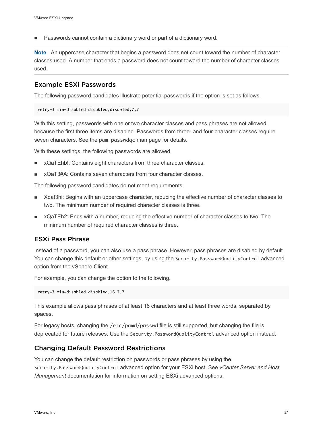Passwords cannot contain a dictionary word or part of a dictionary word.

**Note** An uppercase character that begins a password does not count toward the number of character classes used. A number that ends a password does not count toward the number of character classes used.

#### Example ESXi Passwords

The following password candidates illustrate potential passwords if the option is set as follows.

```
retry=3 min=disabled,disabled,disabled,7,7
```
With this setting, passwords with one or two character classes and pass phrases are not allowed, because the first three items are disabled. Passwords from three- and four-character classes require seven characters. See the pam\_passwdqc man page for details.

With these settings, the following passwords are allowed.

- <sup>n</sup> xQaTEhb!: Contains eight characters from three character classes.
- <sup>n</sup> xQaT3#A: Contains seven characters from four character classes.

The following password candidates do not meet requirements.

- Xqat3hi: Begins with an uppercase character, reducing the effective number of character classes to two. The minimum number of required character classes is three.
- <sup>n</sup> xQaTEh2: Ends with a number, reducing the effective number of character classes to two. The minimum number of required character classes is three.

#### ESXi Pass Phrase

Instead of a password, you can also use a pass phrase. However, pass phrases are disabled by default. You can change this default or other settings, by using the Security. PasswordQualityControl advanced option from the vSphere Client.

For example, you can change the option to the following.

retry=3 min=disabled,disabled,16,7,7

This example allows pass phrases of at least 16 characters and at least three words, separated by spaces.

For legacy hosts, changing the /etc/pamd/passwd file is still supported, but changing the file is deprecated for future releases. Use the Security.PasswordQualityControl advanced option instead.

#### Changing Default Password Restrictions

You can change the default restriction on passwords or pass phrases by using the Security.PasswordQualityControl advanced option for your ESXi host. See *vCenter Server and Host Management* documentation for information on setting ESXi advanced options.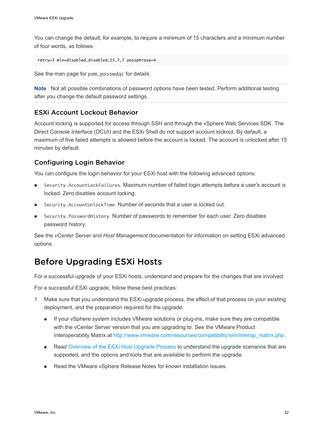<span id="page-21-0"></span>You can change the default, for example, to require a minimum of 15 characters and a minimum number of four words, as follows:

retry=3 min=disabled,disabled,15,7,7 passphrase=4

See the man page for pam\_passwdqc for details.

**Note** Not all possible combinations of password options have been tested. Perform additional testing after you change the default password settings.

#### ESXi Account Lockout Behavior

Account locking is supported for access through SSH and through the vSphere Web Services SDK. The Direct Console Interface (DCUI) and the ESXi Shell do not support account lockout. By default, a maximum of five failed attempts is allowed before the account is locked. The account is unlocked after 15 minutes by default.

#### Configuring Login Behavior

You can configure the login behavior for your ESXi host with the following advanced options:

- <sup>n</sup> Security.AccountLockFailures. Maximum number of failed login attempts before a user's account is locked. Zero disables account locking.
- Security.AccountUnlockTime. Number of seconds that a user is locked out.
- Security. PasswordHistory. Number of passwords to remember for each user. Zero disables password history.

See the *vCenter Server and Host Management* documentation for information on setting ESXi advanced options.

## Before Upgrading ESXi Hosts

For a successful upgrade of your ESXi hosts, understand and prepare for the changes that are involved.

For a successful ESXi upgrade, follow these best practices:

- 1 Make sure that you understand the ESXi upgrade process, the effect of that process on your existing deployment, and the preparation required for the upgrade.
	- **n** If your vSphere system includes VMware solutions or plug-ins, make sure they are compatible with the vCenter Server version that you are upgrading to. See the VMware Product Interoperability Matrix at [http://www.vmware.com/resources/compatibility/sim/interop\\_matrix.php](http://www.vmware.com/resources/compatibility/sim/interop_matrix.php).
	- **n** Read [Overview of the ESXi Host Upgrade Process](#page-8-0) to understand the upgrade scenarios that are supported, and the options and tools that are available to perform the upgrade.
	- **n** Read the VMware vSphere Release Notes for known installation issues.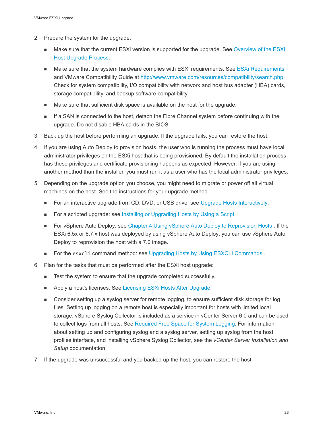- 2 Prepare the system for the upgrade.
	- <sup>n</sup> Make sure that the current ESXi version is supported for the upgrade. See [Overview of the ESXi](#page-8-0) [Host Upgrade Process.](#page-8-0)
	- Make sure that the system hardware complies with ESXi requirements. See [ESXi Requirements](#page-11-0) and VMware Compatibility Guide at [http://www.vmware.com/resources/compatibility/search.php.](http://www.vmware.com/resources/compatibility/search.php) Check for system compatibility, I/O compatibility with network and host bus adapter (HBA) cards, storage compatibility, and backup software compatibility.
	- **n** Make sure that sufficient disk space is available on the host for the upgrade.
	- <sup>n</sup> If a SAN is connected to the host, detach the Fibre Channel system before continuing with the upgrade. Do not disable HBA cards in the BIOS.
- 3 Back up the host before performing an upgrade. If the upgrade fails, you can restore the host.
- 4 If you are using Auto Deploy to provision hosts, the user who is running the process must have local administrator privileges on the ESXi host that is being provisioned. By default the installation process has these privileges and certificate provisioning happens as expected. However, if you are using another method than the installer, you must run it as a user who has the local administrator privileges.
- 5 Depending on the upgrade option you choose, you might need to migrate or power off all virtual machines on the host. See the instructions for your upgrade method.
	- For an interactive upgrade from CD, DVD, or USB drive: see [Upgrade Hosts Interactively.](#page-35-0)
	- For a scripted upgrade: see [Installing or Upgrading Hosts by Using a Script.](#page-36-0)
	- **n** For vSphere Auto Deploy: see [Chapter 4 Using vSphere Auto Deploy to Reprovision Hosts](#page-80-0) . If the ESXi 6.5x or 6.7.x host was deployed by using vSphere Auto Deploy, you can use vSphere Auto Deploy to reprovision the host with a 7.0 image.
	- For the esxcli command method: see Upgrading Hosts by Using ESXCLI Commands.
- 6 Plan for the tasks that must be performed after the ESXi host upgrade:
	- Test the system to ensure that the upgrade completed successfully.
	- Apply a host's licenses. See [Licensing ESXi Hosts After Upgrade.](#page-76-0)
	- Consider setting up a syslog server for remote logging, to ensure sufficient disk storage for log files. Setting up logging on a remote host is especially important for hosts with limited local storage. vSphere Syslog Collector is included as a service in vCenter Server 6.0 and can be used to collect logs from all hosts. See [Required Free Space for System Logging.](#page-18-0) For information about setting up and configuring syslog and a syslog server, setting up syslog from the host profiles interface, and installing vSphere Syslog Collector, see the *vCenter Server Installation and Setup* documentation.
- 7 If the upgrade was unsuccessful and you backed up the host, you can restore the host.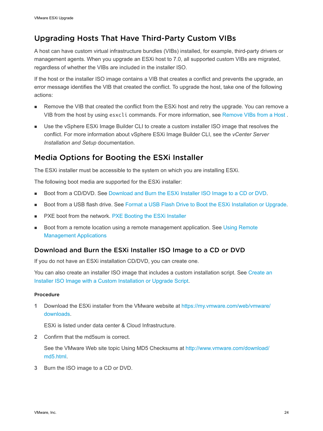## <span id="page-23-0"></span>Upgrading Hosts That Have Third-Party Custom VIBs

A host can have custom virtual infrastructure bundles (VIBs) installed, for example, third-party drivers or management agents. When you upgrade an ESXi host to 7.0, all supported custom VIBs are migrated, regardless of whether the VIBs are included in the installer ISO.

If the host or the installer ISO image contains a VIB that creates a conflict and prevents the upgrade, an error message identifies the VIB that created the conflict. To upgrade the host, take one of the following actions:

- n Remove the VIB that created the conflict from the ESXi host and retry the upgrade. You can remove a VIB from the host by using esxcli commands. For more information, see [Remove VIBs from a Host](#page-71-0) .
- **Deam Use the vSphere ESXi Image Builder CLI to create a custom installer ISO image that resolves the** conflict. For more information about vSphere ESXi Image Builder CLI, see the *vCenter Server Installation and Setup* documentation.

## Media Options for Booting the ESXi Installer

The ESXi installer must be accessible to the system on which you are installing ESXi.

The following boot media are supported for the ESXi installer:

- Boot from a CD/DVD. See Download and Burn the ESXi Installer ISO Image to a CD or DVD.
- **Boot from a USB flash drive. See [Format a USB Flash Drive to Boot the ESXi Installation or Upgrade.](#page-24-0)**
- PXE boot from the network. [PXE Booting the ESXi Installer](#page-28-0)
- **n** Boot from a remote location using a remote management application. See Using Remote [Management Applications](#page-33-0)

## Download and Burn the ESXi Installer ISO Image to a CD or DVD

If you do not have an ESXi installation CD/DVD, you can create one.

You can also create an installer ISO image that includes a custom installation script. See [Create an](#page-27-0)  [Installer ISO Image with a Custom Installation or Upgrade Script](#page-27-0).

#### Procedure

**1** Download the ESXi installer from the VMware website at [https://my.vmware.com/web/vmware/](https://my.vmware.com/web/vmware/downloads) [downloads.](https://my.vmware.com/web/vmware/downloads)

ESXi is listed under data center & Cloud Infrastructure.

**2** Confirm that the md5sum is correct.

See the VMware Web site topic Using MD5 Checksums at [http://www.vmware.com/download/](http://www.vmware.com/download/md5.html) [md5.html](http://www.vmware.com/download/md5.html).

**3** Burn the ISO image to a CD or DVD.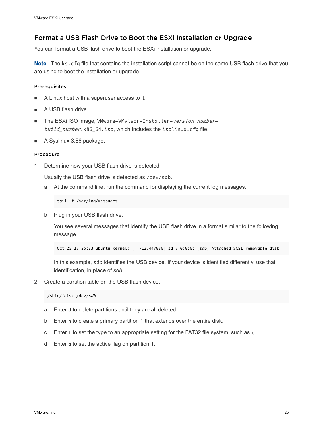#### <span id="page-24-0"></span>Format a USB Flash Drive to Boot the ESXi Installation or Upgrade

You can format a USB flash drive to boot the ESXi installation or upgrade.

**Note** The ks.cfg file that contains the installation script cannot be on the same USB flash drive that you are using to boot the installation or upgrade.

#### Prerequisites

- <sup>n</sup> A Linux host with a superuser access to it.
- A USB flash drive.
- The ESXi ISO image, VMware-VMvisor-Installer-version\_numberbuild\_number.x86\_64.iso, which includes the isolinux.cfg file.
- A Syslinux 3.86 package.

#### Procedure

**1** Determine how your USB flash drive is detected.

Usually the USB flash drive is detected as /dev/sdb.

a At the command line, run the command for displaying the current log messages.

tail -f /var/log/messages

b Plug in your USB flash drive.

You see several messages that identify the USB flash drive in a format similar to the following message.

Oct 25 13:25:23 ubuntu kernel: [ 712.447080] sd 3:0:0:0: [sdb] Attached SCSI removable disk

In this example, sdb identifies the USB device. If your device is identified differently, use that identification, in place of *sdb*.

**2** Create a partition table on the USB flash device.

/sbin/fdisk /dev/sdb

- a Enter d to delete partitions until they are all deleted.
- b Enter n to create a primary partition 1 that extends over the entire disk.
- c Enter t to set the type to an appropriate setting for the FAT32 file system, such as c.
- d Enter a to set the active flag on partition 1.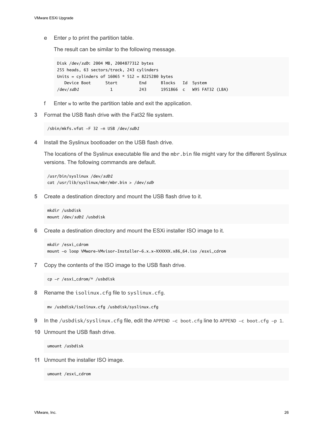e Enter p to print the partition table.

The result can be similar to the following message.

Disk /dev/sdb: 2004 MB, 2004877312 bytes 255 heads, 63 sectors/track, 243 cylinders Units = cylinders of  $16065 * 512 = 8225280$  bytes Device Boot Start End Blocks Id System /dev/sdb1 1 243 1951866 c W95 FAT32 (LBA)

- f Enter w to write the partition table and exit the application.
- **3** Format the USB flash drive with the Fat32 file system.

/sbin/mkfs.vfat -F 32 -n USB /dev/sdb1

**4** Install the Syslinux bootloader on the USB flash drive.

The locations of the Syslinux executable file and the mbr. bin file might vary for the different Syslinux versions. The following commands are default.

/usr/bin/syslinux /dev/sdb1 cat /usr/lib/syslinux/mbr/mbr.bin > /dev/sdb

**5** Create a destination directory and mount the USB flash drive to it.

mkdir /usbdisk mount /dev/sdb1 /usbdisk

**6** Create a destination directory and mount the ESXi installer ISO image to it.

```
mkdir /esxi_cdrom
mount -o loop VMware-VMvisor-Installer-6.x.x-XXXXXX.x86_64.iso /esxi_cdrom
```
**7** Copy the contents of the ISO image to the USB flash drive.

cp -r /esxi\_cdrom/\* /usbdisk

**8** Rename the isolinux.cfg file to syslinux.cfg.

mv /usbdisk/isolinux.cfg /usbdisk/syslinux.cfg

- **9** In the /usbdisk/syslinux.cfg file, edit the APPEND -c boot.cfg line to APPEND -c boot.cfg -p 1.
- **10** Unmount the USB flash drive.

umount /usbdisk

**11** Unmount the installer ISO image.

umount /esxi\_cdrom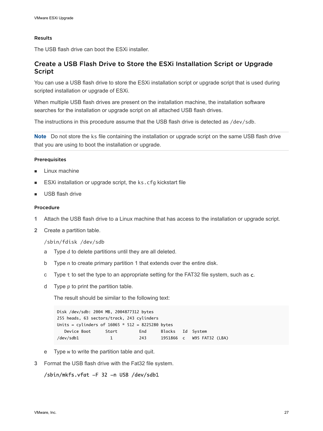#### Results

The USB flash drive can boot the ESXi installer.

#### Create a USB Flash Drive to Store the ESXi Installation Script or Upgrade Script

You can use a USB flash drive to store the ESXi installation script or upgrade script that is used during scripted installation or upgrade of ESXi.

When multiple USB flash drives are present on the installation machine, the installation software searches for the installation or upgrade script on all attached USB flash drives.

The instructions in this procedure assume that the USB flash drive is detected as /dev/sdb.

**Note** Do not store the ks file containing the installation or upgrade script on the same USB flash drive that you are using to boot the installation or upgrade.

#### **Prerequisites**

- $\blacksquare$  Linux machine
- **ESXi installation or upgrade script, the ks.cfg kickstart file**
- **No. USB flash drive**

#### Procedure

- **1** Attach the USB flash drive to a Linux machine that has access to the installation or upgrade script.
- **2** Create a partition table.

#### /sbin/fdisk /dev/sdb

- a Type d to delete partitions until they are all deleted.
- b Type n to create primary partition 1 that extends over the entire disk.
- c Type t to set the type to an appropriate setting for the FAT32 file system, such as c.
- d Type p to print the partition table.

The result should be similar to the following text:

```
Disk /dev/sdb: 2004 MB, 2004877312 bytes
255 heads, 63 sectors/track, 243 cylinders
Units = cylinders of 16065 * 512 = 8225280 bytes
   Device Boot Start End Blocks Id System
/dev/sdb1 1 243 1951866 c W95 FAT32 (LBA)
```
- e Type w to write the partition table and quit.
- **3** Format the USB flash drive with the Fat32 file system.

#### /sbin/mkfs.vfat -F 32 -n USB /dev/sdb1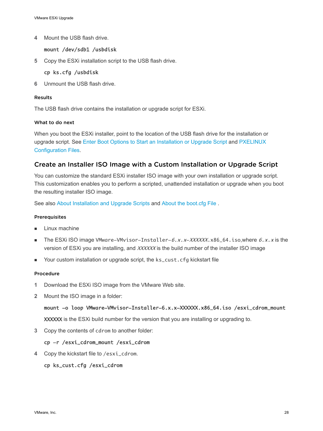<span id="page-27-0"></span>**4** Mount the USB flash drive.

#### mount /dev/sdb1 /usbdisk

**5** Copy the ESXi installation script to the USB flash drive.

#### cp ks.cfg /usbdisk

**6** Unmount the USB flash drive.

#### Results

The USB flash drive contains the installation or upgrade script for ESXi.

#### What to do next

When you boot the ESXi installer, point to the location of the USB flash drive for the installation or upgrade script. See [Enter Boot Options to Start an Installation or Upgrade Script](#page-37-0) and [PXELINUX](#page-31-0) [Configuration Files](#page-31-0).

#### Create an Installer ISO Image with a Custom Installation or Upgrade Script

You can customize the standard ESXi installer ISO image with your own installation or upgrade script. This customization enables you to perform a scripted, unattended installation or upgrade when you boot the resulting installer ISO image.

See also [About Installation and Upgrade Scripts](#page-39-0) and [About the boot.cfg File](#page-49-0) .

#### **Prerequisites**

- Linux machine
- The ESXi ISO image VMware-VMvisor-Installer-6.x.x-XXXXXX.x86\_64.iso,where  $6.x.x$  is the version of ESXi you are installing, and XXXXXX is the build number of the installer ISO image
- Your custom installation or upgrade script, the ks\_cust.cfg kickstart file

#### Procedure

- **1** Download the ESXi ISO image from the VMware Web site.
- **2** Mount the ISO image in a folder:

#### mount -o loop VMware-VMvisor-Installer-6.x.x-XXXXXX.x86\_64.iso /esxi\_cdrom\_mount

XXXXXX is the ESXi build number for the version that you are installing or upgrading to.

**3** Copy the contents of cdrom to another folder:

#### cp -r /esxi\_cdrom\_mount /esxi\_cdrom

**4** Copy the kickstart file to /esxi\_cdrom.

#### cp ks\_cust.cfg /esxi\_cdrom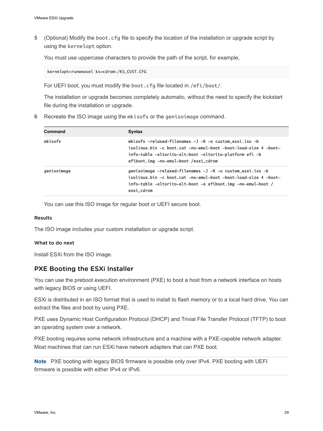<span id="page-28-0"></span>**5** (Optional) Modify the boot.cfg file to specify the location of the installation or upgrade script by using the kernelopt option.

You must use uppercase characters to provide the path of the script, for example,

kernelopt=runweasel ks=cdrom:/KS\_CUST.CFG

For UEFI boot, you must modify the boot.cfg file located in /efi/boot/.

The installation or upgrade becomes completely automatic, without the need to specify the kickstart file during the installation or upgrade.

**6** Recreate the ISO image using the mkisofs or the genisoimage command.

| Command     | Syntax                                                                                                                                                                                                                          |
|-------------|---------------------------------------------------------------------------------------------------------------------------------------------------------------------------------------------------------------------------------|
| mkisofs     | mkisofs $-relaxed-filenames -J -R -o custom_eexi.iso -b$<br>isolinux.bin -c boot.cat -no-emul-boot -boot-load-size 4 -boot-<br>info-table -eltorito-alt-boot -eltorito-platform efi -b<br>efiboot.img -no-emul-boot /esxi_cdrom |
| genisoimage | qenisoimage -relaxed-filenames -J -R -o custom_esxi.iso -b<br>isolinux bin -c boot cat -no-emul-boot -boot-load-size 4 -boot-<br>info-table -eltorito-alt-boot -e efiboot.img -no-emul-boot /<br>esxi_cdrom                     |

You can use this ISO image for regular boot or UEFI secure boot.

#### Results

The ISO image includes your custom installation or upgrade script.

#### What to do next

Install ESXi from the ISO image.

#### PXE Booting the ESXi Installer

You can use the preboot execution environment (PXE) to boot a host from a network interface on hosts with legacy BIOS or using UEFI.

ESXi is distributed in an ISO format that is used to install to flash memory or to a local hard drive. You can extract the files and boot by using PXE.

PXE uses Dynamic Host Configuration Protocol (DHCP) and Trivial File Transfer Protocol (TFTP) to boot an operating system over a network.

PXE booting requires some network infrastructure and a machine with a PXE-capable network adapter. Most machines that can run ESXi have network adapters that can PXE boot.

**Note** PXE booting with legacy BIOS firmware is possible only over IPv4. PXE booting with UEFI firmware is possible with either IPv4 or IPv6.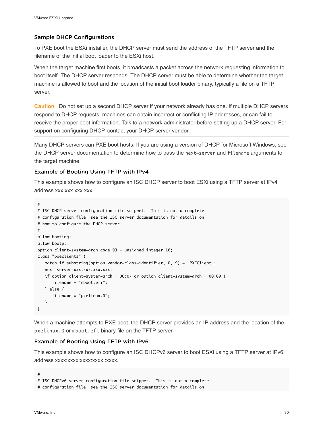#### <span id="page-29-0"></span>Sample DHCP Configurations

To PXE boot the ESXi installer, the DHCP server must send the address of the TFTP server and the filename of the initial boot loader to the ESXi host.

When the target machine first boots, it broadcasts a packet across the network requesting information to boot itself. The DHCP server responds. The DHCP server must be able to determine whether the target machine is allowed to boot and the location of the initial boot loader binary, typically a file on a TFTP server.

**Caution** Do not set up a second DHCP server if your network already has one. If multiple DHCP servers respond to DHCP requests, machines can obtain incorrect or conflicting IP addresses, or can fail to receive the proper boot information. Talk to a network administrator before setting up a DHCP server. For support on configuring DHCP, contact your DHCP server vendor.

Many DHCP servers can PXE boot hosts. If you are using a version of DHCP for Microsoft Windows, see the DHCP server documentation to determine how to pass the next-server and filename arguments to the target machine.

#### Example of Booting Using TFTP with IPv4

This example shows how to configure an ISC DHCP server to boot ESXi using a TFTP server at IPv4 address xxx.xxx.xxx.xxx.

```
#
# ISC DHCP server configuration file snippet. This is not a complete
# configuration file; see the ISC server documentation for details on
# how to configure the DHCP server.
#
allow booting;
allow bootp;
option client-system-arch code 93 = unsigned integer 16;
class "pxeclients" {
   match if substring(option vendor-class-identifier, 0, 9) = "PXEClient";
   next-server xxx.xxx.xxx.xxx;
   if option client-system-arch = 00:07 or option client-system-arch = 00:09 {
       filename = "mboot.efi";
   } else {
       filename = "pxelinux.0";
   }
}
```
When a machine attempts to PXE boot, the DHCP server provides an IP address and the location of the pxelinux.0 or mboot.efi binary file on the TFTP server.

#### Example of Booting Using TFTP with IPv6

This example shows how to configure an ISC DHCPv6 server to boot ESXi using a TFTP server at IPv6 address xxxx:xxxx:xxxx:xxxx:xxxx.

```
#
# ISC DHCPv6 server configuration file snippet. This is not a complete
# configuration file; see the ISC server documentation for details on
```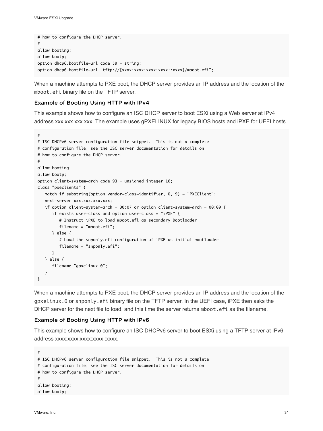```
# how to configure the DHCP server.
#
allow booting;
allow bootp;
option dhcp6.bootfile-url code 59 = string;
option dhcp6.bootfile-url "tftp://[xxxx:xxxx:xxxx:xxxx:xxxx]/mboot.efi";
```
When a machine attempts to PXE boot, the DHCP server provides an IP address and the location of the mboot.efi binary file on the TFTP server.

#### Example of Booting Using HTTP with IPv4

This example shows how to configure an ISC DHCP server to boot ESXi using a Web server at IPv4 address xxx.xxx.xxx.xxx. The example uses gPXELINUX for legacy BIOS hosts and iPXE for UEFI hosts.

```
#
# ISC DHCPv6 server configuration file snippet. This is not a complete
# configuration file; see the ISC server documentation for details on
# how to configure the DHCP server.
#
allow booting;
allow bootp;
option client-system-arch code 93 = unsigned integer 16;
class "pxeclients" {
    match if substring(option vendor-class-identifier, 0, 9) = "PXEClient";
    next-server xxx.xxx.xxx.xxx;
    if option client-system-arch = 00:07 or option client-system-arch = 00:09 {
       if exists user-class and option user-class = "iPXE" {
          # Instruct iPXE to load mboot.efi as secondary bootloader
          filename = "mboot.efi";
       } else {
          # Load the snponly.efi configuration of iPXE as initial bootloader
          filename = "snponly.efi";
       }
    } else {
       filename "gpxelinux.0";
    }
}
```
When a machine attempts to PXE boot, the DHCP server provides an IP address and the location of the gpxelinux.0 or snponly.efi binary file on the TFTP server. In the UEFI case, iPXE then asks the DHCP server for the next file to load, and this time the server returns mboot. efi as the filename.

#### Example of Booting Using HTTP with IPv6

This example shows how to configure an ISC DHCPv6 server to boot ESXi using a TFTP server at IPv6 address xxxx:xxxx:xxxx:xxxx::xxxx.

```
#
# ISC DHCPv6 server configuration file snippet. This is not a complete
# configuration file; see the ISC server documentation for details on
# how to configure the DHCP server.
#
allow booting;
allow bootp;
```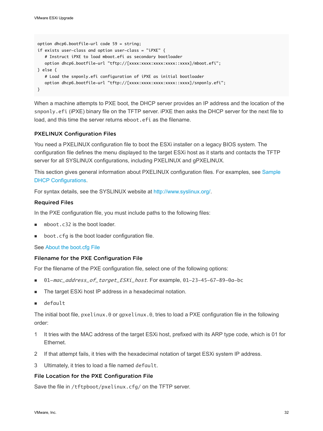```
option dhcp6.bootfile-url code 59 = string;
if exists user-class and option user-class = "iPXE" {
   # Instruct iPXE to load mboot.efi as secondary bootloader
  option dhcp6.bootfile-url "tftp://[xxxx:xxxx:xxxx:xxxx::xxxx]/mboot.efi";
} else {
   # Load the snponly.efi configuration of iPXE as initial bootloader
  option dhcp6.bootfile-url "tftp://[xxxx:xxxx:xxxx:xxxx:xxxx]/snponly.efi";
}
```
When a machine attempts to PXE boot, the DHCP server provides an IP address and the location of the snponly.efi (iPXE) binary file on the TFTP server. iPXE then asks the DHCP server for the next file to load, and this time the server returns mboot.efi as the filename.

#### PXELINUX Configuration Files

You need a PXELINUX configuration file to boot the ESXi installer on a legacy BIOS system. The configuration file defines the menu displayed to the target ESXi host as it starts and contacts the TFTP server for all SYSLINUX configurations, including PXELINUX and gPXELINUX.

This section gives general information about PXELINUX configuration files. For examples, see [Sample](#page-29-0) [DHCP Configurations.](#page-29-0)

For syntax details, see the SYSLINUX website at [http://www.syslinux.org/](http://www.syslinux.org).

#### Required Files

In the PXE configuration file, you must include paths to the following files:

- mboot.c32 is the boot loader.
- boot.cfg is the boot loader configuration file.

See [About the boot.cfg File](#page-49-0) 

#### Filename for the PXE Configuration File

For the filename of the PXE configuration file, select one of the following options:

- 01-mac\_address\_of\_target\_ESXi\_host. For example, 01-23-45-67-89-0a-bc
- The target ESXi host IP address in a hexadecimal notation.
- default

The initial boot file, pxelinux.0 or gpxelinux.0, tries to load a PXE configuration file in the following order:

- 1 It tries with the MAC address of the target ESXi host, prefixed with its ARP type code, which is 01 for Ethernet.
- 2 If that attempt fails, it tries with the hexadecimal notation of target ESXi system IP address.
- 3 Ultimately, it tries to load a file named default.

#### File Location for the PXE Configuration File

Save the file in /tftpboot/pxelinux.cfg/ on the TFTP server.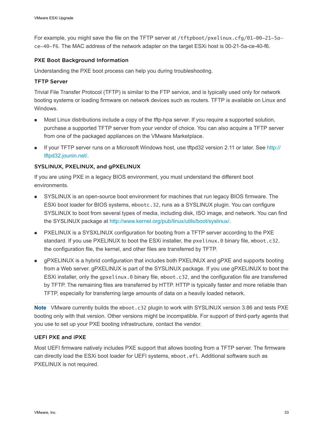For example, you might save the file on the TFTP server at /tftpboot/pxelinux.cfg/01-00-21-5ace-40-f6. The MAC address of the network adapter on the target ESXi host is 00-21-5a-ce-40-f6.

#### PXE Boot Background Information

Understanding the PXE boot process can help you during troubleshooting.

#### TFTP Server

Trivial File Transfer Protocol (TFTP) is similar to the FTP service, and is typically used only for network booting systems or loading firmware on network devices such as routers. TFTP is available on Linux and Windows.

- n Most Linux distributions include a copy of the tftp-hpa server. If you require a supported solution, purchase a supported TFTP server from your vendor of choice. You can also acquire a TFTP server from one of the packaged appliances on the VMware Marketplace.
- If your TFTP server runs on a Microsoft Windows host, use tftpd32 version 2.11 or later. See [http://](http://tftpd32.jounin.net/) [tftpd32.jounin.net/.](http://tftpd32.jounin.net/)

#### SYSLINUX, PXELINUX, and gPXELINUX

If you are using PXE in a legacy BIOS environment, you must understand the different boot environments.

- SYSLINUX is an open-source boot environment for machines that run legacy BIOS firmware. The ESXi boot loader for BIOS systems, mbootc.32, runs as a SYSLINUX plugin. You can configure SYSLINUX to boot from several types of media, including disk, ISO image, and network. You can find the SYSLINUX package at [http://www.kernel.org/pub/linux/utils/boot/syslinux/.](http://www.kernel.org/pub/linux/utils/boot/syslinux/)
- **n** PXELINUX is a SYSXLINUX configuration for booting from a TFTP server according to the PXE standard. If you use PXELINUX to boot the ESXi installer, the pxelinux.0 binary file, mboot.c32, the configuration file, the kernel, and other files are transferred by TFTP.
- gPXELINUX is a hybrid configuration that includes both PXELINUX and gPXE and supports booting from a Web server. gPXELINUX is part of the SYSLINUX package. If you use gPXELINUX to boot the ESXi installer, only the gpxelinux.0 binary file, mboot.c32, and the configuration file are transferred by TFTP. The remaining files are transferred by HTTP. HTTP is typically faster and more reliable than TFTP, especially for transferring large amounts of data on a heavily loaded network.

**Note** VMware currently builds the mboot.c32 plugin to work with SYSLINUX version 3.86 and tests PXE booting only with that version. Other versions might be incompatible. For support of third-party agents that you use to set up your PXE booting infrastructure, contact the vendor.

#### UEFI PXE and iPXE

Most UEFI firmware natively includes PXE support that allows booting from a TFTP server. The firmware can directly load the ESXi boot loader for UEFI systems, mboot.efi. Additional software such as PXELINUX is not required.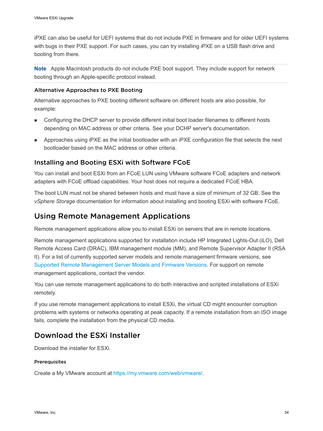<span id="page-33-0"></span>iPXE can also be useful for UEFI systems that do not include PXE in firmware and for older UEFI systems with bugs in their PXE support. For such cases, you can try installing iPXE on a USB flash drive and booting from there.

**Note** Apple Macintosh products do not include PXE boot support. They include support for network booting through an Apple-specific protocol instead.

#### Alternative Approaches to PXE Booting

Alternative approaches to PXE booting different software on different hosts are also possible, for example:

- <sup>n</sup> Configuring the DHCP server to provide different initial boot loader filenames to different hosts depending on MAC address or other criteria. See your DCHP server's documentation.
- **n** Approaches using iPXE as the initial bootloader with an iPXE configuration file that selects the next bootloader based on the MAC address or other criteria.

#### Installing and Booting ESXi with Software FCoE

You can install and boot ESXi from an FCoE LUN using VMware software FCoE adapters and network adapters with FCoE offload capabilities. Your host does not require a dedicated FCoE HBA.

The boot LUN must not be shared between hosts and must have a size of minimum of 32 GB. See the *vSphere Storage* documentation for information about installing and booting ESXi with software FCoE.

## Using Remote Management Applications

Remote management applications allow you to install ESXi on servers that are in remote locations.

Remote management applications supported for installation include HP Integrated Lights-Out (iLO), Dell Remote Access Card (DRAC), IBM management module (MM), and Remote Supervisor Adapter II (RSA II). For a list of currently supported server models and remote management firmware versions, see [Supported Remote Management Server Models and Firmware Versions](#page-14-0). For support on remote management applications, contact the vendor.

You can use remote management applications to do both interactive and scripted installations of ESXi remotely.

If you use remote management applications to install ESXi, the virtual CD might encounter corruption problems with systems or networks operating at peak capacity. If a remote installation from an ISO image fails, complete the installation from the physical CD media.

## Download the ESXi Installer

Download the installer for ESXi.

#### **Prerequisites**

Create a My VMware account at <https://my.vmware.com/web/vmware/>.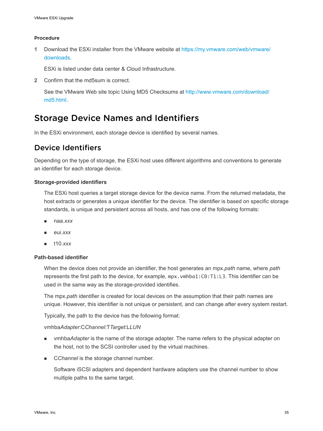#### <span id="page-34-0"></span>Procedure

**1** Download the ESXi installer from the VMware website at [https://my.vmware.com/web/vmware/](https://my.vmware.com/web/vmware/downloads) [downloads.](https://my.vmware.com/web/vmware/downloads)

ESXi is listed under data center & Cloud Infrastructure.

**2** Confirm that the md5sum is correct.

See the VMware Web site topic Using MD5 Checksums at [http://www.vmware.com/download/](http://www.vmware.com/download/md5.html) [md5.html](http://www.vmware.com/download/md5.html).

## Storage Device Names and Identifiers

In the ESXi environment, each storage device is identified by several names.

## Device Identifiers

Depending on the type of storage, the ESXi host uses different algorithms and conventions to generate an identifier for each storage device.

#### **Storage-provided identifiers**

The ESXi host queries a target storage device for the device name. From the returned metadata, the host extracts or generates a unique identifier for the device. The identifier is based on specific storage standards, is unique and persistent across all hosts, and has one of the following formats:

- <sup>n</sup> naa.*xxx*
- eui.*xxx*
- <sup>n</sup> t10.*xxx*

#### **Path-based identifier**

When the device does not provide an identifier, the host generates an mpx.*path* name, where *path*  represents the first path to the device, for example, mpx.vmhba1:C0:T1:L3. This identifier can be used in the same way as the storage-provided identifies.

The mpx.*path* identifier is created for local devices on the assumption that their path names are unique. However, this identifier is not unique or persistent, and can change after every system restart.

Typically, the path to the device has the following format:

#### vmhba*Adapter*:C*Channel*:T*Target*:L*LUN*

- <sup>n</sup> vmhba*Adapter* is the name of the storage adapter. The name refers to the physical adapter on the host, not to the SCSI controller used by the virtual machines.
- **n** CChannel is the storage channel number.

Software iSCSI adapters and dependent hardware adapters use the channel number to show multiple paths to the same target.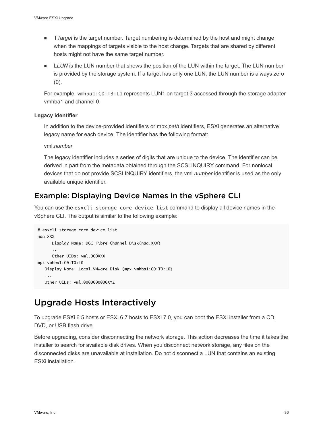- <span id="page-35-0"></span>■ *TTarget* is the target number. Target numbering is determined by the host and might change when the mappings of targets visible to the host change. Targets that are shared by different hosts might not have the same target number.
- **n** LLUN is the LUN number that shows the position of the LUN within the target. The LUN number is provided by the storage system. If a target has only one LUN, the LUN number is always zero (0).

For example, vmhba1:C0:T3:L1 represents LUN1 on target 3 accessed through the storage adapter vmhba1 and channel 0.

#### **Legacy identifier**

In addition to the device-provided identifiers or mpx.*path* identifiers, ESXi generates an alternative legacy name for each device. The identifier has the following format:

vml.*number*

The legacy identifier includes a series of digits that are unique to the device. The identifier can be derived in part from the metadata obtained through the SCSI INQUIRY command. For nonlocal devices that do not provide SCSI INQUIRY identifiers, the vml.*number* identifier is used as the only available unique identifier.

## Example: Displaying Device Names in the vSphere CLI

You can use the esxcli storage core device list command to display all device names in the vSphere CLI. The output is similar to the following example:

```
# esxcli storage core device list
naa.XXX
      Display Name: DGC Fibre Channel Disk(naa.XXX)
 ... 
      Other UIDs: vml.000XXX
mpx.vmhba1:C0:T0:L0
   Display Name: Local VMware Disk (mpx.vmhba1:C0:T0:L0)
 ...
   Other UIDs: vml.0000000000XYZ
```
## Upgrade Hosts Interactively

To upgrade ESXi 6.5 hosts or ESXi 6.7 hosts to ESXi 7.0, you can boot the ESXi installer from a CD, DVD, or USB flash drive.

Before upgrading, consider disconnecting the network storage. This action decreases the time it takes the installer to search for available disk drives. When you disconnect network storage, any files on the disconnected disks are unavailable at installation. Do not disconnect a LUN that contains an existing ESXi installation.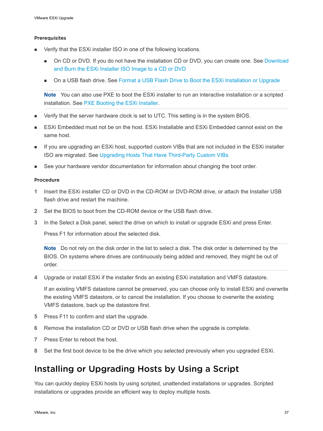#### Prerequisites

- Verify that the ESXi installer ISO in one of the following locations.
	- n On CD or DVD. If you do not have the installation CD or DVD, you can create one. See Download [and Burn the ESXi Installer ISO Image to a CD or DVD](#page-23-0)
	- On a USB flash drive. See [Format a USB Flash Drive to Boot the ESXi Installation or Upgrade](#page-24-0)

**Note** You can also use PXE to boot the ESXi installer to run an interactive installation or a scripted installation. See [PXE Booting the ESXi Installer.](#page-28-0)

- <sup>n</sup> Verify that the server hardware clock is set to UTC. This setting is in the system BIOS.
- <sup>n</sup> ESXi Embedded must not be on the host. ESXi Installable and ESXi Embedded cannot exist on the same host.
- **n** If you are upgrading an ESXi host, supported custom VIBs that are not included in the ESXi installer ISO are migrated. See [Upgrading Hosts That Have Third-Party Custom VIBs](#page-23-0)
- See your hardware vendor documentation for information about changing the boot order.

#### Procedure

- **1** Insert the ESXi installer CD or DVD in the CD-ROM or DVD-ROM drive, or attach the Installer USB flash drive and restart the machine.
- **2** Set the BIOS to boot from the CD-ROM device or the USB flash drive.
- **3** In the Select a Disk panel, select the drive on which to install or upgrade ESXi and press Enter.

Press F1 for information about the selected disk.

**Note** Do not rely on the disk order in the list to select a disk. The disk order is determined by the BIOS. On systems where drives are continuously being added and removed, they might be out of order.

**4** Upgrade or install ESXi if the installer finds an existing ESXi installation and VMFS datastore.

If an existing VMFS datastore cannot be preserved, you can choose only to install ESXi and overwrite the existing VMFS datastore, or to cancel the installation. If you choose to overwrite the existing VMFS datastore, back up the datastore first.

- **5** Press F11 to confirm and start the upgrade.
- **6** Remove the installation CD or DVD or USB flash drive when the upgrade is complete.
- **7** Press Enter to reboot the host.
- **8** Set the first boot device to be the drive which you selected previously when you upgraded ESXi.

# Installing or Upgrading Hosts by Using a Script

You can quickly deploy ESXi hosts by using scripted, unattended installations or upgrades. Scripted installations or upgrades provide an efficient way to deploy multiple hosts.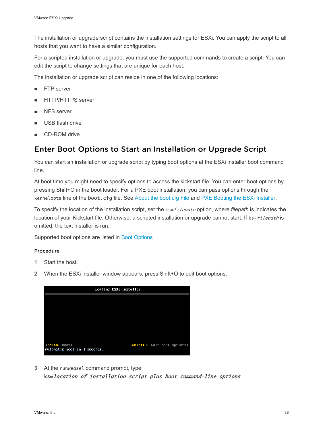<span id="page-37-0"></span>The installation or upgrade script contains the installation settings for ESXi. You can apply the script to all hosts that you want to have a similar configuration.

For a scripted installation or upgrade, you must use the supported commands to create a script. You can edit the script to change settings that are unique for each host.

The installation or upgrade script can reside in one of the following locations:

- FTP server
- <sup>n</sup> HTTP/HTTPS server
- NFS server
- USB flash drive
- CD-ROM drive

# Enter Boot Options to Start an Installation or Upgrade Script

You can start an installation or upgrade script by typing boot options at the ESXi installer boot command line.

At boot time you might need to specify options to access the kickstart file. You can enter boot options by pressing Shift+O in the boot loader. For a PXE boot installation, you can pass options through the kernelopts line of the boot.cfg file. See [About the boot.cfg File a](#page-49-0)nd [PXE Booting the ESXi Installer](#page-28-0).

To specify the location of the installation script, set the ks=filepath option, where filepath is indicates the location of your Kickstart file. Otherwise, a scripted installation or upgrade cannot start. If ks=filepath is omitted, the text installer is run.

Supported boot options are listed in [Boot Options .](#page-38-0)

#### Procedure

- **1** Start the host.
- **2** When the ESXi installer window appears, press Shift+O to edit boot options.



**3** At the runweasel command prompt, type

ks=location of installation script plus boot command-line options.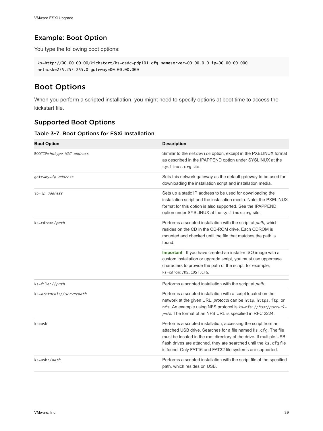# <span id="page-38-0"></span>Example: Boot Option

You type the following boot options:

```
ks=http://00.00.00.00/kickstart/ks-osdc-pdp101.cfg nameserver=00.00.0.0 ip=00.00.00.000 
netmask=255.255.255.0 gateway=00.00.00.000
```
# Boot Options

When you perform a scripted installation, you might need to specify options at boot time to access the kickstart file.

## Supported Boot Options

| <b>Boot Option</b>        | <b>Description</b>                                                                                                                                                                                                                                                                                                                          |
|---------------------------|---------------------------------------------------------------------------------------------------------------------------------------------------------------------------------------------------------------------------------------------------------------------------------------------------------------------------------------------|
| BOOTIF=hwtype-MAC address | Similar to the netdevice option, except in the PXELINUX format<br>as described in the IPAPPEND option under SYSLINUX at the<br>syslinux.org site.                                                                                                                                                                                           |
| gateway=ip address        | Sets this network gateway as the default gateway to be used for<br>downloading the installation script and installation media.                                                                                                                                                                                                              |
| ip=ip address             | Sets up a static IP address to be used for downloading the<br>installation script and the installation media. Note: the PXELINUX<br>format for this option is also supported. See the IPAPPEND<br>option under SYSLINUX at the syslinux.org site.                                                                                           |
| ks=cdrom:/path            | Performs a scripted installation with the script at <i>path</i> , which<br>resides on the CD in the CD-ROM drive. Each CDROM is<br>mounted and checked until the file that matches the path is<br>found.                                                                                                                                    |
|                           | Important If you have created an installer ISO image with a<br>custom installation or upgrade script, you must use uppercase<br>characters to provide the path of the script, for example,<br>ks=cdrom:/KS_CUST.CFG.                                                                                                                        |
| ks=file://path            | Performs a scripted installation with the script at path.                                                                                                                                                                                                                                                                                   |
| ks=protocol://serverpath  | Performs a scripted installation with a script located on the<br>network at the given URL. protocol can be http, https, ftp, or<br>nfs. An example using NFS protocol is ks=nfs://host/porturl-<br>path. The format of an NFS URL is specified in RFC 2224.                                                                                 |
| $ks = usb$                | Performs a scripted installation, accessing the script from an<br>attached USB drive. Searches for a file named ks.cfg. The file<br>must be located in the root directory of the drive. If multiple USB<br>flash drives are attached, they are searched until the ks.cfg file<br>is found. Only FAT16 and FAT32 file systems are supported. |
| ks=usb:/ <i>path</i>      | Performs a scripted installation with the script file at the specified<br>path, which resides on USB.                                                                                                                                                                                                                                       |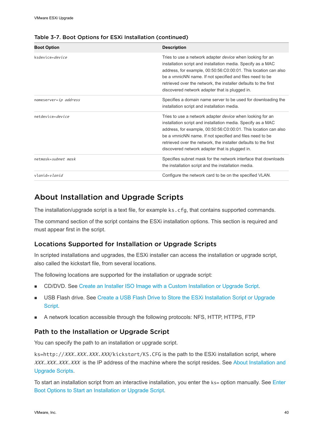| <b>Boot Option</b>    | <b>Description</b>                                                                                                                                                                                                                                                                                                                                                                   |
|-----------------------|--------------------------------------------------------------------------------------------------------------------------------------------------------------------------------------------------------------------------------------------------------------------------------------------------------------------------------------------------------------------------------------|
| ksdevice=device       | Tries to use a network adapter <i>device</i> when looking for an<br>installation script and installation media. Specify as a MAC<br>address, for example, 00:50:56:C0:00:01. This location can also<br>be a vmnicNN name. If not specified and files need to be<br>retrieved over the network, the installer defaults to the first<br>discovered network adapter that is plugged in. |
| nameserver=ip address | Specifies a domain name server to be used for downloading the<br>installation script and installation media.                                                                                                                                                                                                                                                                         |
| netdevice=device      | Tries to use a network adapter <i>device</i> when looking for an<br>installation script and installation media. Specify as a MAC<br>address, for example, 00:50:56:C0:00:01. This location can also<br>be a vmnicNN name. If not specified and files need to be<br>retrieved over the network, the installer defaults to the first<br>discovered network adapter that is plugged in. |
| netmask=subnet mask   | Specifies subnet mask for the network interface that downloads<br>the installation script and the installation media.                                                                                                                                                                                                                                                                |
| vlanid= <i>vlanid</i> | Configure the network card to be on the specified VLAN.                                                                                                                                                                                                                                                                                                                              |

#### <span id="page-39-0"></span>Table 3-7. Boot Options for ESXi Installation (continued)

# About Installation and Upgrade Scripts

The installation/upgrade script is a text file, for example ks.cfg, that contains supported commands.

The command section of the script contains the ESXi installation options. This section is required and must appear first in the script.

### Locations Supported for Installation or Upgrade Scripts

In scripted installations and upgrades, the ESXi installer can access the installation or upgrade script, also called the kickstart file, from several locations.

The following locations are supported for the installation or upgrade script:

- <sup>n</sup> CD/DVD. See [Create an Installer ISO Image with a Custom Installation or Upgrade Script.](#page-27-0)
- **Now USB Flash drive. See Create a USB Flash Drive to Store the ESXi Installation Script or Upgrade** [Script.](#page-26-0)
- A network location accessible through the following protocols: NFS, HTTP, HTTPS, FTP

### Path to the Installation or Upgrade Script

You can specify the path to an installation or upgrade script.

ks=http://XXX.XXX.XXX.XXX/kickstart/KS.CFG is the path to the ESXi installation script, where XXX.XXX.XXX.XXX is the IP address of the machine where the script resides. See About Installation and Upgrade Scripts.

To start an installation script from an interactive installation, you enter the  $ks =$  option manually. See [Enter](#page-37-0) [Boot Options to Start an Installation or Upgrade Script](#page-37-0).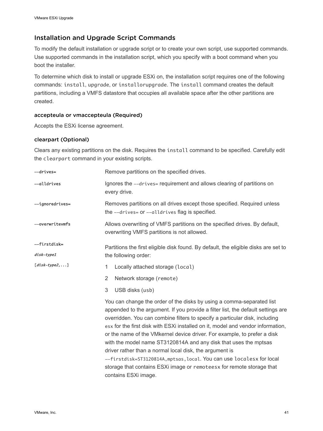# Installation and Upgrade Script Commands

To modify the default installation or upgrade script or to create your own script, use supported commands. Use supported commands in the installation script, which you specify with a boot command when you boot the installer.

To determine which disk to install or upgrade ESXi on, the installation script requires one of the following commands: install, upgrade, or installorupgrade. The install command creates the default partitions, including a VMFS datastore that occupies all available space after the other partitions are created.

### accepteula or vmaccepteula (Required)

Accepts the ESXi license agreement.

### clearpart (Optional)

Clears any existing partitions on the disk. Requires the install command to be specified. Carefully edit the clearpart command in your existing scripts.

| --drives=                  | Remove partitions on the specified drives.                                                                                                                                                                                                                                                                                                                                                                                                                                                                                                                                                                                                                                                                       |  |
|----------------------------|------------------------------------------------------------------------------------------------------------------------------------------------------------------------------------------------------------------------------------------------------------------------------------------------------------------------------------------------------------------------------------------------------------------------------------------------------------------------------------------------------------------------------------------------------------------------------------------------------------------------------------------------------------------------------------------------------------------|--|
| --alldrives                | Ignores the --drives= requirement and allows clearing of partitions on<br>every drive.                                                                                                                                                                                                                                                                                                                                                                                                                                                                                                                                                                                                                           |  |
| -ignoredrives=             | Removes partitions on all drives except those specified. Required unless<br>the --drives= or --alldrives flag is specified.                                                                                                                                                                                                                                                                                                                                                                                                                                                                                                                                                                                      |  |
| --overwritevmfs            | Allows overwriting of VMFS partitions on the specified drives. By default,<br>overwriting VMFS partitions is not allowed.                                                                                                                                                                                                                                                                                                                                                                                                                                                                                                                                                                                        |  |
| --firstdisk=<br>disk-type1 | Partitions the first eligible disk found. By default, the eligible disks are set to<br>the following order:                                                                                                                                                                                                                                                                                                                                                                                                                                                                                                                                                                                                      |  |
| $[disk-type2,]$            | $\mathbf{1}$<br>Locally attached storage (local)                                                                                                                                                                                                                                                                                                                                                                                                                                                                                                                                                                                                                                                                 |  |
|                            | $\overline{2}$<br>Network storage (remote)                                                                                                                                                                                                                                                                                                                                                                                                                                                                                                                                                                                                                                                                       |  |
|                            | 3<br>USB disks (usb)                                                                                                                                                                                                                                                                                                                                                                                                                                                                                                                                                                                                                                                                                             |  |
|                            | You can change the order of the disks by using a comma-separated list<br>appended to the argument. If you provide a filter list, the default settings are<br>overridden. You can combine filters to specify a particular disk, including<br>esx for the first disk with ESXi installed on it, model and vendor information,<br>or the name of the VMkernel device driver. For example, to prefer a disk<br>with the model name ST3120814A and any disk that uses the mptsas<br>driver rather than a normal local disk, the argument is<br>--firstdisk=ST3120814A, mptsas, local. You can use localesx for local<br>storage that contains ESXi image or remoteesx for remote storage that<br>contains ESXi image. |  |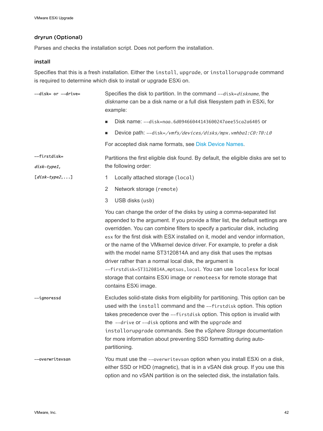### dryrun (Optional)

Parses and checks the installation script. Does not perform the installation.

### install

Specifies that this is a fresh installation. Either the install, upgrade, or installorupgrade command is required to determine which disk to install or upgrade ESXi on.

| --disk= or --drive=         | Specifies the disk to partition. In the command --disk=diskname, the<br>diskname can be a disk name or a full disk filesystem path in ESXi, for<br>example:                                                                                                                                                                                                                                                                                                                                                                                                                                                                                                                                                     |
|-----------------------------|-----------------------------------------------------------------------------------------------------------------------------------------------------------------------------------------------------------------------------------------------------------------------------------------------------------------------------------------------------------------------------------------------------------------------------------------------------------------------------------------------------------------------------------------------------------------------------------------------------------------------------------------------------------------------------------------------------------------|
|                             | Disk name: --disk=naa.6d09466044143600247aee55ca2a6405 or<br>ш                                                                                                                                                                                                                                                                                                                                                                                                                                                                                                                                                                                                                                                  |
|                             | Device path: --disk=/vmfs/devices/disks/mpx.vmhba1:C0:T0:L0<br>■                                                                                                                                                                                                                                                                                                                                                                                                                                                                                                                                                                                                                                                |
|                             | For accepted disk name formats, see Disk Device Names.                                                                                                                                                                                                                                                                                                                                                                                                                                                                                                                                                                                                                                                          |
| --firstdisk=<br>disk-type1, | Partitions the first eligible disk found. By default, the eligible disks are set to<br>the following order:                                                                                                                                                                                                                                                                                                                                                                                                                                                                                                                                                                                                     |
| $[disk-type2,]$             | 1<br>Locally attached storage (local)                                                                                                                                                                                                                                                                                                                                                                                                                                                                                                                                                                                                                                                                           |
|                             | $\overline{2}$<br>Network storage (remote)                                                                                                                                                                                                                                                                                                                                                                                                                                                                                                                                                                                                                                                                      |
|                             | 3<br>USB disks (usb)                                                                                                                                                                                                                                                                                                                                                                                                                                                                                                                                                                                                                                                                                            |
|                             | You can change the order of the disks by using a comma-separated list<br>appended to the argument. If you provide a filter list, the default settings are<br>overridden. You can combine filters to specify a particular disk, including<br>esx for the first disk with ESX installed on it, model and vendor information,<br>or the name of the VMkernel device driver. For example, to prefer a disk<br>with the model name ST3120814A and any disk that uses the mptsas<br>driver rather than a normal local disk, the argument is<br>--firstdisk=ST3120814A, mptsas, local. You can use localesx for local<br>storage that contains ESXi image or remoteesx for remote storage that<br>contains ESXi image. |
| --ignoressd                 | Excludes solid-state disks from eligibility for partitioning. This option can be<br>used with the install command and the --firstdisk option. This option<br>takes precedence over the --firstdisk option. This option is invalid with<br>the --drive or --disk options and with the upgrade and<br>installorupgrade commands. See the vSphere Storage documentation<br>for more information about preventing SSD formatting during auto-<br>partitioning.                                                                                                                                                                                                                                                      |
| --overwritevsan             | You must use the --overwritevsan option when you install ESXi on a disk,<br>either SSD or HDD (magnetic), that is in a vSAN disk group. If you use this<br>option and no vSAN partition is on the selected disk, the installation fails.                                                                                                                                                                                                                                                                                                                                                                                                                                                                        |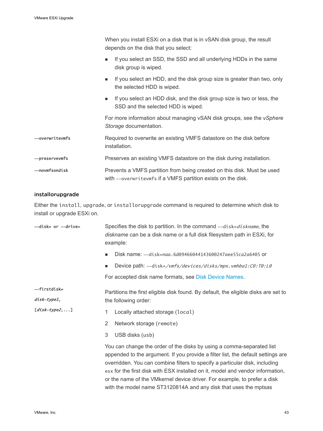|                 | When you install ESXi on a disk that is in vSAN disk group, the result<br>depends on the disk that you select:                          |  |
|-----------------|-----------------------------------------------------------------------------------------------------------------------------------------|--|
|                 | If you select an SSD, the SSD and all underlying HDDs in the same<br>٠<br>disk group is wiped.                                          |  |
|                 | If you select an HDD, and the disk group size is greater than two, only<br>$\blacksquare$<br>the selected HDD is wiped.                 |  |
|                 | If you select an HDD disk, and the disk group size is two or less, the<br>$\blacksquare$<br>SSD and the selected HDD is wiped.          |  |
|                 | For more information about managing vSAN disk groups, see the vSphere<br>Storage documentation.                                         |  |
| --overwritevmfs | Required to overwrite an existing VMFS datastore on the disk before<br>installation.                                                    |  |
| --preservevmfs  | Preserves an existing VMFS datastore on the disk during installation.                                                                   |  |
| --novmfsondisk  | Prevents a VMFS partition from being created on this disk. Must be used<br>with --overwritevmfs if a VMFS partition exists on the disk. |  |

### installorupgrade

Either the install, upgrade, or installorupgrade command is required to determine which disk to install or upgrade ESXi on.

| --disk= or --drive=         | Specifies the disk to partition. In the command --disk=diskname, the<br>diskname can be a disk name or a full disk filesystem path in ESXi, for<br>example:                                                                                                                                                                                                                                                                                                                 |  |
|-----------------------------|-----------------------------------------------------------------------------------------------------------------------------------------------------------------------------------------------------------------------------------------------------------------------------------------------------------------------------------------------------------------------------------------------------------------------------------------------------------------------------|--|
|                             | Disk name: --disk=naa.6d09466044143600247aee55ca2a6405 or<br>٠                                                                                                                                                                                                                                                                                                                                                                                                              |  |
|                             | Device path: --disk=/vmfs/devices/disks/mpx.vmhba1:C0:T0:L0<br>ш                                                                                                                                                                                                                                                                                                                                                                                                            |  |
|                             | For accepted disk name formats, see Disk Device Names.                                                                                                                                                                                                                                                                                                                                                                                                                      |  |
| --firstdisk=<br>disk-type1, | Partitions the first eligible disk found. By default, the eligible disks are set to<br>the following order:                                                                                                                                                                                                                                                                                                                                                                 |  |
| $[disk-type2, \ldots]$      | Locally attached storage (local)<br>1                                                                                                                                                                                                                                                                                                                                                                                                                                       |  |
|                             | 2<br>Network storage (remote)                                                                                                                                                                                                                                                                                                                                                                                                                                               |  |
|                             | 3<br>USB disks (usb)                                                                                                                                                                                                                                                                                                                                                                                                                                                        |  |
|                             | You can change the order of the disks by using a comma-separated list<br>appended to the argument. If you provide a filter list, the default settings are<br>overridden. You can combine filters to specify a particular disk, including<br>esx for the first disk with ESX installed on it, model and vendor information,<br>or the name of the VM kernel device driver. For example, to prefer a disk<br>with the model name ST3120814A and any disk that uses the mptsas |  |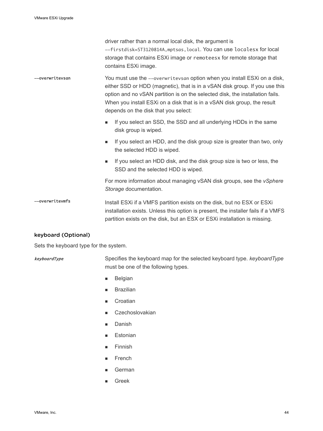driver rather than a normal local disk, the argument is --firstdisk=ST3120814A,mptsas,local. You can use localesx for local storage that contains ESXi image or remoteesx for remote storage that contains ESXi image.

### --overwritevsan You must use the --overwritevsan option when you install ESXi on a disk, either SSD or HDD (magnetic), that is in a vSAN disk group. If you use this option and no vSAN partition is on the selected disk, the installation fails. When you install ESXi on a disk that is in a vSAN disk group, the result depends on the disk that you select:

- If you select an SSD, the SSD and all underlying HDDs in the same disk group is wiped.
- **n** If you select an HDD, and the disk group size is greater than two, only the selected HDD is wiped.
- **n** If you select an HDD disk, and the disk group size is two or less, the SSD and the selected HDD is wiped.

For more information about managing vSAN disk groups, see the *vSphere Storage* documentation.

### -overwritevmfs Install ESXi if a VMFS partition exists on the disk, but no ESX or ESXi installation exists. Unless this option is present, the installer fails if a VMFS partition exists on the disk, but an ESX or ESXi installation is missing.

### keyboard (Optional)

Sets the keyboard type for the system.

keyboardType Specifies the keyboard map for the selected keyboard type. *keyboardType*  must be one of the following types.

- **Belgian**
- **Brazilian**
- n Croatian
- Czechoslovakian
- **Danish**
- **Estonian**
- Finnish
- French
- **German**
- **Greek**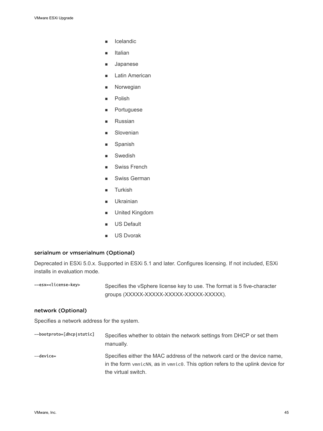- **n** Icelandic
- Italian
- **Japanese**
- Latin American
- **Norwegian**
- Polish
- **n** Portuguese
- **n** Russian
- **n** Slovenian
- **n** Spanish
- **n** Swedish
- **Swiss French**
- Swiss German
- **Turkish**
- **n** Ukrainian
- **n** United Kingdom
- **n** US Default
- **No. US Dvorak**

#### serialnum or vmserialnum (Optional)

Deprecated in ESXi 5.0.x. Supported in ESXi 5.1 and later. Configures licensing. If not included, ESXi installs in evaluation mode.

--esx=<license-key> Specifies the vSphere license key to use. The format is 5 five-character groups (XXXXX-XXXXX-XXXXX-XXXXX-XXXXX).

#### network (Optional)

Specifies a network address for the system.

| --bootproto=[dhcp static] | Specifies whether to obtain the network settings from DHCP or set them<br>manually.                                                                                                                         |
|---------------------------|-------------------------------------------------------------------------------------------------------------------------------------------------------------------------------------------------------------|
| —device=                  | Specifies either the MAC address of the network card or the device name,<br>in the form $v_{\text{mnicNN}}$ , as in $v_{\text{mnic0}}$ . This option refers to the uplink device for<br>the virtual switch. |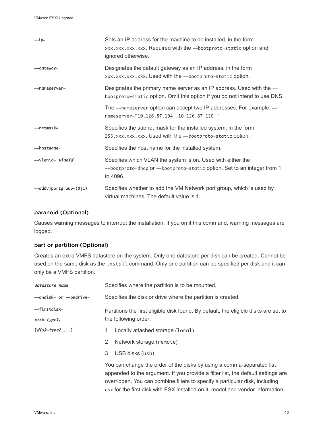| $-ip=$                        | Sets an IP address for the machine to be installed, in the form<br>xxx.xxx.xxx.xxx. Required with the --bootproto=static option and<br>ignored otherwise. |
|-------------------------------|-----------------------------------------------------------------------------------------------------------------------------------------------------------|
| --gateway=                    | Designates the default gateway as an IP address, in the form<br>xxx.xxx.xxx.xxx. Used with the --bootproto=static option.                                 |
| --nameserver-                 | Designates the primary name server as an IP address. Used with the --<br>bootproto=static option. Omit this option if you do not intend to use DNS.       |
|                               | The --nameserver option can accept two IP addresses. For example: --<br>nameserver="10.126.87.104[,10.126.87.120]"                                        |
| --netmask=                    | Specifies the subnet mask for the installed system, in the form<br>255. xxx. xxx. xxx. Used with the --bootproto=static option.                           |
| -hostname=                    | Specifies the host name for the installed system.                                                                                                         |
| --vlanid= <i>vlanid</i>       | Specifies which VLAN the system is on. Used with either the<br>--bootproto=dhcp or --bootproto=static option. Set to an integer from 1<br>to 4096.        |
| $--addv$ mportgroup=( $0 1$ ) | Specifies whether to add the VM Network port group, which is used by<br>virtual machines. The default value is 1.                                         |

#### paranoid (Optional)

Causes warning messages to interrupt the installation. If you omit this command, warning messages are logged.

### part or partition (Optional)

Creates an extra VMFS datastore on the system. Only one datastore per disk can be created. Cannot be used on the same disk as the install command. Only one partition can be specified per disk and it can only be a VMFS partition.

| datastore name              | Specifies where the partition is to be mounted.                                                                                                                                                                                                                                                                            |  |
|-----------------------------|----------------------------------------------------------------------------------------------------------------------------------------------------------------------------------------------------------------------------------------------------------------------------------------------------------------------------|--|
| --ondisk= or --ondrive=     | Specifies the disk or drive where the partition is created.                                                                                                                                                                                                                                                                |  |
| --firstdisk-<br>disk-type1, | Partitions the first eligible disk found. By default, the eligible disks are set to<br>the following order:                                                                                                                                                                                                                |  |
| $[disk-type2,]$             | Locally attached storage (local)<br>Network storage (remote)<br>2<br>3<br>USB disks (usb)                                                                                                                                                                                                                                  |  |
|                             | You can change the order of the disks by using a comma-separated list<br>appended to the argument. If you provide a filter list, the default settings are<br>overridden. You can combine filters to specify a particular disk, including<br>esx for the first disk with ESX installed on it, model and vendor information, |  |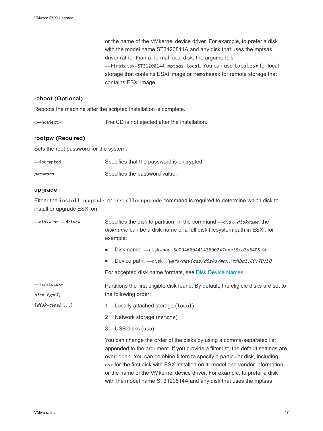or the name of the VMkernel device driver. For example, to prefer a disk with the model name ST3120814A and any disk that uses the mptsas driver rather than a normal local disk, the argument is --firstdisk=ST3120814A,mptsas,local. You can use localesx for local storage that contains ESXi image or remoteesx for remote storage that contains ESXi image.

### reboot (Optional)

Reboots the machine after the scripted installation is complete.

<--noeject> The CD is not ejected after the installation.

### rootpw (Required)

Sets the root password for the system.

| —iscrypted | Specifies that the password is encrypted. |
|------------|-------------------------------------------|
| password   | Specifies the password value.             |

#### upgrade

Either the install, upgrade, or installorupgrade command is required to determine which disk to install or upgrade ESXi on.

| --disk= or --drive= | Specifies the disk to partition. In the command --disk=diskname, the<br>diskname can be a disk name or a full disk filesystem path in ESXi, for<br>example:                                                                                                                                                                                                                                                                                                                |
|---------------------|----------------------------------------------------------------------------------------------------------------------------------------------------------------------------------------------------------------------------------------------------------------------------------------------------------------------------------------------------------------------------------------------------------------------------------------------------------------------------|
|                     | Disk name: --disk=naa.6d09466044143600247aee55ca2a6405 or<br>٠                                                                                                                                                                                                                                                                                                                                                                                                             |
|                     | Device path: --disk=/vmfs/devices/disks/mpx.vmhba1:C0:T0:L0<br>п.                                                                                                                                                                                                                                                                                                                                                                                                          |
|                     | For accepted disk name formats, see Disk Device Names.                                                                                                                                                                                                                                                                                                                                                                                                                     |
| --firstdisk=        | Partitions the first eligible disk found. By default, the eligible disks are set to                                                                                                                                                                                                                                                                                                                                                                                        |
| disk-type1,         | the following order:                                                                                                                                                                                                                                                                                                                                                                                                                                                       |
| $idisk-type21$      | Locally attached storage (local)<br>1                                                                                                                                                                                                                                                                                                                                                                                                                                      |
|                     | Network storage (remote)<br>2                                                                                                                                                                                                                                                                                                                                                                                                                                              |
|                     | 3<br>USB disks (usb)                                                                                                                                                                                                                                                                                                                                                                                                                                                       |
|                     | You can change the order of the disks by using a comma-separated list<br>appended to the argument. If you provide a filter list, the default settings are<br>overridden. You can combine filters to specify a particular disk, including<br>esx for the first disk with ESX installed on it, model and vendor information,<br>or the name of the VMkernel device driver. For example, to prefer a disk<br>with the model name ST3120814A and any disk that uses the mptsas |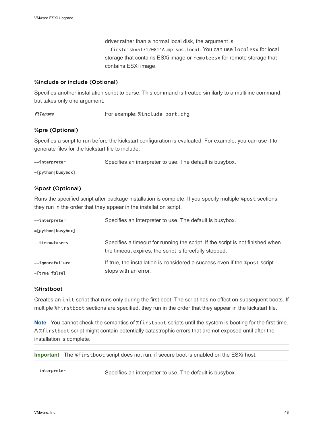driver rather than a normal local disk, the argument is --firstdisk=ST3120814A,mptsas,local. You can use localesx for local storage that contains ESXi image or remoteesx for remote storage that contains ESXi image.

#### %include or include (Optional)

Specifies another installation script to parse. This command is treated similarly to a multiline command, but takes only one argument.

filename For example: %include part.cfg

### %pre (Optional)

Specifies a script to run before the kickstart configuration is evaluated. For example, you can use it to generate files for the kickstart file to include.

--interpreter Specifies an interpreter to use. The default is busybox.

#### =[python|busybox]

#### %post (Optional)

Runs the specified script after package installation is complete. If you specify multiple %post sections, they run in the order that they appear in the installation script.

| --interpreter        | Specifies an interpreter to use. The default is busybox.                                                                                 |
|----------------------|------------------------------------------------------------------------------------------------------------------------------------------|
| $=[python]$ busybox] |                                                                                                                                          |
| --timeout=secs       | Specifies a timeout for running the script. If the script is not finished when<br>the timeout expires, the script is forcefully stopped. |
| --ignorefailure      | If true, the installation is considered a success even if the %post script                                                               |
| =[true false]        | stops with an error.                                                                                                                     |

#### %firstboot

Creates an init script that runs only during the first boot. The script has no effect on subsequent boots. If multiple %firstboot sections are specified, they run in the order that they appear in the kickstart file.

**Note** You cannot check the semantics of %firstboot scripts until the system is booting for the first time. A %firstboot script might contain potentially catastrophic errors that are not exposed until after the installation is complete.

**Important** The %firstboot script does not run, if secure boot is enabled on the ESXi host.

--interpreter Specifies an interpreter to use. The default is busybox.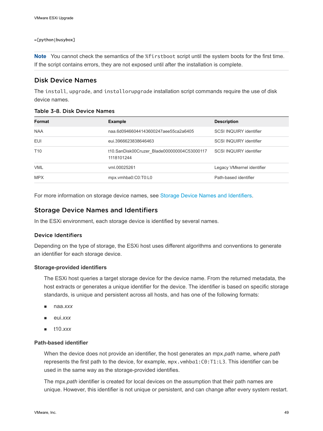#### <span id="page-48-0"></span>=[python|busybox]

**Note** You cannot check the semantics of the %firstboot script until the system boots for the first time. If the script contains errors, they are not exposed until after the installation is complete.

### Disk Device Names

The install, upgrade, and installorupgrade installation script commands require the use of disk device names.

|  | Table 3-8. Disk Device Names |  |  |
|--|------------------------------|--|--|
|--|------------------------------|--|--|

| Format          | <b>Example</b>                                            | <b>Description</b>             |
|-----------------|-----------------------------------------------------------|--------------------------------|
| <b>NAA</b>      | naa.6d09466044143600247aee55ca2a6405                      | <b>SCSI INQUIRY identifier</b> |
| <b>EUI</b>      | eui.3966623838646463                                      | <b>SCSI INQUIRY identifier</b> |
| T <sub>10</sub> | t10.SanDisk00Cruzer Blade000000004C53000117<br>1118101244 | SCSI INQUIRY identifier        |
| <b>VML</b>      | vml.00025261                                              | Legacy VMkernel identifier     |
| <b>MPX</b>      | mpx.vmhba0:C0:T0:L0                                       | Path-based identifier          |

For more information on storage device names, see [Storage Device Names and Identifiers](#page-34-0).

### Storage Device Names and Identifiers

In the ESXi environment, each storage device is identified by several names.

#### Device Identifiers

Depending on the type of storage, the ESXi host uses different algorithms and conventions to generate an identifier for each storage device.

#### **Storage-provided identifiers**

The ESXi host queries a target storage device for the device name. From the returned metadata, the host extracts or generates a unique identifier for the device. The identifier is based on specific storage standards, is unique and persistent across all hosts, and has one of the following formats:

- <sup>n</sup> naa.*xxx*
- eui.xxx
- <sup>n</sup> t10.*xxx*

### **Path-based identifier**

When the device does not provide an identifier, the host generates an mpx.*path* name, where *path*  represents the first path to the device, for example, mpx. vmhba1:C0:T1:L3. This identifier can be used in the same way as the storage-provided identifies.

The mpx.*path* identifier is created for local devices on the assumption that their path names are unique. However, this identifier is not unique or persistent, and can change after every system restart.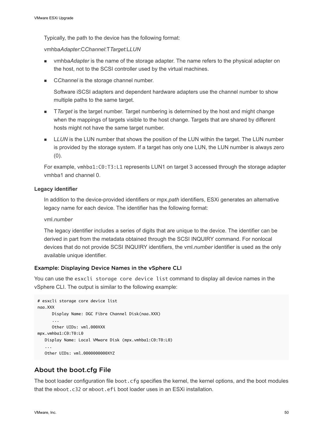<span id="page-49-0"></span>Typically, the path to the device has the following format:

vmhba*Adapter*:C*Channel*:T*Target*:L*LUN*

- n vmhba*Adapter* is the name of the storage adapter. The name refers to the physical adapter on the host, not to the SCSI controller used by the virtual machines.
- CChannel is the storage channel number.

Software iSCSI adapters and dependent hardware adapters use the channel number to show multiple paths to the same target.

- **T** Target is the target number. Target numbering is determined by the host and might change when the mappings of targets visible to the host change. Targets that are shared by different hosts might not have the same target number.
- LLUN is the LUN number that shows the position of the LUN within the target. The LUN number is provided by the storage system. If a target has only one LUN, the LUN number is always zero (0).

For example, vmhba1:C0:T3:L1 represents LUN1 on target 3 accessed through the storage adapter vmhba1 and channel 0.

#### **Legacy identifier**

In addition to the device-provided identifiers or mpx.*path* identifiers, ESXi generates an alternative legacy name for each device. The identifier has the following format:

vml.*number*

The legacy identifier includes a series of digits that are unique to the device. The identifier can be derived in part from the metadata obtained through the SCSI INQUIRY command. For nonlocal devices that do not provide SCSI INQUIRY identifiers, the vml.*number* identifier is used as the only available unique identifier.

#### Example: Displaying Device Names in the vSphere CLI

You can use the esxcli storage core device list command to display all device names in the vSphere CLI. The output is similar to the following example:

```
# esxcli storage core device list
naa.XXX
       Display Name: DGC Fibre Channel Disk(naa.XXX)
       ... 
       Other UIDs: vml.000XXX
mpx.vmhba1:C0:T0:L0
    Display Name: Local VMware Disk (mpx.vmhba1:C0:T0:L0)
    ...
    Other UIDs: vml.0000000000XYZ
```
### About the boot.cfg File

The boot loader configuration file boot.cfg specifies the kernel, the kernel options, and the boot modules that the mboot.c32 or mboot.efi boot loader uses in an ESXi installation.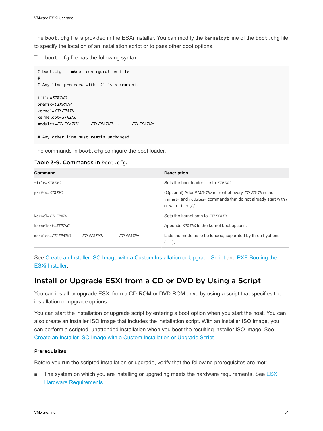The boot.cfg file is provided in the ESXi installer. You can modify the kernelopt line of the boot.cfg file to specify the location of an installation script or to pass other boot options.

The boot.cfg file has the following syntax:

```
# boot.cfg -- mboot configuration file
#
# Any line preceded with '#' is a comment.
title=STRING
prefix=DIRPATH
kernel=FILEPATH
kernelopt=STRING
modules=FILEPATH1 --- FILEPATH2... --- FILEPATHn
```
# Any other line must remain unchanged.

The commands in boot.cfg configure the boot loader.

| Table 3-9. Commands in boot.cfg. |  |
|----------------------------------|--|
|----------------------------------|--|

| Command                                       | <b>Description</b>                                                                                                                                                 |
|-----------------------------------------------|--------------------------------------------------------------------------------------------------------------------------------------------------------------------|
| title=STRING                                  | Sets the boot loader title to STRING.                                                                                                                              |
| prefix=STRING                                 | (Optional) Adds <i>DIRPATH</i> / in front of every <i>FILEPATH</i> in the<br>kernel= and modules= commands that do not already start with /<br>or with $http://$ . |
| $kernel = FILEPATH$                           | Sets the kernel path to FILEPATH.                                                                                                                                  |
| kernelopt=STRING                              | Appends <i>STRING</i> to the kernel boot options.                                                                                                                  |
| modules=FILEPATH1 --- FILEPATH2 --- FILEPATHn | Lists the modules to be loaded, separated by three hyphens<br>$---).$                                                                                              |

See [Create an Installer ISO Image with a Custom Installation or Upgrade Script](#page-27-0) and [PXE Booting the](#page-28-0) [ESXi Installer](#page-28-0).

# Install or Upgrade ESXi from a CD or DVD by Using a Script

You can install or upgrade ESXi from a CD-ROM or DVD-ROM drive by using a script that specifies the installation or upgrade options.

You can start the installation or upgrade script by entering a boot option when you start the host. You can also create an installer ISO image that includes the installation script. With an installer ISO image, you can perform a scripted, unattended installation when you boot the resulting installer ISO image. See [Create an Installer ISO Image with a Custom Installation or Upgrade Script](#page-27-0).

#### Prerequisites

Before you run the scripted installation or upgrade, verify that the following prerequisites are met:

**n** The system on which you are installing or upgrading meets the hardware requirements. See [ESXi](#page-11-0) [Hardware Requirements](#page-11-0).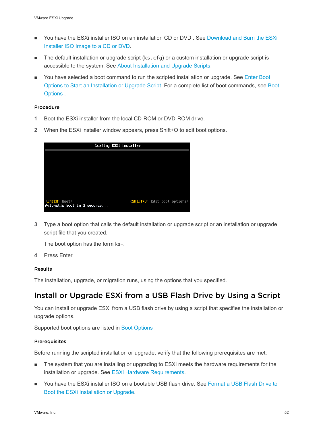- **n** You have the ESXi installer ISO on an installation CD or DVD, See [Download and Burn the ESXi](#page-23-0) [Installer ISO Image to a CD or DVD.](#page-23-0)
- n The default installation or upgrade script (ks.cfg) or a custom installation or upgrade script is accessible to the system. See [About Installation and Upgrade Scripts.](#page-39-0)
- You have selected a boot command to run the scripted installation or upgrade. See [Enter Boot](#page-37-0) [Options to Start an Installation or Upgrade Script](#page-37-0). For a complete list of boot commands, see [Boot](#page-38-0) [Options](#page-38-0) .

#### Procedure

- **1** Boot the ESXi installer from the local CD-ROM or DVD-ROM drive.
- **2** When the ESXi installer window appears, press Shift+O to edit boot options.

|                                                       | Loading ESXi installer |                                                |  |
|-------------------------------------------------------|------------------------|------------------------------------------------|--|
|                                                       |                        |                                                |  |
|                                                       |                        |                                                |  |
|                                                       |                        |                                                |  |
|                                                       |                        |                                                |  |
|                                                       |                        |                                                |  |
| < <b>ENTER</b> : Boot><br>Automatic boot in 3 seconds |                        | <shift+0 boot="" edit="" options=""></shift+0> |  |

**3** Type a boot option that calls the default installation or upgrade script or an installation or upgrade script file that you created.

The boot option has the form ks=.

**4** Press Enter.

#### Results

The installation, upgrade, or migration runs, using the options that you specified.

# Install or Upgrade ESXi from a USB Flash Drive by Using a Script

You can install or upgrade ESXi from a USB flash drive by using a script that specifies the installation or upgrade options.

Supported boot options are listed in [Boot Options .](#page-38-0)

#### **Prerequisites**

Before running the scripted installation or upgrade, verify that the following prerequisites are met:

- **n** The system that you are installing or upgrading to ESXi meets the hardware requirements for the installation or upgrade. See [ESXi Hardware Requirements.](#page-11-0)
- **You have the ESXi installer ISO on a bootable USB flash drive. See [Format a USB Flash Drive to](#page-24-0)** [Boot the ESXi Installation or Upgrade.](#page-24-0)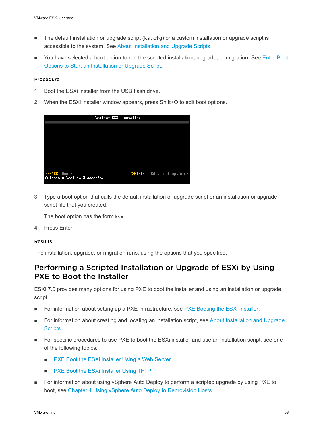- **n** The default installation or upgrade script (ks.cfg) or a custom installation or upgrade script is accessible to the system. See [About Installation and Upgrade Scripts.](#page-39-0)
- <sup>n</sup> You have selected a boot option to run the scripted installation, upgrade, or migration. See [Enter Boot](#page-37-0)  [Options to Start an Installation or Upgrade Script](#page-37-0).

#### Procedure

- **1** Boot the ESXi installer from the USB flash drive.
- **2** When the ESXi installer window appears, press Shift+O to edit boot options.

|                                                           | Loading ESXi installer                         |
|-----------------------------------------------------------|------------------------------------------------|
|                                                           |                                                |
|                                                           |                                                |
|                                                           |                                                |
|                                                           |                                                |
|                                                           |                                                |
| <bnter: boot=""><br/>Automatic boot in 3 seconds</bnter:> | <shift+0 boot="" edit="" options=""></shift+0> |

**3** Type a boot option that calls the default installation or upgrade script or an installation or upgrade script file that you created.

The boot option has the form ks=.

**4** Press Enter.

#### Results

The installation, upgrade, or migration runs, using the options that you specified.

# Performing a Scripted Installation or Upgrade of ESXi by Using PXE to Boot the Installer

ESXi 7.0 provides many options for using PXE to boot the installer and using an installation or upgrade script.

- For information about setting up a PXE infrastructure, see [PXE Booting the ESXi Installer](#page-28-0).
- For information about creating and locating an installation script, see [About Installation and Upgrade](#page-39-0) [Scripts.](#page-39-0)
- For specific procedures to use PXE to boot the ESXi installer and use an installation script, see one of the following topics:
	- PXE Boot the ESXi Installer Using a Web Server
	- PXE Boot the ESXi Installer Using TFTP
- **n** For information about using vSphere Auto Deploy to perform a scripted upgrade by using PXE to boot, see [Chapter 4 Using vSphere Auto Deploy to Reprovision Hosts](#page-80-0) .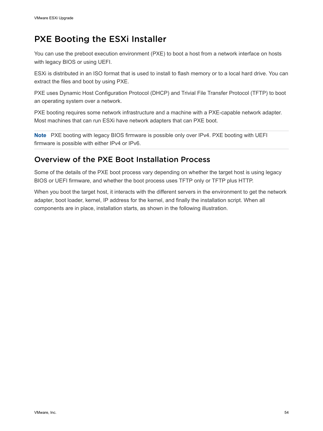# PXE Booting the ESXi Installer

You can use the preboot execution environment (PXE) to boot a host from a network interface on hosts with legacy BIOS or using UEFI.

ESXi is distributed in an ISO format that is used to install to flash memory or to a local hard drive. You can extract the files and boot by using PXE.

PXE uses Dynamic Host Configuration Protocol (DHCP) and Trivial File Transfer Protocol (TFTP) to boot an operating system over a network.

PXE booting requires some network infrastructure and a machine with a PXE-capable network adapter. Most machines that can run ESXi have network adapters that can PXE boot.

**Note** PXE booting with legacy BIOS firmware is possible only over IPv4. PXE booting with UEFI firmware is possible with either IPv4 or IPv6.

# Overview of the PXE Boot Installation Process

Some of the details of the PXE boot process vary depending on whether the target host is using legacy BIOS or UEFI firmware, and whether the boot process uses TFTP only or TFTP plus HTTP.

When you boot the target host, it interacts with the different servers in the environment to get the network adapter, boot loader, kernel, IP address for the kernel, and finally the installation script. When all components are in place, installation starts, as shown in the following illustration.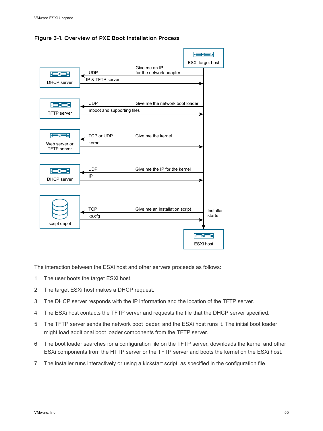



The interaction between the ESXi host and other servers proceeds as follows:

- 1 The user boots the target ESXi host.
- 2 The target ESXi host makes a DHCP request.
- 3 The DHCP server responds with the IP information and the location of the TFTP server.
- 4 The ESXi host contacts the TFTP server and requests the file that the DHCP server specified.
- 5 The TFTP server sends the network boot loader, and the ESXi host runs it. The initial boot loader might load additional boot loader components from the TFTP server.
- 6 The boot loader searches for a configuration file on the TFTP server, downloads the kernel and other ESXi components from the HTTP server or the TFTP server and boots the kernel on the ESXi host.
- 7 The installer runs interactively or using a kickstart script, as specified in the configuration file.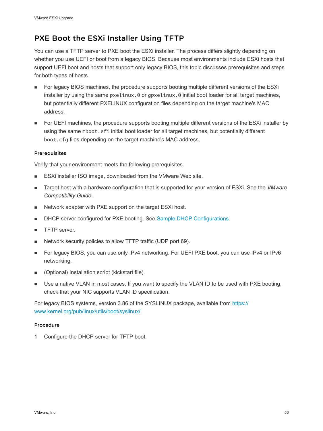# <span id="page-55-0"></span>PXE Boot the ESXi Installer Using TFTP

You can use a TFTP server to PXE boot the ESXi installer. The process differs slightly depending on whether you use UEFI or boot from a legacy BIOS. Because most environments include ESXi hosts that support UEFI boot and hosts that support only legacy BIOS, this topic discusses prerequisites and steps for both types of hosts.

- **n** For legacy BIOS machines, the procedure supports booting multiple different versions of the ESXi installer by using the same pxelinux.0 or gpxelinux.0 initial boot loader for all target machines, but potentially different PXELINUX configuration files depending on the target machine's MAC address.
- For UEFI machines, the procedure supports booting multiple different versions of the ESXi installer by using the same mboot.efi initial boot loader for all target machines, but potentially different boot.cfg files depending on the target machine's MAC address.

### Prerequisites

Verify that your environment meets the following prerequisites.

- ESXi installer ISO image, downloaded from the VMware Web site.
- n Target host with a hardware configuration that is supported for your version of ESXi. See the *VMware Compatibility Guide*.
- Network adapter with PXE support on the target ESXi host.
- DHCP server configured for PXE booting. See [Sample DHCP Configurations.](#page-29-0)
- **n** TFTP server.
- Network security policies to allow TFTP traffic (UDP port 69).
- For legacy BIOS, you can use only IPv4 networking. For UEFI PXE boot, you can use IPv4 or IPv6 networking.
- (Optional) Installation script (kickstart file).
- **Dearth** Use a native VLAN in most cases. If you want to specify the VLAN ID to be used with PXE booting, check that your NIC supports VLAN ID specification.

For legacy BIOS systems, version 3.86 of the SYSLINUX package, available from [https://](https://www.kernel.org/pub/linux/utils/boot/syslinux/) [www.kernel.org/pub/linux/utils/boot/syslinux/](https://www.kernel.org/pub/linux/utils/boot/syslinux/).

### Procedure

**1** Configure the DHCP server for TFTP boot.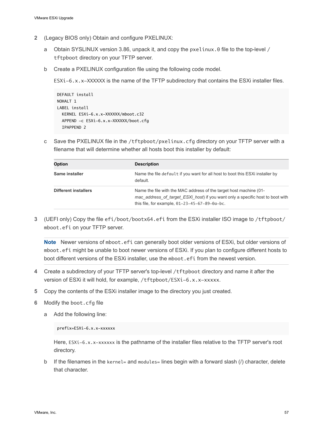- **2** (Legacy BIOS only) Obtain and configure PXELINUX:
	- a Obtain SYSLINUX version 3.86, unpack it, and copy the pxelinux.0 file to the top-level / tftpboot directory on your TFTP server.
	- b Create a PXELINUX configuration file using the following code model.

ESXi-6.x.x-XXXXXX is the name of the TFTP subdirectory that contains the ESXi installer files.

```
DEFAULT install
NOHALT 1
LABEL install
  KERNEL ESXi-6.x.x-XXXXXX/mboot.c32 
  APPEND -c ESXi-6.x.x-XXXXXX/boot.cfg
  IPAPPEND 2
```
c Save the PXELINUX file in the /tftpboot/pxelinux.cfg directory on your TFTP server with a filename that will determine whether all hosts boot this installer by default:

| <b>Option</b>               | <b>Description</b>                                                                                                                                                                                       |
|-----------------------------|----------------------------------------------------------------------------------------------------------------------------------------------------------------------------------------------------------|
| Same installer              | Name the file default if you want for all host to boot this ESXi installer by<br>default.                                                                                                                |
| <b>Different installers</b> | Name the file with the MAC address of the target host machine (01-<br>mac address of target ESXi host) if you want only a specific host to boot with<br>this file, for example, $01-23-45-67-89-0a-bc$ . |

**3** (UEFI only) Copy the file efi/boot/bootx64.efi from the ESXi installer ISO image to /tftpboot/ mboot.efi on your TFTP server.

**Note** Newer versions of mboot.efi can generally boot older versions of ESXi, but older versions of mboot.efi might be unable to boot newer versions of ESXi. If you plan to configure different hosts to boot different versions of the ESXi installer, use the mboot.efi from the newest version.

- **4** Create a subdirectory of your TFTP server's top-level /tftpboot directory and name it after the version of ESXi it will hold, for example, /tftpboot/ESXi-6.x.x-xxxxx.
- **5** Copy the contents of the ESXi installer image to the directory you just created.
- **6** Modify the boot.cfg file
	- a Add the following line:

prefix=ESXi-6.x.x-xxxxxx

Here, ESXi-6.x.x-xxxxxx is the pathname of the installer files relative to the TFTP server's root directory.

b If the filenames in the kernel= and modules= lines begin with a forward slash (/) character, delete that character.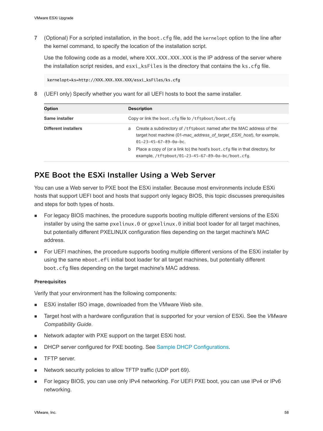<span id="page-57-0"></span>**7** (Optional) For a scripted installation, in the boot.cfg file, add the kernelopt option to the line after the kernel command, to specify the location of the installation script.

Use the following code as a model, where XXX.XXX.XXX.XXX is the IP address of the server where the installation script resides, and esxi\_ksFiles is the directory that contains the ks.cfg file.

kernelopt=ks=http://XXX.XXX.XXX.XXX/esxi\_ksFiles/ks.cfg

**8** (UEFI only) Specify whether you want for all UEFI hosts to boot the same installer.

| Option                      | <b>Description</b>                                                                                                                                                                         |
|-----------------------------|--------------------------------------------------------------------------------------------------------------------------------------------------------------------------------------------|
| Same installer              | Copy or link the boot.cfg file to /tftpboot/boot.cfg                                                                                                                                       |
| <b>Different installers</b> | Create a subdirectory of /tftpboot named after the MAC address of the<br>a<br>target host machine (01-mac address of target ESXi host), for example,<br>$01 - 23 - 45 - 67 - 89 - 0a - bc$ |
|                             | Place a copy of (or a link to) the host's boot. cfq file in that directory, for<br>b<br>example, /tftpboot/01-23-45-67-89-0a-bc/boot.cfg.                                                  |

# PXE Boot the ESXi Installer Using a Web Server

You can use a Web server to PXE boot the ESXi installer. Because most environments include ESXi hosts that support UEFI boot and hosts that support only legacy BIOS, this topic discusses prerequisites and steps for both types of hosts.

- **For legacy BIOS machines, the procedure supports booting multiple different versions of the ESXi** installer by using the same pxelinux.0 or gpxelinux.0 initial boot loader for all target machines, but potentially different PXELINUX configuration files depending on the target machine's MAC address.
- For UEFI machines, the procedure supports booting multiple different versions of the ESXi installer by using the same mboot.efi initial boot loader for all target machines, but potentially different boot.cfg files depending on the target machine's MAC address.

#### Prerequisites

Verify that your environment has the following components:

- ESXi installer ISO image, downloaded from the VMware Web site.
- <sup>n</sup> Target host with a hardware configuration that is supported for your version of ESXi. See the *VMware Compatibility Guide*.
- Network adapter with PXE support on the target ESXi host.
- DHCP server configured for PXE booting. See [Sample DHCP Configurations.](#page-29-0)
- **n** TFTP server.
- <sup>n</sup> Network security policies to allow TFTP traffic (UDP port 69).
- For legacy BIOS, you can use only IPv4 networking. For UEFI PXE boot, you can use IPv4 or IPv6 networking.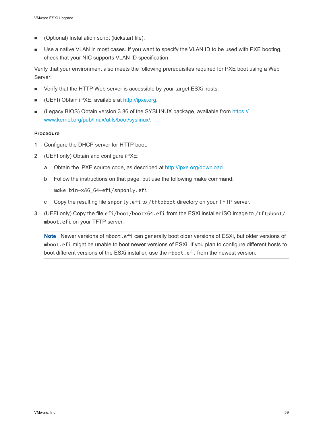- (Optional) Installation script (kickstart file).
- **DEDET USE A native VLAN in most cases. If you want to specify the VLAN ID to be used with PXE booting,** check that your NIC supports VLAN ID specification.

Verify that your environment also meets the following prerequisites required for PXE boot using a Web Server:

- Verify that the HTTP Web server is accessible by your target ESXi hosts.
- (UEFI) Obtain iPXE, available at <http://ipxe.org>.
- (Legacy BIOS) Obtain version 3.86 of the SYSLINUX package, available from [https://](https://www.kernel.org/pub/linux/utils/boot/syslinux/) [www.kernel.org/pub/linux/utils/boot/syslinux/](https://www.kernel.org/pub/linux/utils/boot/syslinux/).

#### Procedure

- **1** Configure the DHCP server for HTTP boot.
- **2** (UEFI only) Obtain and configure iPXE:
	- a Obtain the iPXE source code, as described at [http://ipxe.org/download.](http://ipxe.org/download)
	- b Follow the instructions on that page, but use the following make command:

make bin-x86\_64-efi/snponly.efi

- c Copy the resulting file snponly.efi to /tftpboot directory on your TFTP server.
- **3** (UEFI only) Copy the file efi/boot/bootx64.efi from the ESXi installer ISO image to /tftpboot/ mboot.efi on your TFTP server.

**Note** Newer versions of mboot.efi can generally boot older versions of ESXi, but older versions of mboot.efi might be unable to boot newer versions of ESXi. If you plan to configure different hosts to boot different versions of the ESXi installer, use the mboot.efi from the newest version.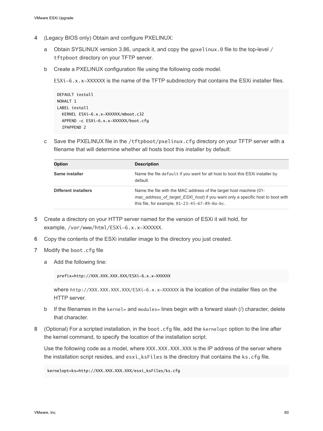- **4** (Legacy BIOS only) Obtain and configure PXELINUX:
	- a Obtain SYSLINUX version 3.86, unpack it, and copy the gpxelinux.0 file to the top-level / tftpboot directory on your TFTP server.
	- b Create a PXELINUX configuration file using the following code model.

ESXi-6.x.x-XXXXXX is the name of the TFTP subdirectory that contains the ESXi installer files.

```
DEFAULT install
NOHALT 1
LABEL install
  KERNEL ESXi-6.x.x-XXXXXX/mboot.c32 
  APPEND -c ESXi-6.x.x-XXXXXX/boot.cfg
  IPAPPEND 2
```
c Save the PXELINUX file in the /tftpboot/pxelinux.cfg directory on your TFTP server with a filename that will determine whether all hosts boot this installer by default:

| <b>Option</b>               | <b>Description</b>                                                                                                                                                                                       |
|-----------------------------|----------------------------------------------------------------------------------------------------------------------------------------------------------------------------------------------------------|
| <b>Same installer</b>       | Name the file default if you want for all host to boot this ESXi installer by<br>default.                                                                                                                |
| <b>Different installers</b> | Name the file with the MAC address of the target host machine (01-<br>mac_address_of_target_ESXi_host) if you want only a specific host to boot with<br>this file, for example, $01-23-45-67-89-0a-bc$ . |

- **5** Create a directory on your HTTP server named for the version of ESXi it will hold, for example, /var/www/html/ESXi-6.x.x-XXXXXX.
- **6** Copy the contents of the ESXi installer image to the directory you just created.
- **7** Modify the boot.cfg file
	- a Add the following line:

```
prefix=http://XXX.XXX.XXX.XXX/ESXi-6.x.x-XXXXXX
```
where http://XXX.XXX.XXX.XXX/ESXi-6.x.x-XXXXXX is the location of the installer files on the HTTP server.

- b If the filenames in the kernel= and modules= lines begin with a forward slash  $\langle \cdot \rangle$  character, delete that character.
- **8** (Optional) For a scripted installation, in the boot.cfg file, add the kernelopt option to the line after the kernel command, to specify the location of the installation script.

Use the following code as a model, where XXX.XXX.XXX.XXX is the IP address of the server where the installation script resides, and esxi\_ksFiles is the directory that contains the ks.cfg file.

kernelopt=ks=http://XXX.XXX.XXX.XXX/esxi\_ksFiles/ks.cfg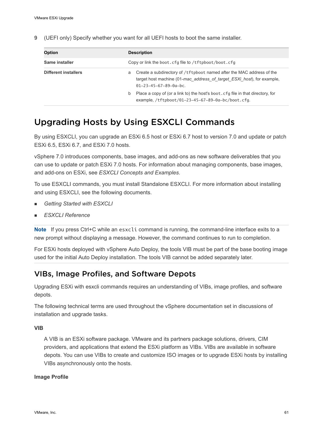**9** (UEFI only) Specify whether you want for all UEFI hosts to boot the same installer.

| Option                      | <b>Description</b>                                                                                                                                                                         |  |  |
|-----------------------------|--------------------------------------------------------------------------------------------------------------------------------------------------------------------------------------------|--|--|
| Same installer              | Copy or link the boot.cfg file to /tftpboot/boot.cfg                                                                                                                                       |  |  |
| <b>Different installers</b> | Create a subdirectory of /tftpboot named after the MAC address of the<br>a<br>target host machine (01-mac address of target ESXi host), for example,<br>$01 - 23 - 45 - 67 - 89 - 0a - bc$ |  |  |
|                             | Place a copy of (or a link to) the host's boot. cfq file in that directory, for<br>b<br>example, /tftpboot/01-23-45-67-89-0a-bc/boot.cfg.                                                  |  |  |

# Upgrading Hosts by Using ESXCLI Commands

By using ESXCLI, you can upgrade an ESXi 6.5 host or ESXi 6.7 host to version 7.0 and update or patch ESXi 6.5, ESXi 6.7, and ESXi 7.0 hosts.

vSphere 7.0 introduces components, base images, and add-ons as new software deliverables that you can use to update or patch ESXi 7.0 hosts. For information about managing components, base images, and add-ons on ESXi, see *ESXCLI Concepts and Examples*.

To use ESXCLI commands, you must install Standalone ESXCLI. For more information about installing and using ESXCLI, see the following documents.

- **Getting Started with ESXCLI**
- <sup>n</sup> *ESXCLI Reference*

**Note** If you press Ctrl+C while an esxcli command is running, the command-line interface exits to a new prompt without displaying a message. However, the command continues to run to completion.

For ESXi hosts deployed with vSphere Auto Deploy, the tools VIB must be part of the base booting image used for the initial Auto Deploy installation. The tools VIB cannot be added separately later.

# VIBs, Image Profiles, and Software Depots

Upgrading ESXi with esxcli commands requires an understanding of VIBs, image profiles, and software depots.

The following technical terms are used throughout the vSphere documentation set in discussions of installation and upgrade tasks.

### **VIB**

A VIB is an ESXi software package. VMware and its partners package solutions, drivers, CIM providers, and applications that extend the ESXi platform as VIBs. VIBs are available in software depots. You can use VIBs to create and customize ISO images or to upgrade ESXi hosts by installing VIBs asynchronously onto the hosts.

### **Image Profile**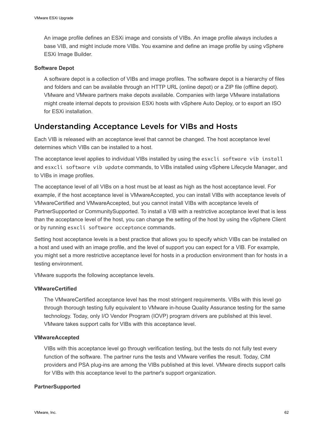An image profile defines an ESXi image and consists of VIBs. An image profile always includes a base VIB, and might include more VIBs. You examine and define an image profile by using vSphere ESXi Image Builder.

#### **Software Depot**

A software depot is a collection of VIBs and image profiles. The software depot is a hierarchy of files and folders and can be available through an HTTP URL (online depot) or a ZIP file (offline depot). VMware and VMware partners make depots available. Companies with large VMware installations might create internal depots to provision ESXi hosts with vSphere Auto Deploy, or to export an ISO for ESXi installation.

# Understanding Acceptance Levels for VIBs and Hosts

Each VIB is released with an acceptance level that cannot be changed. The host acceptance level determines which VIBs can be installed to a host.

The acceptance level applies to individual VIBs installed by using the esxcli software vib install and esxcli software vib update commands, to VIBs installed using vSphere Lifecycle Manager, and to VIBs in image profiles.

The acceptance level of all VIBs on a host must be at least as high as the host acceptance level. For example, if the host acceptance level is VMwareAccepted, you can install VIBs with acceptance levels of VMwareCertified and VMwareAccepted, but you cannot install VIBs with acceptance levels of PartnerSupported or CommunitySupported. To install a VIB with a restrictive acceptance level that is less than the acceptance level of the host, you can change the setting of the host by using the vSphere Client or by running esxcli software acceptance commands.

Setting host acceptance levels is a best practice that allows you to specify which VIBs can be installed on a host and used with an image profile, and the level of support you can expect for a VIB. For example, you might set a more restrictive acceptance level for hosts in a production environment than for hosts in a testing environment.

VMware supports the following acceptance levels.

### **VMwareCertified**

The VMwareCertified acceptance level has the most stringent requirements. VIBs with this level go through thorough testing fully equivalent to VMware in-house Quality Assurance testing for the same technology. Today, only I/O Vendor Program (IOVP) program drivers are published at this level. VMware takes support calls for VIBs with this acceptance level.

### **VMwareAccepted**

VIBs with this acceptance level go through verification testing, but the tests do not fully test every function of the software. The partner runs the tests and VMware verifies the result. Today, CIM providers and PSA plug-ins are among the VIBs published at this level. VMware directs support calls for VIBs with this acceptance level to the partner's support organization.

### **PartnerSupported**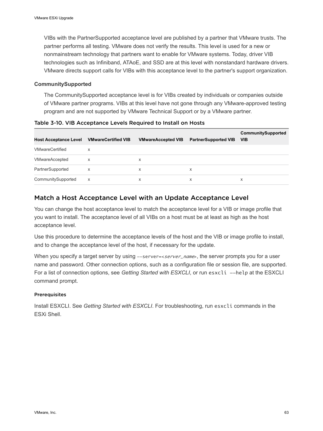VIBs with the PartnerSupported acceptance level are published by a partner that VMware trusts. The partner performs all testing. VMware does not verify the results. This level is used for a new or nonmainstream technology that partners want to enable for VMware systems. Today, driver VIB technologies such as Infiniband, ATAoE, and SSD are at this level with nonstandard hardware drivers. VMware directs support calls for VIBs with this acceptance level to the partner's support organization.

### **CommunitySupported**

The CommunitySupported acceptance level is for VIBs created by individuals or companies outside of VMware partner programs. VIBs at this level have not gone through any VMware-approved testing program and are not supported by VMware Technical Support or by a VMware partner.

| <b>Host Acceptance Level</b> | <b>VMwareCertified VIB</b> | <b>VMwareAccepted VIB</b> | <b>PartnerSupported VIB</b> | CommunitySupported<br><b>VIB</b> |
|------------------------------|----------------------------|---------------------------|-----------------------------|----------------------------------|
| <b>VMwareCertified</b>       | х                          |                           |                             |                                  |
| <b>VMwareAccepted</b>        | X                          | X                         |                             |                                  |
| PartnerSupported             | X                          | X                         | x                           |                                  |
| CommunitySupported           | X                          | X                         | x                           | X                                |

Table 3-10. VIB Acceptance Levels Required to Install on Hosts

## Match a Host Acceptance Level with an Update Acceptance Level

You can change the host acceptance level to match the acceptance level for a VIB or image profile that you want to install. The acceptance level of all VIBs on a host must be at least as high as the host acceptance level.

Use this procedure to determine the acceptance levels of the host and the VIB or image profile to install, and to change the acceptance level of the host, if necessary for the update.

When you specify a target server by using --server=<server\_name>, the server prompts you for a user name and password. Other connection options, such as a configuration file or session file, are supported. For a list of connection options, see *Getting Started with ESXCLI*, or run esxcli --help at the ESXCLI command prompt.

### **Prerequisites**

Install ESXCLI. See *Getting Started with ESXCLI*. For troubleshooting, run esxcli commands in the ESXi Shell.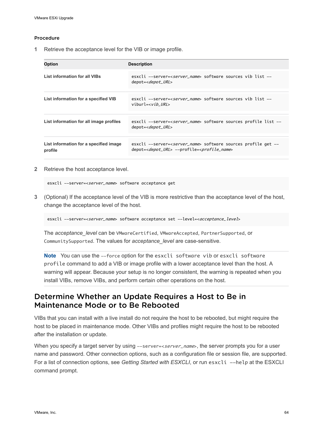#### <span id="page-63-0"></span>Procedure

**1** Retrieve the acceptance level for the VIB or image profile.

| <b>Option</b>                                     | <b>Description</b>                                                                                                                                    |
|---------------------------------------------------|-------------------------------------------------------------------------------------------------------------------------------------------------------|
| <b>List information for all VIBs</b>              | esxcli --server=< <i>server name</i> > software sources vib list --<br>depot=< <i>depot_URL</i> >                                                     |
| List information for a specified VIB              | esxcli --server=< <i>server name</i> > software sources vib list --<br>viburl=< <i>vib URL</i> >                                                      |
| List information for all image profiles           | esxcli --server=< <i>server_name</i> > software sources profile list --<br>depot= <depot_url></depot_url>                                             |
| List information for a specified image<br>profile | esxcli --server= <server_name> software sources profile get --<br/>depot=&lt;<i>depot_URL</i>&gt; --profile=&lt;<i>profile_name</i>&gt;</server_name> |

**2** Retrieve the host acceptance level.

esxcli --server=<server\_name> software acceptance get

**3** (Optional) If the acceptance level of the VIB is more restrictive than the acceptance level of the host, change the acceptance level of the host.

esxcli --server=<server\_name> software acceptance set --level=<acceptance\_level>

The *acceptance\_level* can be VMwareCertified, VMwareAccepted, PartnerSupported, or CommunitySupported. The values for *acceptance\_level* are case-sensitive.

**Note** You can use the --force option for the esxcli software vib or esxcli software profile command to add a VIB or image profile with a lower acceptance level than the host. A warning will appear. Because your setup is no longer consistent, the warning is repeated when you install VIBs, remove VIBs, and perform certain other operations on the host.

# Determine Whether an Update Requires a Host to Be in Maintenance Mode or to Be Rebooted

VIBs that you can install with a live install do not require the host to be rebooted, but might require the host to be placed in maintenance mode. Other VIBs and profiles might require the host to be rebooted after the installation or update.

When you specify a target server by using --server=<server\_name>, the server prompts you for a user name and password. Other connection options, such as a configuration file or session file, are supported. For a list of connection options, see Getting Started with ESXCLI, or run esxcli --help at the ESXCLI command prompt.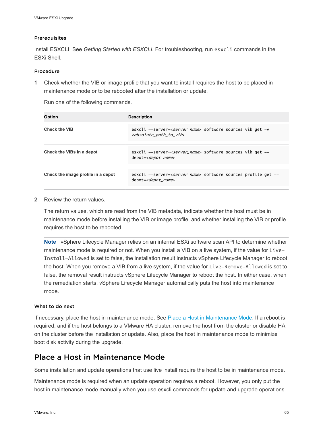#### <span id="page-64-0"></span>Prerequisites

Install ESXCLI. See *Getting Started with ESXCLI*. For troubleshooting, run esxcli commands in the ESXi Shell.

#### Procedure

**1** Check whether the VIB or image profile that you want to install requires the host to be placed in maintenance mode or to be rebooted after the installation or update.

Run one of the following commands.

| <b>Option</b>                      | <b>Description</b>                                                                                                          |
|------------------------------------|-----------------------------------------------------------------------------------------------------------------------------|
| <b>Check the VIB</b>               | esxcli --server=< <i>server_name</i> > software sources vib get -v<br><absolute_path_to_vib< td=""></absolute_path_to_vib<> |
| Check the VIBs in a depot          | esxcli --server= <server_name> software sources vib get --<br/>depot=<depot_name></depot_name></server_name>                |
| Check the image profile in a depot | esxcli --server= <server_name> software sources profile get --<br/>depot=<depot_name></depot_name></server_name>            |

#### **2** Review the return values.

The return values, which are read from the VIB metadata, indicate whether the host must be in maintenance mode before installing the VIB or image profile, and whether installing the VIB or profile requires the host to be rebooted.

**Note** vSphere Lifecycle Manager relies on an internal ESXi software scan API to determine whether maintenance mode is required or not. When you install a VIB on a live system, if the value for Live-Install-Allowed is set to false, the installation result instructs vSphere Lifecycle Manager to reboot the host. When you remove a VIB from a live system, if the value for Live-Remove-Allowed is set to false, the removal result instructs vSphere Lifecycle Manager to reboot the host. In either case, when the remediation starts, vSphere Lifecycle Manager automatically puts the host into maintenance mode.

#### What to do next

If necessary, place the host in maintenance mode. See Place a Host in Maintenance Mode. If a reboot is required, and if the host belongs to a VMware HA cluster, remove the host from the cluster or disable HA on the cluster before the installation or update. Also, place the host in maintenance mode to minimize boot disk activity during the upgrade.

# Place a Host in Maintenance Mode

Some installation and update operations that use live install require the host to be in maintenance mode.

Maintenance mode is required when an update operation requires a reboot. However, you only put the host in maintenance mode manually when you use esxcli commands for update and upgrade operations.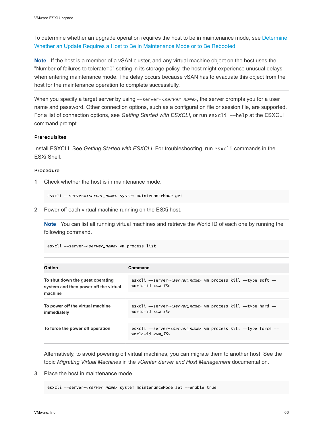To determine whether an upgrade operation requires the host to be in maintenance mode, see [Determine](#page-63-0) [Whether an Update Requires a Host to Be in Maintenance Mode or to Be Rebooted](#page-63-0)

**Note** If the host is a member of a vSAN cluster, and any virtual machine object on the host uses the "Number of failures to tolerate=0" setting in its storage policy, the host might experience unusual delays when entering maintenance mode. The delay occurs because vSAN has to evacuate this object from the host for the maintenance operation to complete successfully.

When you specify a target server by using  $--server=, the server prompts you for a user$ name and password. Other connection options, such as a configuration file or session file, are supported. For a list of connection options, see *Getting Started with ESXCLI*, or run esxcli --help at the ESXCLI command prompt.

#### Prerequisites

Install ESXCLI. See *Getting Started with ESXCLI*. For troubleshooting, run esxcli commands in the ESXi Shell.

#### Procedure

**1** Check whether the host is in maintenance mode.

esxcli --server=<server\_name> system maintenanceMode get

**2** Power off each virtual machine running on the ESXi host.

**Note** You can list all running virtual machines and retrieve the World ID of each one by running the following command.

esxcli --server=<server\_name> vm process list

| <b>Option</b>                                                             | Command                                                                                                                        |
|---------------------------------------------------------------------------|--------------------------------------------------------------------------------------------------------------------------------|
| To shut down the quest operating<br>system and then power off the virtual | esxcli --server=< <i>server_name</i> > vm process kill --type soft --<br>world-id $\langle \nabla w \rangle$                   |
| machine                                                                   |                                                                                                                                |
| To power off the virtual machine<br>immediately                           | esxcli --server= <server_name> vm process kill --type hard --<br/>world-id <math>\langle \nabla w \rangle</math></server_name> |
|                                                                           |                                                                                                                                |
| To force the power off operation                                          | esxcli --server=< <i>server_name</i> > vm process kill --type force --<br>world-id < <i>vm ID</i> >                            |
|                                                                           |                                                                                                                                |

Alternatively, to avoid powering off virtual machines, you can migrate them to another host. See the topic *Migrating Virtual Machines* in the *vCenter Server and Host Management* documentation.

**3** Place the host in maintenance mode.

esxcli --server=<server\_name> system maintenanceMode set --enable true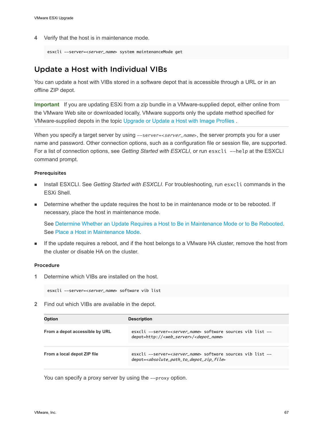**4** Verify that the host is in maintenance mode.

```
esxcli --server=<server_name> system maintenanceMode get
```
# Update a Host with Individual VIBs

You can update a host with VIBs stored in a software depot that is accessible through a URL or in an offline ZIP depot.

**Important** If you are updating ESXi from a zip bundle in a VMware-supplied depot, either online from the VMware Web site or downloaded locally, VMware supports only the update method specified for VMware-supplied depots in the topic [Upgrade or Update a Host with Image Profiles .](#page-67-0)

When you specify a target server by using --server=<server\_name>, the server prompts you for a user name and password. Other connection options, such as a configuration file or session file, are supported. For a list of connection options, see Getting Started with ESXCLI, or run esxcli --help at the ESXCLI command prompt.

#### Prerequisites

- Install ESXCLI. See Getting Started with ESXCLI. For troubleshooting, run esxc1i commands in the ESXi Shell.
- **Determine whether the update requires the host to be in maintenance mode or to be rebooted. If** necessary, place the host in maintenance mode.

See [Determine Whether an Update Requires a Host to Be in Maintenance Mode or to Be Rebooted](#page-63-0). See [Place a Host in Maintenance Mode.](#page-64-0)

**n** If the update requires a reboot, and if the host belongs to a VMware HA cluster, remove the host from the cluster or disable HA on the cluster.

#### Procedure

**1** Determine which VIBs are installed on the host.

```
esxcli --server=<server_name> software vib list
```
**2** Find out which VIBs are available in the depot.

| <b>Option</b>                  | <b>Description</b>                                                                                                                                    |
|--------------------------------|-------------------------------------------------------------------------------------------------------------------------------------------------------|
| From a depot accessible by URL | esxcli --server= <server_name> software sources vib list --<br/>depot=http://<web_server>/<depot_name></depot_name></web_server></server_name>        |
| From a local depot ZIP file    | esxcli --server= <server name=""> software sources vib list --<br/>depot=<absolute_path_to_depot_zip_file></absolute_path_to_depot_zip_file></server> |

You can specify a proxy server by using the --proxy option.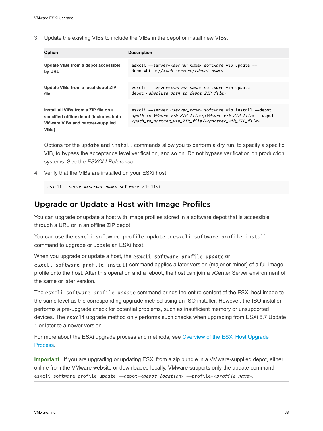<span id="page-67-0"></span>**3** Update the existing VIBs to include the VIBs in the depot or install new VIBs.

| esxcli --server= <server_name> software vib update --</server_name>                                                                                                                                                                                                                                    |
|--------------------------------------------------------------------------------------------------------------------------------------------------------------------------------------------------------------------------------------------------------------------------------------------------------|
| depot=http:// <web_server>/<depot_name></depot_name></web_server>                                                                                                                                                                                                                                      |
| esxcli --server= <server_name> software vib update --<br/>depot=<absolute_path_to_depot_zip_file></absolute_path_to_depot_zip_file></server_name>                                                                                                                                                      |
| esxcli --server=< <i>server_name</i> > software vib install --depot<br><path_to_vmware_vib_zip_file>\<vmware_vib_zip_file> --depot<br/><path_to_partner_vib_zip_file>\<partner_vib_zip_file></partner_vib_zip_file></path_to_partner_vib_zip_file></vmware_vib_zip_file></path_to_vmware_vib_zip_file> |
|                                                                                                                                                                                                                                                                                                        |

Options for the update and install commands allow you to perform a dry run, to specify a specific VIB, to bypass the acceptance level verification, and so on. Do not bypass verification on production systems. See the *ESXCLI Reference*.

**4** Verify that the VIBs are installed on your ESXi host.

esxcli --server=<server\_name> software vib list

# Upgrade or Update a Host with Image Profiles

You can upgrade or update a host with image profiles stored in a software depot that is accessible through a URL or in an offline ZIP depot.

You can use the esxcli software profile update or esxcli software profile install command to upgrade or update an ESXi host.

When you upgrade or update a host, the esxcli software profile update or

esxcli software profile install command applies a later version (major or minor) of a full image profile onto the host. After this operation and a reboot, the host can join a vCenter Server environment of the same or later version.

The esxcli software profile update command brings the entire content of the ESXi host image to the same level as the corresponding upgrade method using an ISO installer. However, the ISO installer performs a pre-upgrade check for potential problems, such as insufficient memory or unsupported devices. The esxcli upgrade method only performs such checks when upgrading from ESXi 6.7 Update 1 or later to a newer version.

For more about the ESXi upgrade process and methods, see [Overview of the ESXi Host Upgrade](#page-8-0) [Process](#page-8-0).

**Important** If you are upgrading or updating ESXi from a zip bundle in a VMware-supplied depot, either online from the VMware website or downloaded locally, VMware supports only the update command esxcli software profile update --depot=<depot\_location> --profile=<profile\_name>.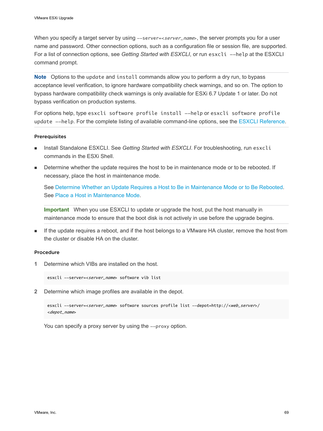When you specify a target server by using --server=<server\_name>, the server prompts you for a user name and password. Other connection options, such as a configuration file or session file, are supported. For a list of connection options, see *Getting Started with ESXCLI*, or run esxcli --help at the ESXCLI command prompt.

**Note** Options to the update and install commands allow you to perform a dry run, to bypass acceptance level verification, to ignore hardware compatibility check warnings, and so on. The option to bypass hardware compatibility check warnings is only available for ESXi 6.7 Update 1 or later. Do not bypass verification on production systems.

For options help, type esxcli software profile install --help or esxcli software profile update --help. For the complete listing of available command-line options, see the [ESXCLI Reference.](https://code.vmware.com/web/dp/tool/vsphere-cli)

#### **Prerequisites**

- Install Standalone ESXCLI. See Getting Started with ESXCLI. For troubleshooting, run esxcli commands in the ESXi Shell.
- Determine whether the update requires the host to be in maintenance mode or to be rebooted. If necessary, place the host in maintenance mode.

See [Determine Whether an Update Requires a Host to Be in Maintenance Mode or to Be Rebooted](#page-63-0). See [Place a Host in Maintenance Mode.](#page-64-0)

**Important** When you use ESXCLI to update or upgrade the host, put the host manually in maintenance mode to ensure that the boot disk is not actively in use before the upgrade begins.

**n** If the update requires a reboot, and if the host belongs to a VMware HA cluster, remove the host from the cluster or disable HA on the cluster.

#### Procedure

**1** Determine which VIBs are installed on the host.

esxcli --server=<server name> software vib list

**2** Determine which image profiles are available in the depot.

```
esxcli --server=<server_name> software sources profile list --depot=http://<web_server>/
<depot_name>
```
You can specify a proxy server by using the --proxy option.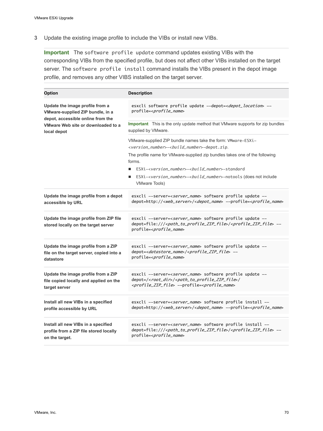**3** Update the existing image profile to include the VIBs or install new VIBs.

**Important** The software profile update command updates existing VIBs with the corresponding VIBs from the specified profile, but does not affect other VIBs installed on the target server. The software profile install command installs the VIBs present in the depot image profile, and removes any other VIBS installed on the target server.

| Option                                                                                                                                                        | <b>Description</b>                                                                                                                                                                                                                                |
|---------------------------------------------------------------------------------------------------------------------------------------------------------------|---------------------------------------------------------------------------------------------------------------------------------------------------------------------------------------------------------------------------------------------------|
| Update the image profile from a<br>VMware-supplied ZIP bundle, in a<br>depot, accessible online from the<br>VMware Web site or downloaded to a<br>local depot | esxcli software profile update --depot=< <i>depot_location</i> > --<br>profile= <profile_name></profile_name>                                                                                                                                     |
|                                                                                                                                                               | Important This is the only update method that VMware supports for zip bundles<br>supplied by VMware.                                                                                                                                              |
|                                                                                                                                                               | VMware-supplied ZIP bundle names take the form: VMware-ESXi-<br><version_number>-<build_number>-depot.zip.</build_number></version_number>                                                                                                        |
|                                                                                                                                                               | The profile name for VMware-supplied zip bundles takes one of the following<br>forms.                                                                                                                                                             |
|                                                                                                                                                               | ESXi- <version number="">-<build number="">-standard</build></version>                                                                                                                                                                            |
|                                                                                                                                                               | ESXi-< <i>version_number</i> >-< <i>build_number</i> >-notools (does not include<br>п<br><b>VMware Tools)</b>                                                                                                                                     |
| Update the image profile from a depot<br>accessible by URL                                                                                                    | esxcli --server= <server_name> software profile update --<br/>depot=http://<web_server>/<depot_name> --profile=<profile_name></profile_name></depot_name></web_server></server_name>                                                              |
| Update the image profile from ZIP file<br>stored locally on the target server                                                                                 | esxcli --server=< <i>server_name</i> > software profile update --<br>depot=file:/// <path_to_profile_zip_file>/<profile_zip_file> --<br/>profile=<profile_name></profile_name></profile_zip_file></path_to_profile_zip_file>                      |
| Update the image profile from a ZIP<br>file on the target server, copied into a<br>datastore                                                                  | esxcli --server=< <i>server_name</i> > software profile update --<br>depot= <datastore_name>/<profile_zip_file> --<br/>profile=<profile_name></profile_name></profile_zip_file></datastore_name>                                                  |
| Update the image profile from a ZIP<br>file copied locally and applied on the<br>target server                                                                | esxcli --server= <server_name> software profile update --<br/>depot=/<root_dir>/<path_to_profile_zip_file>/<br/><profile_zip_file> --profile=<profile_name></profile_name></profile_zip_file></path_to_profile_zip_file></root_dir></server_name> |
| Install all new VIBs in a specified<br>profile accessible by URL                                                                                              | esxcli --server= <server_name> software profile install --<br/>depot=http://<web_server>/<depot_name> --profile=<profile_name></profile_name></depot_name></web_server></server_name>                                                             |
| Install all new VIBs in a specified<br>profile from a ZIP file stored locally<br>on the target.                                                               | esxcli --server=< <i>server_name</i> > software profile install --<br>depot=file:/// <path_to_profile_zip_file>/<profile_zip_file> --<br/>profile=<profile_name></profile_name></profile_zip_file></path_to_profile_zip_file>                     |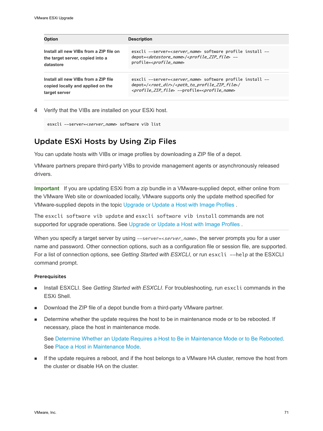| <b>Option</b>                           | <b>Description</b>                                                                   |
|-----------------------------------------|--------------------------------------------------------------------------------------|
| Install all new VIBs from a ZIP file on | esxcli --server=< <i>server_name</i> > software profile install --                   |
| the target server, copied into a        | depot= <datastore_name>/<profile_zip_file> --</profile_zip_file></datastore_name>    |
| datastore                               | profile= <profile_name></profile_name>                                               |
| Install all new VIBs from a ZIP file    | esxcli --server= <server_name> software profile install --</server_name>             |
| copied locally and applied on the       | depot=/ <root_dir>/<path_to_profile_zip_file>/</path_to_profile_zip_file></root_dir> |
| target server                           | <profile_zip_file> --profile=<profile_name></profile_name></profile_zip_file>        |

**4** Verify that the VIBs are installed on your ESXi host.

```
esxcli --server=<server_name> software vib list
```
# Update ESXi Hosts by Using Zip Files

You can update hosts with VIBs or image profiles by downloading a ZIP file of a depot.

VMware partners prepare third-party VIBs to provide management agents or asynchronously released drivers.

**Important** If you are updating ESXi from a zip bundle in a VMware-supplied depot, either online from the VMware Web site or downloaded locally, VMware supports only the update method specified for VMware-supplied depots in the topic [Upgrade or Update a Host with Image Profiles .](#page-67-0)

The esxcli software vib update and esxcli software vib install commands are not supported for upgrade operations. See Upgrade or Update a Host with Image Profiles.

When you specify a target server by using  $--server=, the server prompts you for a user$ name and password. Other connection options, such as a configuration file or session file, are supported. For a list of connection options, see Getting Started with ESXCLI, or run esxcli --help at the ESXCLI command prompt.

#### Prerequisites

- <sup>n</sup> Install ESXCLI. See *Getting Started with ESXCLI*. For troubleshooting, run esxcli commands in the ESXi Shell.
- **Download the ZIP file of a depot bundle from a third-party VMware partner.**
- Determine whether the update requires the host to be in maintenance mode or to be rebooted. If necessary, place the host in maintenance mode.

See [Determine Whether an Update Requires a Host to Be in Maintenance Mode or to Be Rebooted](#page-63-0). See [Place a Host in Maintenance Mode.](#page-64-0)

**n** If the update requires a reboot, and if the host belongs to a VMware HA cluster, remove the host from the cluster or disable HA on the cluster.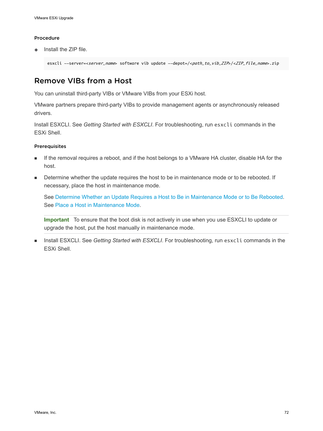#### Procedure

Install the ZIP file.

esxcli --server=<server\_name> software vib update --depot=/<path\_to\_vib\_ZIP>/<ZIP\_file\_name>.zip

# Remove VIBs from a Host

You can uninstall third-party VIBs or VMware VIBs from your ESXi host.

VMware partners prepare third-party VIBs to provide management agents or asynchronously released drivers.

Install ESXCLI. See *Getting Started with ESXCLI*. For troubleshooting, run esxcli commands in the ESXi Shell.

#### Prerequisites

- **n** If the removal requires a reboot, and if the host belongs to a VMware HA cluster, disable HA for the host.
- **•** Determine whether the update requires the host to be in maintenance mode or to be rebooted. If necessary, place the host in maintenance mode.

See [Determine Whether an Update Requires a Host to Be in Maintenance Mode or to Be Rebooted](#page-63-0). See [Place a Host in Maintenance Mode.](#page-64-0)

**Important** To ensure that the boot disk is not actively in use when you use ESXCLI to update or upgrade the host, put the host manually in maintenance mode.

Install ESXCLI. See Getting Started with ESXCLI. For troubleshooting, run esxcli commands in the ESXi Shell.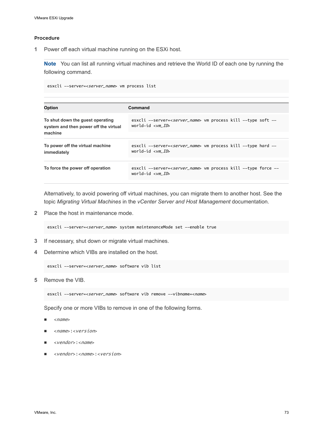#### Procedure

**1** Power off each virtual machine running on the ESXi host.

**Note** You can list all running virtual machines and retrieve the World ID of each one by running the following command.

esxcli --server=<server\_name> vm process list

| <b>Option</b>                                                             | Command                                                                                                                        |
|---------------------------------------------------------------------------|--------------------------------------------------------------------------------------------------------------------------------|
| To shut down the quest operating<br>system and then power off the virtual | esxcli --server= <server_name> vm process kill --type soft --<br/>world-id <math>\langle \nabla w \rangle</math></server_name> |
| machine                                                                   |                                                                                                                                |
| To power off the virtual machine<br>immediately                           | esxcli --server= <server_name> vm process kill --type hard --<br/>world-id <math>\langle \nabla w \rangle</math></server_name> |
| To force the power off operation                                          | esxcli --server= <server_name> vm process kill --type force --<br/>world-id &lt;<i>vm ID</i>&gt;</server_name>                 |

Alternatively, to avoid powering off virtual machines, you can migrate them to another host. See the topic *Migrating Virtual Machines* in the *vCenter Server and Host Management* documentation.

**2** Place the host in maintenance mode.

esxcli --server=<server\_name> system maintenanceMode set --enable true

- **3** If necessary, shut down or migrate virtual machines.
- **4** Determine which VIBs are installed on the host.

```
esxcli --server=<server_name> software vib list
```
**5** Remove the VIB.

```
esxcli --server=<server_name> software vib remove --vibname=<name>
```
Specify one or more VIBs to remove in one of the following forms.

- $<$ name $>$
- n <name>:<version>
- n <vendor>:<name>
- n <vendor>:<name>:<version>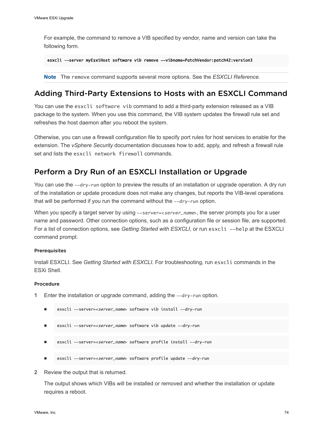For example, the command to remove a VIB specified by vendor, name and version can take the following form.

```
esxcli –-server myEsxiHost software vib remove --vibname=PatchVendor:patch42:version3
```
**Note** The remove command supports several more options. See the *ESXCLI Reference*.

## Adding Third-Party Extensions to Hosts with an ESXCLI Command

You can use the esxcli software vib command to add a third-party extension released as a VIB package to the system. When you use this command, the VIB system updates the firewall rule set and refreshes the host daemon after you reboot the system.

Otherwise, you can use a firewall configuration file to specify port rules for host services to enable for the extension. The *vSphere Security* documentation discusses how to add, apply, and refresh a firewall rule set and lists the esxcli network firewall commands.

## Perform a Dry Run of an ESXCLI Installation or Upgrade

You can use the --dry-run option to preview the results of an installation or upgrade operation. A dry run of the installation or update procedure does not make any changes, but reports the VIB-level operations that will be performed if you run the command without the --dry-run option.

When you specify a target server by using  $--server \leq server\_name$ , the server prompts you for a user name and password. Other connection options, such as a configuration file or session file, are supported. For a list of connection options, see *Getting Started with ESXCLI*, or run esxcli --help at the ESXCLI command prompt.

#### **Prerequisites**

Install ESXCLI. See *Getting Started with ESXCLI*. For troubleshooting, run esxcli commands in the ESXi Shell.

#### Procedure

- **1** Enter the installation or upgrade command, adding the --dry-run option.
	- esxcli --server=<server\_name> software vib install --dry-run
	- esxcli --server=<server\_name> software vib update --dry-run
	- esxcli --server=<server\_name> software profile install --dry-run
	- esxcli --server=<server\_name> software profile update --dry-run
- **2** Review the output that is returned.

The output shows which VIBs will be installed or removed and whether the installation or update requires a reboot.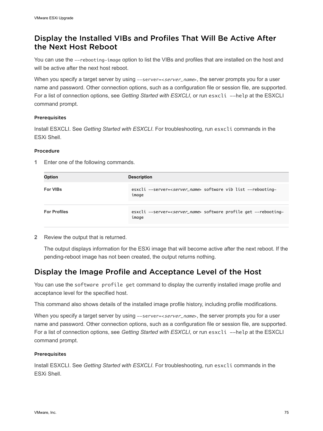## Display the Installed VIBs and Profiles That Will Be Active After the Next Host Reboot

You can use the --rebooting-image option to list the VIBs and profiles that are installed on the host and will be active after the next host reboot.

When you specify a target server by using --server=<server\_name>, the server prompts you for a user name and password. Other connection options, such as a configuration file or session file, are supported. For a list of connection options, see Getting Started with ESXCLI, or run esxcli --help at the ESXCLI command prompt.

#### **Prerequisites**

Install ESXCLI. See *Getting Started with ESXCLI*. For troubleshooting, run esxcli commands in the ESXi Shell.

#### Procedure

**1** Enter one of the following commands.

| Option              | <b>Description</b>                                                                       |  |
|---------------------|------------------------------------------------------------------------------------------|--|
| <b>For VIBs</b>     | esxcli --server= <server_name> software vib list --rebooting-<br/>image</server_name>    |  |
| <b>For Profiles</b> | esxcli --server= <server_name> software profile get --rebooting-<br/>image</server_name> |  |

**2** Review the output that is returned.

The output displays information for the ESXi image that will become active after the next reboot. If the pending-reboot image has not been created, the output returns nothing.

## Display the Image Profile and Acceptance Level of the Host

You can use the software profile get command to display the currently installed image profile and acceptance level for the specified host.

This command also shows details of the installed image profile history, including profile modifications.

When you specify a target server by using  $--server=, the server prompts you for a user$ name and password. Other connection options, such as a configuration file or session file, are supported. For a list of connection options, see Getting Started with ESXCLI, or run esxcli --help at the ESXCLI command prompt.

#### Prerequisites

Install ESXCLI. See *Getting Started with ESXCLI*. For troubleshooting, run esxcli commands in the ESXi Shell.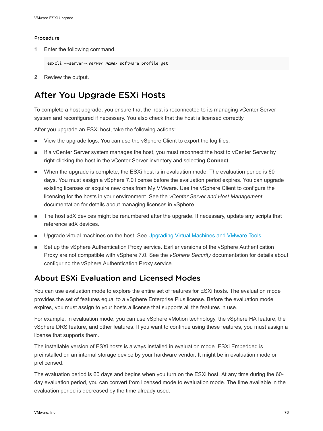#### <span id="page-75-0"></span>Procedure

**1** Enter the following command.

```
esxcli --server=<server_name> software profile get
```
**2** Review the output.

## After You Upgrade ESXi Hosts

To complete a host upgrade, you ensure that the host is reconnected to its managing vCenter Server system and reconfigured if necessary. You also check that the host is licensed correctly.

After you upgrade an ESXi host, take the following actions:

- View the upgrade logs. You can use the vSphere Client to export the log files.
- **n** If a vCenter Server system manages the host, you must reconnect the host to vCenter Server by right-clicking the host in the vCenter Server inventory and selecting **Connect**.
- When the upgrade is complete, the ESXi host is in evaluation mode. The evaluation period is 60 days. You must assign a vSphere 7.0 license before the evaluation period expires. You can upgrade existing licenses or acquire new ones from My VMware. Use the vSphere Client to configure the licensing for the hosts in your environment. See the *vCenter Server and Host Management*  documentation for details about managing licenses in vSphere.
- The host sdX devices might be renumbered after the upgrade. If necessary, update any scripts that reference sdX devices.
- **n** Upgrade virtual machines on the host. See [Upgrading Virtual Machines and VMware Tools](#page-10-0).
- Set up the vSphere Authentication Proxy service. Earlier versions of the vSphere Authentication Proxy are not compatible with vSphere 7.0. See the *vSphere Security* documentation for details about configuring the vSphere Authentication Proxy service.

## About ESXi Evaluation and Licensed Modes

You can use evaluation mode to explore the entire set of features for ESXi hosts. The evaluation mode provides the set of features equal to a vSphere Enterprise Plus license. Before the evaluation mode expires, you must assign to your hosts a license that supports all the features in use.

For example, in evaluation mode, you can use vSphere vMotion technology, the vSphere HA feature, the vSphere DRS feature, and other features. If you want to continue using these features, you must assign a license that supports them.

The installable version of ESXi hosts is always installed in evaluation mode. ESXi Embedded is preinstalled on an internal storage device by your hardware vendor. It might be in evaluation mode or prelicensed.

The evaluation period is 60 days and begins when you turn on the ESXi host. At any time during the 60 day evaluation period, you can convert from licensed mode to evaluation mode. The time available in the evaluation period is decreased by the time already used.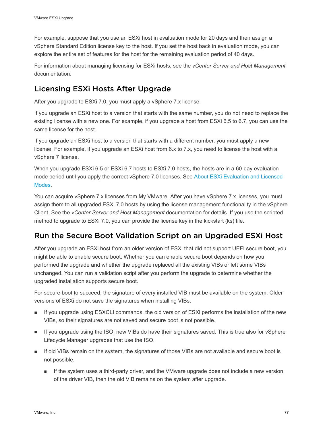For example, suppose that you use an ESXi host in evaluation mode for 20 days and then assign a vSphere Standard Edition license key to the host. If you set the host back in evaluation mode, you can explore the entire set of features for the host for the remaining evaluation period of 40 days.

For information about managing licensing for ESXi hosts, see the *vCenter Server and Host Management*  documentation.

## Licensing ESXi Hosts After Upgrade

After you upgrade to ESXi 7.0, you must apply a vSphere 7.x license.

If you upgrade an ESXi host to a version that starts with the same number, you do not need to replace the existing license with a new one. For example, if you upgrade a host from ESXi 6.5 to 6.7, you can use the same license for the host.

If you upgrade an ESXi host to a version that starts with a different number, you must apply a new license. For example, if you upgrade an ESXi host from 6.x to 7.x, you need to license the host with a vSphere 7 license.

When you upgrade ESXi 6.5 or ESXi 6.7 hosts to ESXi 7.0 hosts, the hosts are in a 60-day evaluation mode period until you apply the correct vSphere 7.0 licenses. See [About ESXi Evaluation and Licensed](#page-75-0)  [Modes](#page-75-0).

You can acquire vSphere 7.x licenses from My VMware. After you have vSphere 7.x licenses, you must assign them to all upgraded ESXi 7.0 hosts by using the license management functionality in the vSphere Client. See the *vCenter Server and Host Management* documentation for details. If you use the scripted method to upgrade to ESXi 7.0, you can provide the license key in the kickstart (ks) file.

## Run the Secure Boot Validation Script on an Upgraded ESXi Host

After you upgrade an ESXi host from an older version of ESXi that did not support UEFI secure boot, you might be able to enable secure boot. Whether you can enable secure boot depends on how you performed the upgrade and whether the upgrade replaced all the existing VIBs or left some VIBs unchanged. You can run a validation script after you perform the upgrade to determine whether the upgraded installation supports secure boot.

For secure boot to succeed, the signature of every installed VIB must be available on the system. Older versions of ESXi do not save the signatures when installing VIBs.

- **n** If you upgrade using ESXCLI commands, the old version of ESXi performs the installation of the new VIBs, so their signatures are not saved and secure boot is not possible.
- **n** If you upgrade using the ISO, new VIBs do have their signatures saved. This is true also for vSphere Lifecycle Manager upgrades that use the ISO.
- If old VIBs remain on the system, the signatures of those VIBs are not available and secure boot is not possible.
	- **n** If the system uses a third-party driver, and the VMware upgrade does not include a new version of the driver VIB, then the old VIB remains on the system after upgrade.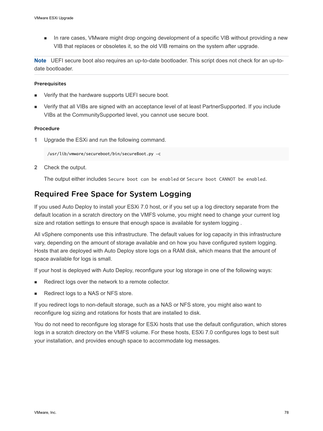n In rare cases, VMware might drop ongoing development of a specific VIB without providing a new VIB that replaces or obsoletes it, so the old VIB remains on the system after upgrade.

**Note** UEFI secure boot also requires an up-to-date bootloader. This script does not check for an up-todate bootloader.

#### Prerequisites

- Verify that the hardware supports UEFI secure boot.
- <sup>n</sup> Verify that all VIBs are signed with an acceptance level of at least PartnerSupported. If you include VIBs at the CommunitySupported level, you cannot use secure boot.

#### Procedure

**1** Upgrade the ESXi and run the following command.

/usr/lib/vmware/secureboot/bin/secureBoot.py -c

**2** Check the output.

The output either includes Secure boot can be enabled or Secure boot CANNOT be enabled.

## Required Free Space for System Logging

If you used Auto Deploy to install your ESXi 7.0 host, or if you set up a log directory separate from the default location in a scratch directory on the VMFS volume, you might need to change your current log size and rotation settings to ensure that enough space is available for system logging .

All vSphere components use this infrastructure. The default values for log capacity in this infrastructure vary, depending on the amount of storage available and on how you have configured system logging. Hosts that are deployed with Auto Deploy store logs on a RAM disk, which means that the amount of space available for logs is small.

If your host is deployed with Auto Deploy, reconfigure your log storage in one of the following ways:

- Redirect logs over the network to a remote collector.
- Redirect logs to a NAS or NFS store.

If you redirect logs to non-default storage, such as a NAS or NFS store, you might also want to reconfigure log sizing and rotations for hosts that are installed to disk.

You do not need to reconfigure log storage for ESXi hosts that use the default configuration, which stores logs in a scratch directory on the VMFS volume. For these hosts, ESXi 7.0 configures logs to best suit your installation, and provides enough space to accommodate log messages.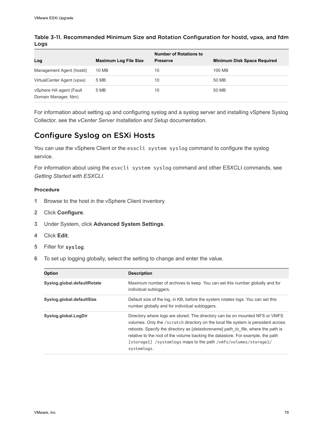| Log                                             | <b>Maximum Log File Size</b> | <b>Number of Rotations to</b><br><b>Preserve</b> | <b>Minimum Disk Space Required</b> |
|-------------------------------------------------|------------------------------|--------------------------------------------------|------------------------------------|
| Management Agent (hostd)                        | 10 MB                        | 10                                               | 100 MB                             |
| VirtualCenter Agent (vpxa)                      | 5 MB                         | 10                                               | 50 MB                              |
| vSphere HA agent (Fault<br>Domain Manager, fdm) | 5 MB                         | 10                                               | 50 MB                              |

Table 3-11. Recommended Minimum Size and Rotation Configuration for hostd, vpxa, and fdm Logs

For information about setting up and configuring syslog and a syslog server and installing vSphere Syslog Collector, see the *vCenter Server Installation and Setup* documentation.

## Configure Syslog on ESXi Hosts

You can use the vSphere Client or the esxcli system syslog command to configure the syslog service.

For information about using the esxcli system syslog command and other ESXCLI commands, see *Getting Started with ESXCLI*.

#### Procedure

- **1** Browse to the host in the vSphere Client inventory.
- **2** Click **Configure**.
- **3** Under System, click **Advanced System Settings**.
- **4** Click **Edit**.
- **5** Filter for syslog.
- **6** To set up logging globally, select the setting to change and enter the value.

| <b>Option</b>               | <b>Description</b>                                                                                                                                                                                                                                                                                                                                                                                                           |  |
|-----------------------------|------------------------------------------------------------------------------------------------------------------------------------------------------------------------------------------------------------------------------------------------------------------------------------------------------------------------------------------------------------------------------------------------------------------------------|--|
| Syslog.global.defaultRotate | Maximum number of archives to keep. You can set this number globally and for<br>individual subloggers.                                                                                                                                                                                                                                                                                                                       |  |
| Syslog.global.defaultSize   | Default size of the log, in KB, before the system rotates logs. You can set this<br>number globally and for individual subloggers.                                                                                                                                                                                                                                                                                           |  |
| Syslog.global.LogDir        | Directory where logs are stored. The directory can be on mounted NFS or VMFS<br>volumes. Only the /scratch directory on the local file system is persistent across<br>reboots. Specify the directory as [datastorename] path to file, where the path is<br>relative to the root of the volume backing the datastore. For example, the path<br>[storage1] /systemlogs maps to the path /vmfs/volumes/storage1/<br>systemlogs. |  |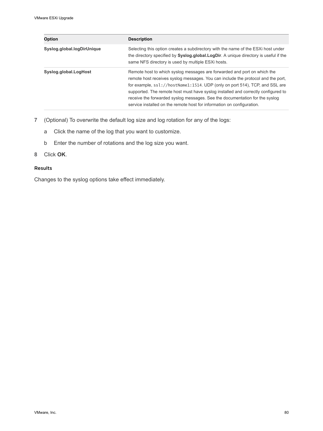| <b>Option</b>              | <b>Description</b>                                                                                                                                                                                                                                                                                                                                                                                                                                                                        |  |
|----------------------------|-------------------------------------------------------------------------------------------------------------------------------------------------------------------------------------------------------------------------------------------------------------------------------------------------------------------------------------------------------------------------------------------------------------------------------------------------------------------------------------------|--|
| Syslog.global.logDirUnique | Selecting this option creates a subdirectory with the name of the ESXi host under<br>the directory specified by Syslog.global.LogDir. A unique directory is useful if the<br>same NFS directory is used by multiple ESXi hosts.                                                                                                                                                                                                                                                           |  |
| Syslog.global.LogHost      | Remote host to which syslog messages are forwarded and port on which the<br>remote host receives syslog messages. You can include the protocol and the port,<br>for example, ssl://hostName1:1514. UDP (only on port 514), TCP, and SSL are<br>supported. The remote host must have syslog installed and correctly configured to<br>receive the forwarded syslog messages. See the documentation for the syslog<br>service installed on the remote host for information on configuration. |  |

- **7** (Optional) To overwrite the default log size and log rotation for any of the logs:
	- a Click the name of the log that you want to customize.
	- b Enter the number of rotations and the log size you want.
- **8** Click **OK**.

#### Results

Changes to the syslog options take effect immediately.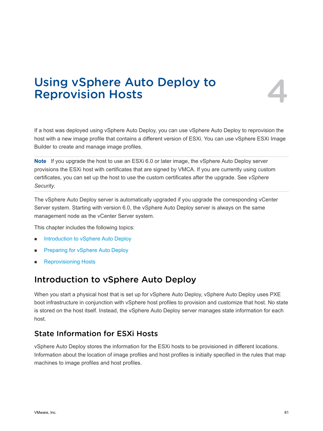## Using vSphere Auto Deploy to **1996.**<br>Reprovision Hosts

If a host was deployed using vSphere Auto Deploy, you can use vSphere Auto Deploy to reprovision the host with a new image profile that contains a different version of ESXi. You can use vSphere ESXi Image Builder to create and manage image profiles.

**Note** If you upgrade the host to use an ESXi 6.0 or later image, the vSphere Auto Deploy server provisions the ESXi host with certificates that are signed by VMCA. If you are currently using custom certificates, you can set up the host to use the custom certificates after the upgrade. See *vSphere Security*.

The vSphere Auto Deploy server is automatically upgraded if you upgrade the corresponding vCenter Server system. Starting with version 6.0, the vSphere Auto Deploy server is always on the same management node as the vCenter Server system.

This chapter includes the following topics:

- n Introduction to vSphere Auto Deploy
- [Preparing for vSphere Auto Deploy](#page-83-0)
- **[Reprovisioning Hosts](#page-88-0)**

## Introduction to vSphere Auto Deploy

When you start a physical host that is set up for vSphere Auto Deploy, vSphere Auto Deploy uses PXE boot infrastructure in conjunction with vSphere host profiles to provision and customize that host. No state is stored on the host itself. Instead, the vSphere Auto Deploy server manages state information for each host.

## State Information for ESXi Hosts

vSphere Auto Deploy stores the information for the ESXi hosts to be provisioned in different locations. Information about the location of image profiles and host profiles is initially specified in the rules that map machines to image profiles and host profiles.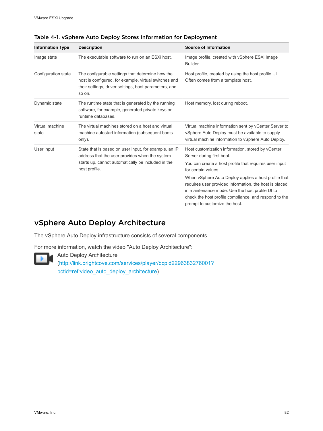| <b>Information Type</b>  | <b>Description</b>                                                                                                                                                             | <b>Source of Information</b>                                                                                                                                                                                                                                                                                                                                                                                                   |
|--------------------------|--------------------------------------------------------------------------------------------------------------------------------------------------------------------------------|--------------------------------------------------------------------------------------------------------------------------------------------------------------------------------------------------------------------------------------------------------------------------------------------------------------------------------------------------------------------------------------------------------------------------------|
| Image state              | The executable software to run on an ESXi host.                                                                                                                                | Image profile, created with vSphere ESXi Image<br>Builder.                                                                                                                                                                                                                                                                                                                                                                     |
| Configuration state      | The configurable settings that determine how the<br>host is configured, for example, virtual switches and<br>their settings, driver settings, boot parameters, and<br>so on.   | Host profile, created by using the host profile UI.<br>Often comes from a template host.                                                                                                                                                                                                                                                                                                                                       |
| Dynamic state            | The runtime state that is generated by the running<br>software, for example, generated private keys or<br>runtime databases.                                                   | Host memory, lost during reboot.                                                                                                                                                                                                                                                                                                                                                                                               |
| Virtual machine<br>state | The virtual machines stored on a host and virtual<br>machine autostart information (subsequent boots<br>only).                                                                 | Virtual machine information sent by vCenter Server to<br>vSphere Auto Deploy must be available to supply<br>virtual machine information to vSphere Auto Deploy.                                                                                                                                                                                                                                                                |
| User input               | State that is based on user input, for example, an IP<br>address that the user provides when the system<br>starts up, cannot automatically be included in the<br>host profile. | Host customization information, stored by vCenter<br>Server during first boot.<br>You can create a host profile that requires user input<br>for certain values.<br>When vSphere Auto Deploy applies a host profile that<br>requires user provided information, the host is placed<br>in maintenance mode. Use the host profile UI to<br>check the host profile compliance, and respond to the<br>prompt to customize the host. |

Table 4-1. vSphere Auto Deploy Stores Information for Deployment

## vSphere Auto Deploy Architecture

The vSphere Auto Deploy infrastructure consists of several components.

For more information, watch the video "Auto Deploy Architecture":



Auto Deploy Architecture ([http://link.brightcove.com/services/player/bcpid2296383276001?](http://link.brightcove.com/services/player/bcpid2296383276001?bctid=ref:video_auto_deploy_architecture) [bctid=ref:video\\_auto\\_deploy\\_architecture\)](http://link.brightcove.com/services/player/bcpid2296383276001?bctid=ref:video_auto_deploy_architecture)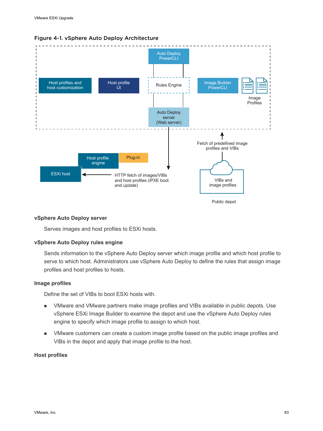

#### Figure 4-1. vSphere Auto Deploy Architecture

Public depot

#### **vSphere Auto Deploy server**

Serves images and host profiles to ESXi hosts.

#### **vSphere Auto Deploy rules engine**

Sends information to the vSphere Auto Deploy server which image profile and which host profile to serve to which host. Administrators use vSphere Auto Deploy to define the rules that assign image profiles and host profiles to hosts.

#### **Image profiles**

Define the set of VIBs to boot ESXi hosts with.

- **NMware and VMware partners make image profiles and VIBs available in public depots. Use** vSphere ESXi Image Builder to examine the depot and use the vSphere Auto Deploy rules engine to specify which image profile to assign to which host.
- <sup>n</sup> VMware customers can create a custom image profile based on the public image profiles and VIBs in the depot and apply that image profile to the host.

#### **Host profiles**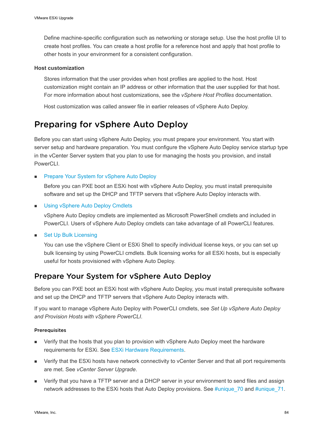<span id="page-83-0"></span>Define machine-specific configuration such as networking or storage setup. Use the host profile UI to create host profiles. You can create a host profile for a reference host and apply that host profile to other hosts in your environment for a consistent configuration.

#### **Host customization**

Stores information that the user provides when host profiles are applied to the host. Host customization might contain an IP address or other information that the user supplied for that host. For more information about host customizations, see the *vSphere Host Profiles* documentation.

Host customization was called answer file in earlier releases of vSphere Auto Deploy.

## Preparing for vSphere Auto Deploy

Before you can start using vSphere Auto Deploy, you must prepare your environment. You start with server setup and hardware preparation. You must configure the vSphere Auto Deploy service startup type in the vCenter Server system that you plan to use for managing the hosts you provision, and install PowerCLI.

#### Prepare Your System for vSphere Auto Deploy

Before you can PXE boot an ESXi host with vSphere Auto Deploy, you must install prerequisite software and set up the DHCP and TFTP servers that vSphere Auto Deploy interacts with.

**n** [Using vSphere Auto Deploy Cmdlets](#page-86-0)

vSphere Auto Deploy cmdlets are implemented as Microsoft PowerShell cmdlets and included in PowerCLI. Users of vSphere Auto Deploy cmdlets can take advantage of all PowerCLI features.

**Set Up Bulk Licensing** 

You can use the vSphere Client or ESXi Shell to specify individual license keys, or you can set up bulk licensing by using PowerCLI cmdlets. Bulk licensing works for all ESXi hosts, but is especially useful for hosts provisioned with vSphere Auto Deploy.

## Prepare Your System for vSphere Auto Deploy

Before you can PXE boot an ESXi host with vSphere Auto Deploy, you must install prerequisite software and set up the DHCP and TFTP servers that vSphere Auto Deploy interacts with.

If you want to manage vSphere Auto Deploy with PowerCLI cmdlets, see *Set Up vSphere Auto Deploy and Provision Hosts with vSphere PowerCLI*.

#### **Prerequisites**

- **n** Verify that the hosts that you plan to provision with vSphere Auto Deploy meet the hardware requirements for ESXi. See [ESXi Hardware Requirements](#page-11-0).
- **n** Verify that the ESXi hosts have network connectivity to vCenter Server and that all port requirements are met. See *vCenter Server Upgrade*.
- **n** Verify that you have a TFTP server and a DHCP server in your environment to send files and assign network addresses to the ESXi hosts that Auto Deploy provisions. See #unique\_70 and #unique\_71.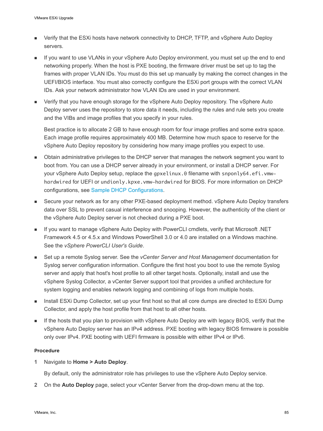- Verify that the ESXi hosts have network connectivity to DHCP, TFTP, and vSphere Auto Deploy servers.
- If you want to use VLANs in your vSphere Auto Deploy environment, you must set up the end to end networking properly. When the host is PXE booting, the firmware driver must be set up to tag the frames with proper VLAN IDs. You must do this set up manually by making the correct changes in the UEFI/BIOS interface. You must also correctly configure the ESXi port groups with the correct VLAN IDs. Ask your network administrator how VLAN IDs are used in your environment.
- **n** Verify that you have enough storage for the vSphere Auto Deploy repository. The vSphere Auto Deploy server uses the repository to store data it needs, including the rules and rule sets you create and the VIBs and image profiles that you specify in your rules.

Best practice is to allocate 2 GB to have enough room for four image profiles and some extra space. Each image profile requires approximately 400 MB. Determine how much space to reserve for the vSphere Auto Deploy repository by considering how many image profiles you expect to use.

- <sup>n</sup> Obtain administrative privileges to the DHCP server that manages the network segment you want to boot from. You can use a DHCP server already in your environment, or install a DHCP server. For your vSphere Auto Deploy setup, replace the gpxelinux. 0 filename with snponly64.efi.vmwhardwired for UEFI or undionly.kpxe.vmw-hardwired for BIOS. For more information on DHCP configurations, see [Sample DHCP Configurations.](#page-29-0)
- **EXECUTE Secure your network as for any other PXE-based deployment method. vSphere Auto Deploy transfers** data over SSL to prevent casual interference and snooping. However, the authenticity of the client or the vSphere Auto Deploy server is not checked during a PXE boot.
- If you want to manage vSphere Auto Deploy with PowerCLI cmdlets, verify that Microsoft .NET Framework 4.5 or 4.5.x and Windows PowerShell 3.0 or 4.0 are installed on a Windows machine. See the *vSphere PowerCLI User's Guide*.
- <sup>n</sup> Set up a remote Syslog server. See the *vCenter Server and Host Management* documentation for Syslog server configuration information. Configure the first host you boot to use the remote Syslog server and apply that host's host profile to all other target hosts. Optionally, install and use the vSphere Syslog Collector, a vCenter Server support tool that provides a unified architecture for system logging and enables network logging and combining of logs from multiple hosts.
- n Install ESXi Dump Collector, set up your first host so that all core dumps are directed to ESXi Dump Collector, and apply the host profile from that host to all other hosts.
- **n** If the hosts that you plan to provision with vSphere Auto Deploy are with legacy BIOS, verify that the vSphere Auto Deploy server has an IPv4 address. PXE booting with legacy BIOS firmware is possible only over IPv4. PXE booting with UEFI firmware is possible with either IPv4 or IPv6.

#### Procedure

**1** Navigate to **Home > Auto Deploy**.

By default, only the administrator role has privileges to use the vSphere Auto Deploy service.

**2** On the **Auto Deploy** page, select your vCenter Server from the drop-down menu at the top.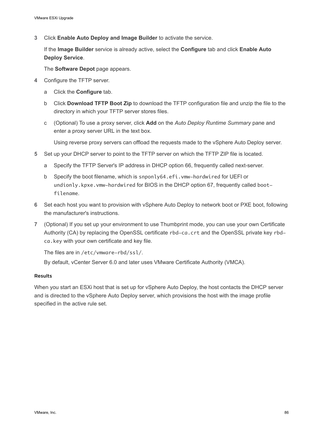**3** Click **Enable Auto Deploy and Image Builder** to activate the service.

If the **Image Builder** service is already active, select the **Configure** tab and click **Enable Auto Deploy Service**.

The **Software Depot** page appears.

- **4** Configure the TFTP server.
	- a Click the **Configure** tab.
	- b Click **Download TFTP Boot Zip** to download the TFTP configuration file and unzip the file to the directory in which your TFTP server stores files.
	- c (Optional) To use a proxy server, click **Add** on the *Auto Deploy Runtime Summary* pane and enter a proxy server URL in the text box.

Using reverse proxy servers can offload the requests made to the vSphere Auto Deploy server.

- **5** Set up your DHCP server to point to the TFTP server on which the TFTP ZIP file is located.
	- a Specify the TFTP Server's IP address in DHCP option 66, frequently called next-server.
	- b Specify the boot filename, which is snponly64.efi.vmw-hardwired for UEFI or undionly.kpxe.vmw-hardwired for BIOS in the DHCP option 67, frequently called bootfilename.
- **6** Set each host you want to provision with vSphere Auto Deploy to network boot or PXE boot, following the manufacturer's instructions.
- **7** (Optional) If you set up your environment to use Thumbprint mode, you can use your own Certificate Authority (CA) by replacing the OpenSSL certificate rbd-ca.crt and the OpenSSL private key rbdca.key with your own certificate and key file.

The files are in /etc/vmware-rbd/ssl/.

By default, vCenter Server 6.0 and later uses VMware Certificate Authority (VMCA).

#### Results

When you start an ESXi host that is set up for vSphere Auto Deploy, the host contacts the DHCP server and is directed to the vSphere Auto Deploy server, which provisions the host with the image profile specified in the active rule set.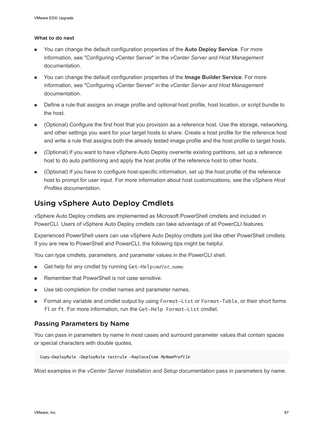#### <span id="page-86-0"></span>What to do next

- <sup>n</sup> You can change the default configuration properties of the **Auto Deploy Service**. For more information, see "Configuring vCenter Server" in the *vCenter Server and Host Management*  documentation.
- <sup>n</sup> You can change the default configuration properties of the **Image Builder Service**. For more information, see "Configuring vCenter Server" in the *vCenter Server and Host Management*  documentation.
- Define a rule that assigns an image profile and optional host profile, host location, or script bundle to the host.
- <sup>n</sup> (Optional) Configure the first host that you provision as a reference host. Use the storage, networking, and other settings you want for your target hosts to share. Create a host profile for the reference host and write a rule that assigns both the already tested image profile and the host profile to target hosts.
- (Optional) If you want to have vSphere Auto Deploy overwrite existing partitions, set up a reference host to do auto partitioning and apply the host profile of the reference host to other hosts.
- <sup>n</sup> (Optional) If you have to configure host-specific information, set up the host profile of the reference host to prompt for user input. For more information about host customizations, see the *vSphere Host Profiles* documentation.

## Using vSphere Auto Deploy Cmdlets

vSphere Auto Deploy cmdlets are implemented as Microsoft PowerShell cmdlets and included in PowerCLI. Users of vSphere Auto Deploy cmdlets can take advantage of all PowerCLI features.

Experienced PowerShell users can use vSphere Auto Deploy cmdlets just like other PowerShell cmdlets. If you are new to PowerShell and PowerCLI, the following tips might be helpful.

You can type cmdlets, parameters, and parameter values in the PowerCLI shell.

- Get help for any cmdlet by running Get-Helpcmdlet\_name.
- Remember that PowerShell is not case sensitive.
- Use tab completion for cmdlet names and parameter names.
- **n** Format any variable and cmdlet output by using Format-List or Format-Table, or their short forms fl or ft. For more information, run the Get-Help Format-List cmdlet.

### Passing Parameters by Name

You can pass in parameters by name in most cases and surround parameter values that contain spaces or special characters with double quotes.

```
 Copy-DeployRule -DeployRule testrule -ReplaceItem MyNewProfile
```
Most examples in the *vCenter Server Installation and Setup* documentation pass in parameters by name.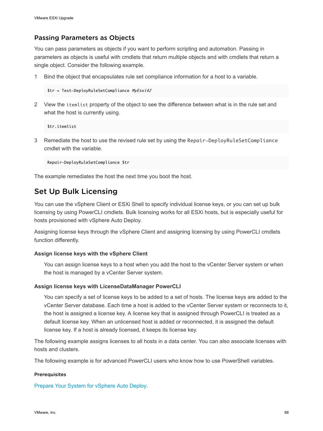### <span id="page-87-0"></span>Passing Parameters as Objects

You can pass parameters as objects if you want to perform scripting and automation. Passing in parameters as objects is useful with cmdlets that return multiple objects and with cmdlets that return a single object. Consider the following example.

1 Bind the object that encapsulates rule set compliance information for a host to a variable.

```
$tr = Test-DeployRuleSetCompliance MyEsxi42
```
2 View the itemlist property of the object to see the difference between what is in the rule set and what the host is currently using.

\$tr.itemlist

3 Remediate the host to use the revised rule set by using the Repair-DeployRuleSetCompliance cmdlet with the variable.

Repair-DeployRuleSetCompliance \$tr

The example remediates the host the next time you boot the host.

## Set Up Bulk Licensing

You can use the vSphere Client or ESXi Shell to specify individual license keys, or you can set up bulk licensing by using PowerCLI cmdlets. Bulk licensing works for all ESXi hosts, but is especially useful for hosts provisioned with vSphere Auto Deploy.

Assigning license keys through the vSphere Client and assigning licensing by using PowerCLI cmdlets function differently.

#### **Assign license keys with the vSphere Client**

You can assign license keys to a host when you add the host to the vCenter Server system or when the host is managed by a vCenter Server system.

#### **Assign license keys with LicenseDataManager PowerCLI**

You can specify a set of license keys to be added to a set of hosts. The license keys are added to the vCenter Server database. Each time a host is added to the vCenter Server system or reconnects to it, the host is assigned a license key. A license key that is assigned through PowerCLI is treated as a default license key. When an unlicensed host is added or reconnected, it is assigned the default license key. If a host is already licensed, it keeps its license key.

The following example assigns licenses to all hosts in a data center. You can also associate licenses with hosts and clusters.

The following example is for advanced PowerCLI users who know how to use PowerShell variables.

### Prerequisites

[Prepare Your System for vSphere Auto Deploy](#page-83-0).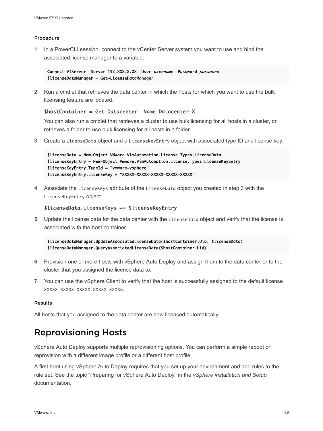#### <span id="page-88-0"></span>Procedure

**1** In a PowerCLI session, connect to the vCenter Server system you want to use and bind the associated license manager to a variable.

Connect-VIServer -Server 192.XXX.X.XX -User username -Password password \$licenseDataManager = Get-LicenseDataManager

**2** Run a cmdlet that retrieves the data center in which the hosts for which you want to use the bulk licensing feature are located.

#### \$hostContainer = Get-Datacenter -Name Datacenter-X

You can also run a cmdlet that retrieves a cluster to use bulk licensing for all hosts in a cluster, or retrieves a folder to use bulk licensing for all hosts in a folder.

**3** Create a LicenseData object and a LicenseKeyEntry object with associated type ID and license key.

\$licenseData = New-Object VMware.VimAutomation.License.Types.LicenseData \$licenseKeyEntry = New-Object Vmware.VimAutomation.License.Types.LicenseKeyEntry \$licenseKeyEntry.TypeId = "vmware-vsphere" \$licenseKeyEntry.LicenseKey = "XXXXX-XXXXX-XXXXX-XXXXX-XXXXX"

**4** Associate the LicenseKeys attribute of the LicenseData object you created in step 3 with the LicenseKeyEntry object.

#### \$licenseData.LicenseKeys += \$licenseKeyEntry

**5** Update the license data for the data center with the LicenseData object and verify that the license is associated with the host container.

\$licenseDataManager.UpdateAssociatedLicenseData(\$hostContainer.Uid, \$licenseData) \$licenseDataManager.QueryAssociatedLicenseData(\$hostContainer.Uid)

- **6** Provision one or more hosts with vSphere Auto Deploy and assign them to the data center or to the cluster that you assigned the license data to.
- **7** You can use the vSphere Client to verify that the host is successfully assigned to the default license XXXXX-XXXXX-XXXXX-XXXXX-XXXXX.

#### Results

All hosts that you assigned to the data center are now licensed automatically.

## Reprovisioning Hosts

vSphere Auto Deploy supports multiple reprovisioning options. You can perform a simple reboot or reprovision with a different image profile or a different host profile.

A first boot using vSphere Auto Deploy requires that you set up your environment and add rules to the rule set. See the topic "Preparing for vSphere Auto Deploy" in the *vSphere installation and Setup*  documentation.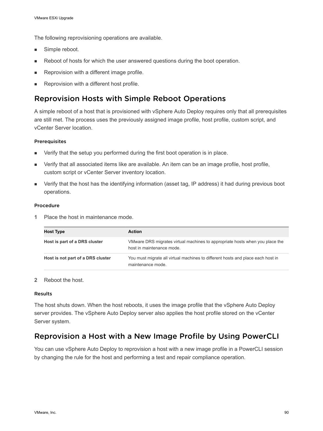The following reprovisioning operations are available.

- **n** Simple reboot.
- **Reboot of hosts for which the user answered questions during the boot operation.**
- **Reprovision with a different image profile.**
- Reprovision with a different host profile.

## Reprovision Hosts with Simple Reboot Operations

A simple reboot of a host that is provisioned with vSphere Auto Deploy requires only that all prerequisites are still met. The process uses the previously assigned image profile, host profile, custom script, and vCenter Server location.

#### Prerequisites

- Verify that the setup you performed during the first boot operation is in place.
- **n** Verify that all associated items like are available. An item can be an image profile, host profile, custom script or vCenter Server inventory location.
- <sup>n</sup> Verify that the host has the identifying information (asset tag, IP address) it had during previous boot operations.

#### Procedure

**1** Place the host in maintenance mode.

| <b>Host Type</b>                  | <b>Action</b>                                                                                             |
|-----------------------------------|-----------------------------------------------------------------------------------------------------------|
| Host is part of a DRS cluster     | VMware DRS migrates virtual machines to appropriate hosts when you place the<br>host in maintenance mode. |
| Host is not part of a DRS cluster | You must migrate all virtual machines to different hosts and place each host in<br>maintenance mode.      |

#### **2** Reboot the host.

#### Results

The host shuts down. When the host reboots, it uses the image profile that the vSphere Auto Deploy server provides. The vSphere Auto Deploy server also applies the host profile stored on the vCenter Server system.

## Reprovision a Host with a New Image Profile by Using PowerCLI

You can use vSphere Auto Deploy to reprovision a host with a new image profile in a PowerCLI session by changing the rule for the host and performing a test and repair compliance operation.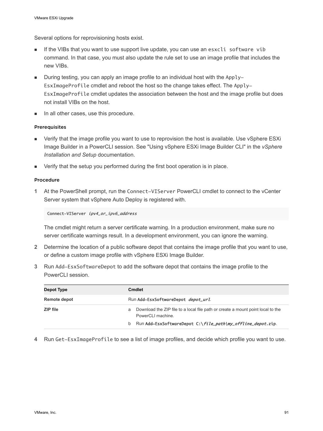Several options for reprovisioning hosts exist.

- **n** If the VIBs that you want to use support live update, you can use an esxcli software vib command. In that case, you must also update the rule set to use an image profile that includes the new VIBs.
- **n** During testing, you can apply an image profile to an individual host with the Apply-EsxImageProfile cmdlet and reboot the host so the change takes effect. The Apply-EsxImageProfile cmdlet updates the association between the host and the image profile but does not install VIBs on the host.
- In all other cases, use this procedure.

#### Prerequisites

- **n** Verify that the image profile you want to use to reprovision the host is available. Use vSphere ESXi Image Builder in a PowerCLI session. See "Using vSphere ESXi Image Builder CLI" in the *vSphere Installation and Setup* documentation.
- Verify that the setup you performed during the first boot operation is in place.

#### Procedure

**1** At the PowerShell prompt, run the Connect-VIServer PowerCLI cmdlet to connect to the vCenter Server system that vSphere Auto Deploy is registered with.

Connect-VIServer ipv4\_or\_ipv6\_address

The cmdlet might return a server certificate warning. In a production environment, make sure no server certificate warnings result. In a development environment, you can ignore the warning.

- **2** Determine the location of a public software depot that contains the image profile that you want to use, or define a custom image profile with vSphere ESXi Image Builder.
- **3** Run Add-EsxSoftwareDepot to add the software depot that contains the image profile to the PowerCLI session.

| Depot Type   | <b>Cmdlet</b>                                                                                                                                                                |  |
|--------------|------------------------------------------------------------------------------------------------------------------------------------------------------------------------------|--|
| Remote depot | Run Add-EsxSoftwareDepot depot_url.                                                                                                                                          |  |
| ZIP file     | Download the ZIP file to a local file path or create a mount point local to the<br>a<br>PowerCLI machine<br>Run Add-EsxSoftwareDepot C:\file_path\my_offline_depot.zip.<br>b |  |

**4** Run Get-EsxImageProfile to see a list of image profiles, and decide which profile you want to use.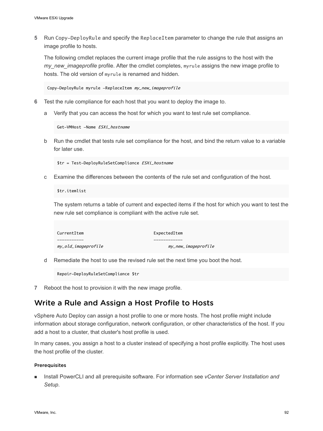**5** Run Copy-DeployRule and specify the ReplaceItem parameter to change the rule that assigns an image profile to hosts.

The following cmdlet replaces the current image profile that the rule assigns to the host with the *my\_new\_imageprofile* profile. After the cmdlet completes, myrule assigns the new image profile to hosts. The old version of myrule is renamed and hidden.

Copy-DeployRule myrule -ReplaceItem my\_new\_imageprofile

- **6** Test the rule compliance for each host that you want to deploy the image to.
	- a Verify that you can access the host for which you want to test rule set compliance.

Get-VMHost -Name ESXi hostname

b Run the cmdlet that tests rule set compliance for the host, and bind the return value to a variable for later use.

\$tr = Test-DeployRuleSetCompliance ESXi\_hostname

c Examine the differences between the contents of the rule set and configuration of the host.

\$tr.itemlist

The system returns a table of current and expected items if the host for which you want to test the new rule set compliance is compliant with the active rule set.

| CurrentItem         | ExpectedItem        |
|---------------------|---------------------|
|                     |                     |
| my_old_imaqeprofile | my_new_imageprofile |

d Remediate the host to use the revised rule set the next time you boot the host.

Repair-DeployRuleSetCompliance \$tr

**7** Reboot the host to provision it with the new image profile.

## Write a Rule and Assign a Host Profile to Hosts

vSphere Auto Deploy can assign a host profile to one or more hosts. The host profile might include information about storage configuration, network configuration, or other characteristics of the host. If you add a host to a cluster, that cluster's host profile is used.

In many cases, you assign a host to a cluster instead of specifying a host profile explicitly. The host uses the host profile of the cluster.

#### **Prerequisites**

■ Install PowerCLI and all prerequisite software. For information see *vCenter Server Installation and Setup*.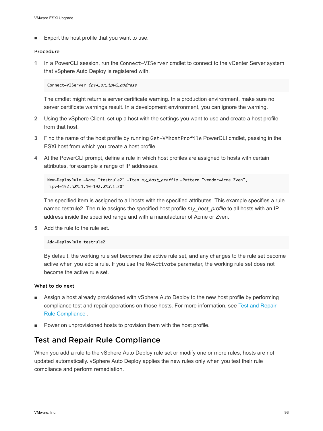Export the host profile that you want to use.

#### Procedure

**1** In a PowerCLI session, run the Connect-VIServer cmdlet to connect to the vCenter Server system that vSphere Auto Deploy is registered with.

Connect-VIServer ipv4\_or\_ipv6\_address

The cmdlet might return a server certificate warning. In a production environment, make sure no server certificate warnings result. In a development environment, you can ignore the warning.

- **2** Using the vSphere Client, set up a host with the settings you want to use and create a host profile from that host.
- **3** Find the name of the host profile by running Get-VMhostProfile PowerCLI cmdlet, passing in the ESXi host from which you create a host profile.
- **4** At the PowerCLI prompt, define a rule in which host profiles are assigned to hosts with certain attributes, for example a range of IP addresses.

```
New-DeployRule -Name "testrule2" -Item my_host_profile -Pattern "vendor=Acme,Zven",
"ipv4=192.XXX.1.10-192.XXX.1.20"
```
The specified item is assigned to all hosts with the specified attributes. This example specifies a rule named testrule2. The rule assigns the specified host profile *my\_host\_profile* to all hosts with an IP address inside the specified range and with a manufacturer of Acme or Zven.

**5** Add the rule to the rule set.

Add-DeployRule testrule2

By default, the working rule set becomes the active rule set, and any changes to the rule set become active when you add a rule. If you use the NoActivate parameter, the working rule set does not become the active rule set.

#### What to do next

- <sup>n</sup> Assign a host already provisioned with vSphere Auto Deploy to the new host profile by performing compliance test and repair operations on those hosts. For more information, see Test and Repair Rule Compliance .
- **•** Power on unprovisioned hosts to provision them with the host profile.

## Test and Repair Rule Compliance

When you add a rule to the vSphere Auto Deploy rule set or modify one or more rules, hosts are not updated automatically. vSphere Auto Deploy applies the new rules only when you test their rule compliance and perform remediation.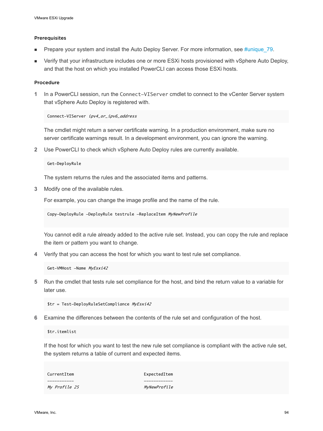#### Prerequisites

- Prepare your system and install the Auto Deploy Server. For more information, see #unique 79.
- **•** Verify that your infrastructure includes one or more ESXi hosts provisioned with vSphere Auto Deploy, and that the host on which you installed PowerCLI can access those ESXi hosts.

#### Procedure

**1** In a PowerCLI session, run the Connect-VIServer cmdlet to connect to the vCenter Server system that vSphere Auto Deploy is registered with.

Connect-VIServer ipv4\_or\_ipv6\_address

The cmdlet might return a server certificate warning. In a production environment, make sure no server certificate warnings result. In a development environment, you can ignore the warning.

**2** Use PowerCLI to check which vSphere Auto Deploy rules are currently available.

```
Get-DeployRule
```
The system returns the rules and the associated items and patterns.

**3** Modify one of the available rules.

For example, you can change the image profile and the name of the rule.

Copy-DeployRule -DeployRule testrule -ReplaceItem MyNewProfile

You cannot edit a rule already added to the active rule set. Instead, you can copy the rule and replace the item or pattern you want to change.

**4** Verify that you can access the host for which you want to test rule set compliance.

Get-VMHost -Name MyEsxi42

**5** Run the cmdlet that tests rule set compliance for the host, and bind the return value to a variable for later use.

\$tr = Test-DeployRuleSetCompliance MyEsxi42

**6** Examine the differences between the contents of the rule set and configuration of the host.

\$tr.itemlist

If the host for which you want to test the new rule set compliance is compliant with the active rule set, the system returns a table of current and expected items.

| CurrentItem          | ExpectedItem        |
|----------------------|---------------------|
|                      |                     |
| <i>My Profile 25</i> | <i>MyNewProfile</i> |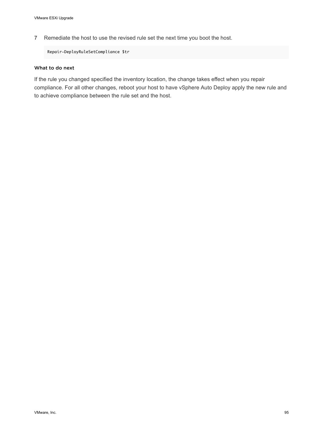**7** Remediate the host to use the revised rule set the next time you boot the host.

Repair-DeployRuleSetCompliance \$tr

#### What to do next

If the rule you changed specified the inventory location, the change takes effect when you repair compliance. For all other changes, reboot your host to have vSphere Auto Deploy apply the new rule and to achieve compliance between the rule set and the host.